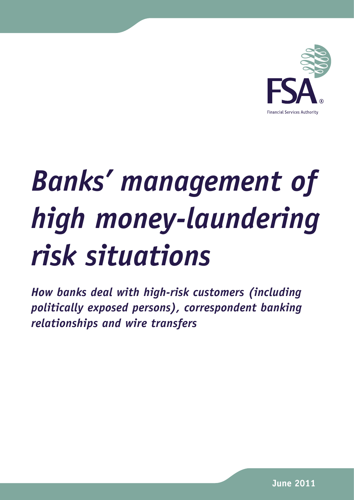

# *Banks' management of high money-laundering risk situations*

*How banks deal with high-risk customers (including politically exposed persons), correspondent banking relationships and wire transfers*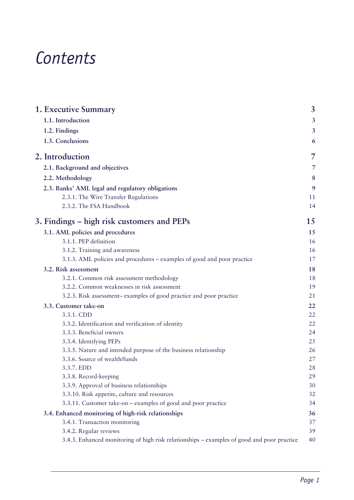## *Contents*

| <b>1. Executive Summary</b>                                                                | 3              |
|--------------------------------------------------------------------------------------------|----------------|
| 1.1. Introduction                                                                          | $\overline{3}$ |
| 1.2. Findings                                                                              | $\overline{3}$ |
| 1.3. Conclusions                                                                           | 6              |
| 2. Introduction                                                                            | 7              |
| 2.1. Background and objectives                                                             | 7              |
| 2.2. Methodology                                                                           | 8              |
| 2.3. Banks' AML legal and regulatory obligations                                           | 9              |
| 2.3.1. The Wire Transfer Regulations                                                       | 11             |
| 2.3.2. The FSA Handbook                                                                    | 14             |
| 3. Findings – high risk customers and PEPs                                                 | 15             |
| 3.1. AML policies and procedures                                                           | 15             |
| 3.1.1. PEP definition                                                                      | 16             |
| 3.1.2. Training and awareness                                                              | 16             |
| 3.1.3. AML policies and procedures – examples of good and poor practice                    | 17             |
| 3.2. Risk assessment                                                                       | 18             |
| 3.2.1. Common risk assessment methodology                                                  | 18             |
| 3.2.2. Common weaknesses in risk assessment                                                | 19             |
| 3.2.3. Risk assessment-examples of good practice and poor practice                         | 21             |
| 3.3. Customer take-on                                                                      | 22             |
| 3.3.1. CDD                                                                                 | 22             |
| 3.3.2. Identification and verification of identity                                         | 22             |
| 3.3.3. Beneficial owners                                                                   | 24             |
| 3.3.4. Identifying PEPs                                                                    | 25             |
| 3.3.5. Nature and intended purpose of the business relationship                            | 26             |
| 3.3.6. Source of wealth/funds                                                              | 27             |
| 3.3.7. EDD                                                                                 | 28             |
| 3.3.8. Record-keeping                                                                      | 29             |
| 3.3.9. Approval of business relationships                                                  | 30             |
| 3.3.10. Risk appetite, culture and resources                                               | 32             |
| 3.3.11. Customer take-on - examples of good and poor practice                              | 34             |
| 3.4. Enhanced monitoring of high-risk relationships                                        | 36             |
| 3.4.1. Transaction monitoring                                                              | 37             |
| 3.4.2. Regular reviews                                                                     | 39             |
| 3.4.3. Enhanced monitoring of high risk relationships – examples of good and poor practice | 40             |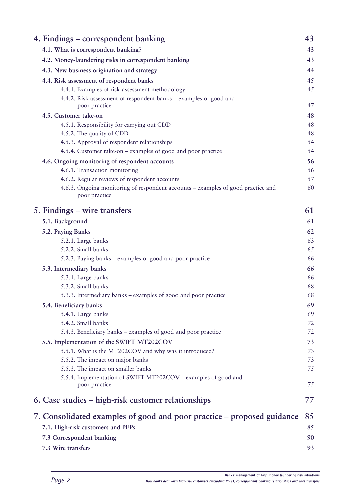| 4. Findings – correspondent banking                                                               | 43 |
|---------------------------------------------------------------------------------------------------|----|
| 4.1. What is correspondent banking?                                                               | 43 |
| 4.2. Money-laundering risks in correspondent banking                                              | 43 |
| 4.3. New business origination and strategy                                                        | 44 |
| 4.4. Risk assessment of respondent banks                                                          | 45 |
| 4.4.1. Examples of risk-assessment methodology                                                    | 45 |
| 4.4.2. Risk assessment of respondent banks – examples of good and                                 |    |
| poor practice                                                                                     | 47 |
| 4.5. Customer take-on                                                                             | 48 |
| 4.5.1. Responsibility for carrying out CDD                                                        | 48 |
| 4.5.2. The quality of CDD                                                                         | 48 |
| 4.5.3. Approval of respondent relationships                                                       | 54 |
| 4.5.4. Customer take-on – examples of good and poor practice                                      | 54 |
| 4.6. Ongoing monitoring of respondent accounts                                                    | 56 |
| 4.6.1. Transaction monitoring                                                                     | 56 |
| 4.6.2. Regular reviews of respondent accounts                                                     | 57 |
| 4.6.3. Ongoing monitoring of respondent accounts – examples of good practice and<br>poor practice | 60 |
| 5. Findings - wire transfers                                                                      | 61 |
| 5.1. Background                                                                                   | 61 |
| 5.2. Paying Banks                                                                                 | 62 |
| 5.2.1. Large banks                                                                                | 63 |
| 5.2.2. Small banks                                                                                | 65 |
| 5.2.3. Paying banks - examples of good and poor practice                                          | 66 |
| 5.3. Intermediary banks                                                                           | 66 |
| 5.3.1. Large banks                                                                                | 66 |
| 5.3.2. Small banks                                                                                | 68 |
| 5.3.3. Intermediary banks – examples of good and poor practice                                    | 68 |
| 5.4. Beneficiary banks                                                                            | 69 |
| 5.4.1. Large banks                                                                                | 69 |
| 5.4.2. Small banks                                                                                | 72 |
| 5.4.3. Beneficiary banks - examples of good and poor practice                                     | 72 |
| 5.5. Implementation of the SWIFT MT202COV                                                         | 73 |
| 5.5.1. What is the MT202COV and why was it introduced?                                            | 73 |
| 5.5.2. The impact on major banks                                                                  | 73 |
| 5.5.3. The impact on smaller banks                                                                | 75 |
| 5.5.4. Implementation of SWIFT MT202COV - examples of good and<br>poor practice                   | 75 |
| 6. Case studies – high-risk customer relationships                                                | 77 |
| 7. Consolidated examples of good and poor practice – proposed guidance                            | 85 |
| 7.1. High-risk customers and PEPs                                                                 | 85 |
| 7.3 Correspondent banking                                                                         | 90 |
| 7.3 Wire transfers                                                                                | 93 |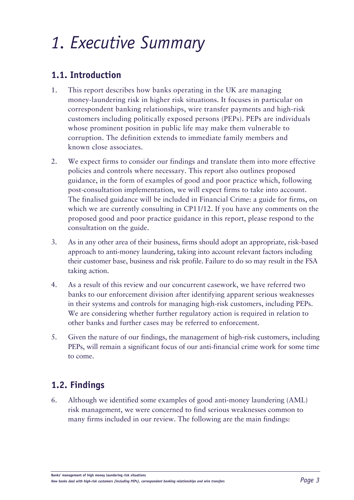## <span id="page-4-0"></span>*1. Executive Summary*

## **1.1. Introduction**

- 1. This report describes how banks operating in the UK are managing money-laundering risk in higher risk situations. It focuses in particular on correspondent banking relationships, wire transfer payments and high-risk customers including politically exposed persons (PEPs). PEPs are individuals whose prominent position in public life may make them vulnerable to corruption. The definition extends to immediate family members and known close associates.
- 2. We expect firms to consider our findings and translate them into more effective policies and controls where necessary. This report also outlines proposed guidance, in the form of examples of good and poor practice which, following post-consultation implementation, we will expect firms to take into account. The finalised guidance will be included in Financial Crime: a guide for firms, on which we are currently consulting in CP11/12. If you have any comments on the proposed good and poor practice guidance in this report, please respond to the consultation on the guide.
- 3. As in any other area of their business, firms should adopt an appropriate, risk-based approach to anti-money laundering, taking into account relevant factors including their customer base, business and risk profile. Failure to do so may result in the FSA taking action.
- 4. As a result of this review and our concurrent casework, we have referred two banks to our enforcement division after identifying apparent serious weaknesses in their systems and controls for managing high-risk customers, including PEPs. We are considering whether further regulatory action is required in relation to other banks and further cases may be referred to enforcement.
- 5. Given the nature of our findings, the management of high-risk customers, including PEPs, will remain a significant focus of our anti-financial crime work for some time to come.

## **1.2. Findings**

6. Although we identified some examples of good anti-money laundering (AML) risk management, we were concerned to find serious weaknesses common to many firms included in our review. The following are the main findings: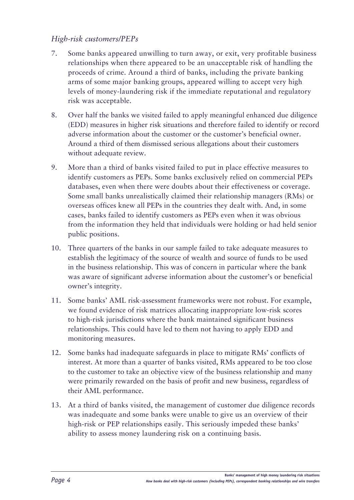## *High-risk customers/PEPs*

- 7. Some banks appeared unwilling to turn away, or exit, very profitable business relationships when there appeared to be an unacceptable risk of handling the proceeds of crime. Around a third of banks, including the private banking arms of some major banking groups, appeared willing to accept very high levels of money-laundering risk if the immediate reputational and regulatory risk was acceptable.
- 8. Over half the banks we visited failed to apply meaningful enhanced due diligence (EDD) measures in higher risk situations and therefore failed to identify or record adverse information about the customer or the customer's beneficial owner. Around a third of them dismissed serious allegations about their customers without adequate review.
- 9. More than a third of banks visited failed to put in place effective measures to identify customers as PEPs. Some banks exclusively relied on commercial PEPs databases, even when there were doubts about their effectiveness or coverage. Some small banks unrealistically claimed their relationship managers (RMs) or overseas offices knew all PEPs in the countries they dealt with. And, in some cases, banks failed to identify customers as PEPs even when it was obvious from the information they held that individuals were holding or had held senior public positions.
- 10. Three quarters of the banks in our sample failed to take adequate measures to establish the legitimacy of the source of wealth and source of funds to be used in the business relationship. This was of concern in particular where the bank was aware of significant adverse information about the customer's or beneficial owner's integrity.
- 11. Some banks' AML risk-assessment frameworks were not robust. For example, we found evidence of risk matrices allocating inappropriate low-risk scores to high-risk jurisdictions where the bank maintained significant business relationships. This could have led to them not having to apply EDD and monitoring measures.
- 12. Some banks had inadequate safeguards in place to mitigate RMs' conflicts of interest. At more than a quarter of banks visited, RMs appeared to be too close to the customer to take an objective view of the business relationship and many were primarily rewarded on the basis of profit and new business, regardless of their AML performance.
- 13. At a third of banks visited, the management of customer due diligence records was inadequate and some banks were unable to give us an overview of their high-risk or PEP relationships easily. This seriously impeded these banks' ability to assess money laundering risk on a continuing basis.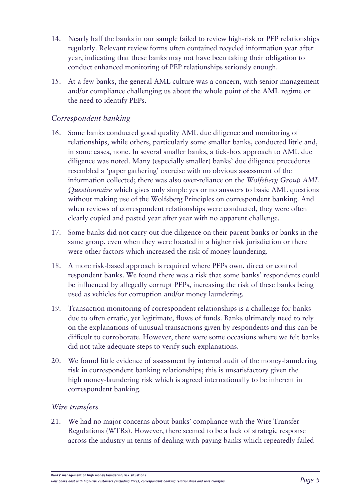- 14. Nearly half the banks in our sample failed to review high-risk or PEP relationships regularly. Relevant review forms often contained recycled information year after year, indicating that these banks may not have been taking their obligation to conduct enhanced monitoring of PEP relationships seriously enough.
- 15. At a few banks, the general AML culture was a concern, with senior management and/or compliance challenging us about the whole point of the AML regime or the need to identify PEPs.

## *Correspondent banking*

- 16. Some banks conducted good quality AML due diligence and monitoring of relationships, while others, particularly some smaller banks, conducted little and, in some cases, none. In several smaller banks, a tick-box approach to AML due diligence was noted. Many (especially smaller) banks' due diligence procedures resembled a 'paper gathering' exercise with no obvious assessment of the information collected; there was also over-reliance on the *Wolfsberg Group AML Questionnaire* which gives only simple yes or no answers to basic AML questions without making use of the Wolfsberg Principles on correspondent banking. And when reviews of correspondent relationships were conducted, they were often clearly copied and pasted year after year with no apparent challenge.
- 17. Some banks did not carry out due diligence on their parent banks or banks in the same group, even when they were located in a higher risk jurisdiction or there were other factors which increased the risk of money laundering.
- 18. A more risk-based approach is required where PEPs own, direct or control respondent banks. We found there was a risk that some banks' respondents could be influenced by allegedly corrupt PEPs, increasing the risk of these banks being used as vehicles for corruption and/or money laundering.
- 19. Transaction monitoring of correspondent relationships is a challenge for banks due to often erratic, yet legitimate, flows of funds. Banks ultimately need to rely on the explanations of unusual transactions given by respondents and this can be difficult to corroborate. However, there were some occasions where we felt banks did not take adequate steps to verify such explanations.
- 20. We found little evidence of assessment by internal audit of the money-laundering risk in correspondent banking relationships; this is unsatisfactory given the high money-laundering risk which is agreed internationally to be inherent in correspondent banking.

## *Wire transfers*

21. We had no major concerns about banks' compliance with the Wire Transfer Regulations (WTRs). However, there seemed to be a lack of strategic response across the industry in terms of dealing with paying banks which repeatedly failed

**Banks' management of high money laundering risk situations**

*How banks deal with high-risk customers (including PEPs), correspondent banking relationships and wire transfers Page 5*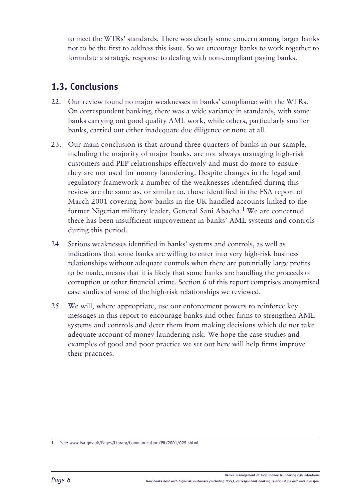<span id="page-7-0"></span>to meet the WTRs' standards. There was clearly some concern among larger banks not to be the first to address this issue. So we encourage banks to work together to formulate a strategic response to dealing with non-compliant paying banks.

## **1.3. Conclusions**

- 22. Our review found no major weaknesses in banks' compliance with the WTRs. On correspondent banking, there was a wide variance in standards, with some banks carrying out good quality AML work, while others, particularly smaller banks, carried out either inadequate due diligence or none at all.
- 23. Our main conclusion is that around three quarters of banks in our sample, including the majority of major banks, are not always managing high-risk customers and PEP relationships effectively and must do more to ensure they are not used for money laundering. Despite changes in the legal and regulatory framework a number of the weaknesses identified during this review are the same as, or similar to, those identified in the FSA report of March 2001 covering how banks in the UK handled accounts linked to the former Nigerian military leader, General Sani Abacha.1 We are concerned there has been insufficient improvement in banks' AML systems and controls during this period.
- 24. Serious weaknesses identified in banks' systems and controls, as well as indications that some banks are willing to enter into very high-risk business relationships without adequate controls when there are potentially large profits to be made, means that it is likely that some banks are handling the proceeds of corruption or other financial crime. Section 6 of this report comprises anonymised case studies of some of the high-risk relationships we reviewed.
- 25. We will, where appropriate, use our enforcement powers to reinforce key messages in this report to encourage banks and other firms to strengthen AML systems and controls and deter them from making decisions which do not take adequate account of money laundering risk. We hope the case studies and examples of good and poor practice we set out here will help firms improve their practices.

<sup>1</sup> See:<www.fsa.gov.uk/Pages/Library/Communication/PR/2001/029.shtml>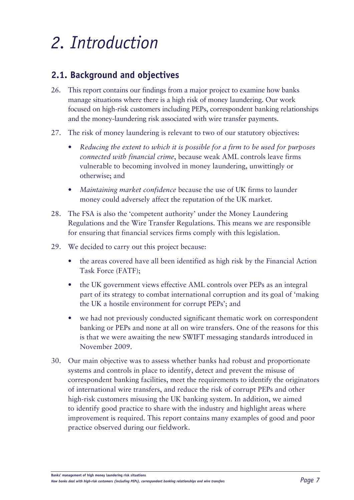## <span id="page-8-0"></span>*2. Introduction*

## **2.1. Background and objectives**

- 26. This report contains our findings from a major project to examine how banks manage situations where there is a high risk of money laundering. Our work focused on high-risk customers including PEPs, correspondent banking relationships and the money-laundering risk associated with wire transfer payments.
- 27. The risk of money laundering is relevant to two of our statutory objectives:
	- *• Reducing the extent to which it is possible for a firm to be used for purposes connected with financial crime*, because weak AML controls leave firms vulnerable to becoming involved in money laundering, unwittingly or otherwise; and
	- *• Maintaining market confidence* because the use of UK firms to launder money could adversely affect the reputation of the UK market.
- 28. The FSA is also the 'competent authority' under the Money Laundering Regulations and the Wire Transfer Regulations. This means we are responsible for ensuring that financial services firms comply with this legislation.
- 29. We decided to carry out this project because:
	- the areas covered have all been identified as high risk by the Financial Action Task Force (FATF);
	- the UK government views effective AML controls over PEPs as an integral part of its strategy to combat international corruption and its goal of 'making the UK a hostile environment for corrupt PEPs'; and
	- we had not previously conducted significant thematic work on correspondent banking or PEPs and none at all on wire transfers. One of the reasons for this is that we were awaiting the new SWIFT messaging standards introduced in November 2009.
- 30. Our main objective was to assess whether banks had robust and proportionate systems and controls in place to identify, detect and prevent the misuse of correspondent banking facilities, meet the requirements to identify the originators of international wire transfers, and reduce the risk of corrupt PEPs and other high-risk customers misusing the UK banking system. In addition, we aimed to identify good practice to share with the industry and highlight areas where improvement is required. This report contains many examples of good and poor practice observed during our fieldwork.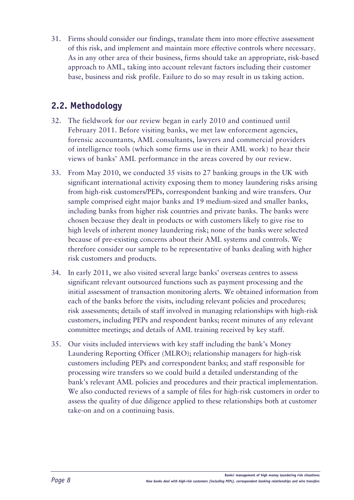<span id="page-9-0"></span>31. Firms should consider our findings, translate them into more effective assessment of this risk, and implement and maintain more effective controls where necessary. As in any other area of their business, firms should take an appropriate, risk-based approach to AML, taking into account relevant factors including their customer base, business and risk profile. Failure to do so may result in us taking action.

## **2.2. Methodology**

- 32. The fieldwork for our review began in early 2010 and continued until February 2011. Before visiting banks, we met law enforcement agencies, forensic accountants, AML consultants, lawyers and commercial providers of intelligence tools (which some firms use in their AML work) to hear their views of banks' AML performance in the areas covered by our review.
- 33. From May 2010, we conducted 35 visits to 27 banking groups in the UK with significant international activity exposing them to money laundering risks arising from high-risk customers/PEPs, correspondent banking and wire transfers. Our sample comprised eight major banks and 19 medium-sized and smaller banks, including banks from higher risk countries and private banks. The banks were chosen because they dealt in products or with customers likely to give rise to high levels of inherent money laundering risk; none of the banks were selected because of pre-existing concerns about their AML systems and controls. We therefore consider our sample to be representative of banks dealing with higher risk customers and products.
- 34. In early 2011, we also visited several large banks' overseas centres to assess significant relevant outsourced functions such as payment processing and the initial assessment of transaction monitoring alerts. We obtained information from each of the banks before the visits, including relevant policies and procedures; risk assessments; details of staff involved in managing relationships with high-risk customers, including PEPs and respondent banks; recent minutes of any relevant committee meetings; and details of AML training received by key staff.
- 35. Our visits included interviews with key staff including the bank's Money Laundering Reporting Officer (MLRO); relationship managers for high-risk customers including PEPs and correspondent banks; and staff responsible for processing wire transfers so we could build a detailed understanding of the bank's relevant AML policies and procedures and their practical implementation. We also conducted reviews of a sample of files for high-risk customers in order to assess the quality of due diligence applied to these relationships both at customer take-on and on a continuing basis.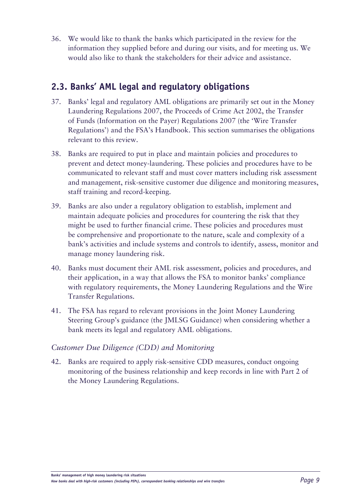<span id="page-10-0"></span>36. We would like to thank the banks which participated in the review for the information they supplied before and during our visits, and for meeting us. We would also like to thank the stakeholders for their advice and assistance.

## **2.3. Banks' AML legal and regulatory obligations**

- 37. Banks' legal and regulatory AML obligations are primarily set out in the Money Laundering Regulations 2007, the Proceeds of Crime Act 2002, the Transfer of Funds (Information on the Payer) Regulations 2007 (the 'Wire Transfer Regulations') and the FSA's Handbook. This section summarises the obligations relevant to this review.
- 38. Banks are required to put in place and maintain policies and procedures to prevent and detect money-laundering. These policies and procedures have to be communicated to relevant staff and must cover matters including risk assessment and management, risk-sensitive customer due diligence and monitoring measures, staff training and record-keeping.
- 39. Banks are also under a regulatory obligation to establish, implement and maintain adequate policies and procedures for countering the risk that they might be used to further financial crime. These policies and procedures must be comprehensive and proportionate to the nature, scale and complexity of a bank's activities and include systems and controls to identify, assess, monitor and manage money laundering risk.
- 40. Banks must document their AML risk assessment, policies and procedures, and their application, in a way that allows the FSA to monitor banks' compliance with regulatory requirements, the Money Laundering Regulations and the Wire Transfer Regulations.
- 41. The FSA has regard to relevant provisions in the Joint Money Laundering Steering Group's guidance (the JMLSG Guidance) when considering whether a bank meets its legal and regulatory AML obligations.

## *Customer Due Diligence (CDD) and Monitoring*

42. Banks are required to apply risk-sensitive CDD measures, conduct ongoing monitoring of the business relationship and keep records in line with Part 2 of the Money Laundering Regulations.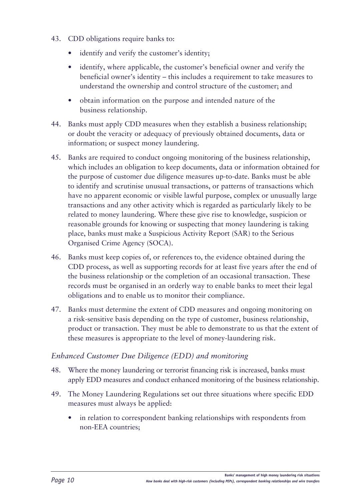- 43. CDD obligations require banks to:
	- identify and verify the customer's identity;
	- identify, where applicable, the customer's beneficial owner and verify the beneficial owner's identity – this includes a requirement to take measures to understand the ownership and control structure of the customer; and
	- obtain information on the purpose and intended nature of the business relationship.
- 44. Banks must apply CDD measures when they establish a business relationship; or doubt the veracity or adequacy of previously obtained documents, data or information; or suspect money laundering.
- 45. Banks are required to conduct ongoing monitoring of the business relationship, which includes an obligation to keep documents, data or information obtained for the purpose of customer due diligence measures up-to-date. Banks must be able to identify and scrutinise unusual transactions, or patterns of transactions which have no apparent economic or visible lawful purpose, complex or unusually large transactions and any other activity which is regarded as particularly likely to be related to money laundering. Where these give rise to knowledge, suspicion or reasonable grounds for knowing or suspecting that money laundering is taking place, banks must make a Suspicious Activity Report (SAR) to the Serious Organised Crime Agency (SOCA).
- 46. Banks must keep copies of, or references to, the evidence obtained during the CDD process, as well as supporting records for at least five years after the end of the business relationship or the completion of an occasional transaction. These records must be organised in an orderly way to enable banks to meet their legal obligations and to enable us to monitor their compliance.
- 47. Banks must determine the extent of CDD measures and ongoing monitoring on a risk-sensitive basis depending on the type of customer, business relationship, product or transaction. They must be able to demonstrate to us that the extent of these measures is appropriate to the level of money-laundering risk.

## *Enhanced Customer Due Diligence (EDD) and monitoring*

- 48. Where the money laundering or terrorist financing risk is increased, banks must apply EDD measures and conduct enhanced monitoring of the business relationship.
- 49. The Money Laundering Regulations set out three situations where specific EDD measures must always be applied:
	- in relation to correspondent banking relationships with respondents from non-EEA countries;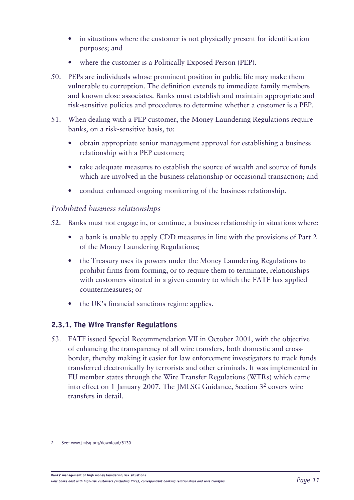- <span id="page-12-0"></span>• in situations where the customer is not physically present for identification purposes; and
- where the customer is a Politically Exposed Person (PEP).
- 50. PEPs are individuals whose prominent position in public life may make them vulnerable to corruption. The definition extends to immediate family members and known close associates. Banks must establish and maintain appropriate and risk-sensitive policies and procedures to determine whether a customer is a PEP.
- 51. When dealing with a PEP customer, the Money Laundering Regulations require banks, on a risk-sensitive basis, to:
	- obtain appropriate senior management approval for establishing a business relationship with a PEP customer;
	- take adequate measures to establish the source of wealth and source of funds which are involved in the business relationship or occasional transaction; and
	- conduct enhanced ongoing monitoring of the business relationship.

## *Prohibited business relationships*

- 52. Banks must not engage in, or continue, a business relationship in situations where:
	- a bank is unable to apply CDD measures in line with the provisions of Part 2 of the Money Laundering Regulations;
	- the Treasury uses its powers under the Money Laundering Regulations to prohibit firms from forming, or to require them to terminate, relationships with customers situated in a given country to which the FATF has applied countermeasures; or
	- the UK's financial sanctions regime applies.

## **2.3.1. The Wire Transfer Regulations**

53. FATF issued Special Recommendation VII in October 2001, with the objective of enhancing the transparency of all wire transfers, both domestic and crossborder, thereby making it easier for law enforcement investigators to track funds transferred electronically by terrorists and other criminals. It was implemented in EU member states through the Wire Transfer Regulations (WTRs) which came into effect on 1 January 2007. The JMLSG Guidance, Section 32 covers wire transfers in detail.

<sup>2</sup> See: [www.jmlsg.org/download/](www.jmlsg.org/download)6130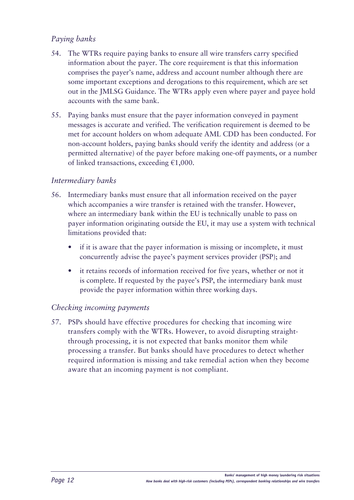## *Paying banks*

- 54. The WTRs require paying banks to ensure all wire transfers carry specified information about the payer. The core requirement is that this information comprises the payer's name, address and account number although there are some important exceptions and derogations to this requirement, which are set out in the JMLSG Guidance. The WTRs apply even where payer and payee hold accounts with the same bank.
- 55. Paying banks must ensure that the payer information conveyed in payment messages is accurate and verified. The verification requirement is deemed to be met for account holders on whom adequate AML CDD has been conducted. For non-account holders, paying banks should verify the identity and address (or a permitted alternative) of the payer before making one-off payments, or a number of linked transactions, exceeding €1,000.

## *Intermediary banks*

- 56. Intermediary banks must ensure that all information received on the payer which accompanies a wire transfer is retained with the transfer. However, where an intermediary bank within the EU is technically unable to pass on payer information originating outside the EU, it may use a system with technical limitations provided that:
	- if it is aware that the payer information is missing or incomplete, it must concurrently advise the payee's payment services provider (PSP); and
	- it retains records of information received for five years, whether or not it is complete. If requested by the payee's PSP, the intermediary bank must provide the payer information within three working days.

## *Checking incoming payments*

57. PSPs should have effective procedures for checking that incoming wire transfers comply with the WTRs. However, to avoid disrupting straightthrough processing, it is not expected that banks monitor them while processing a transfer. But banks should have procedures to detect whether required information is missing and take remedial action when they become aware that an incoming payment is not compliant.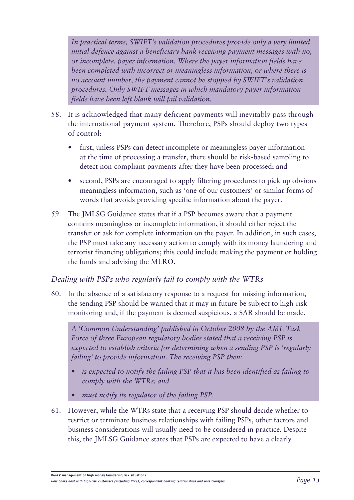*In practical terms, SWIFT's validation procedures provide only a very limited initial defence against a beneficiary bank receiving payment messages with no, or incomplete, payer information. Where the payer information fields have been completed with incorrect or meaningless information, or where there is no account number, the payment cannot be stopped by SWIFT's validation procedures. Only SWIFT messages in which mandatory payer information fields have been left blank will fail validation.*

- 58. It is acknowledged that many deficient payments will inevitably pass through the international payment system. Therefore, PSPs should deploy two types of control:
	- first, unless PSPs can detect incomplete or meaningless payer information at the time of processing a transfer, there should be risk-based sampling to detect non-compliant payments after they have been processed; and
	- second, PSPs are encouraged to apply filtering procedures to pick up obvious meaningless information, such as 'one of our customers' or similar forms of words that avoids providing specific information about the payer.
- 59. The JMLSG Guidance states that if a PSP becomes aware that a payment contains meaningless or incomplete information, it should either reject the transfer or ask for complete information on the payer. In addition, in such cases, the PSP must take any necessary action to comply with its money laundering and terrorist financing obligations; this could include making the payment or holding the funds and advising the MLRO.

## *Dealing with PSPs who regularly fail to comply with the WTRs*

60. In the absence of a satisfactory response to a request for missing information, the sending PSP should be warned that it may in future be subject to high-risk monitoring and, if the payment is deemed suspicious, a SAR should be made.

*A 'Common Understanding' published in October 2008 by the AML Task Force of three European regulatory bodies stated that a receiving PSP is expected to establish criteria for determining when a sending PSP is 'regularly failing' to provide information. The receiving PSP then:*

- *• is expected to notify the failing PSP that it has been identified as failing to comply with the WTRs; and*
- *• must notify its regulator of the failing PSP.*
- 61. However, while the WTRs state that a receiving PSP should decide whether to restrict or terminate business relationships with failing PSPs, other factors and business considerations will usually need to be considered in practice. Despite this, the JMLSG Guidance states that PSPs are expected to have a clearly

**Banks' management of high money laundering risk situations**

*How banks deal with high-risk customers (including PEPs), correspondent banking relationships and wire transfers Page 13*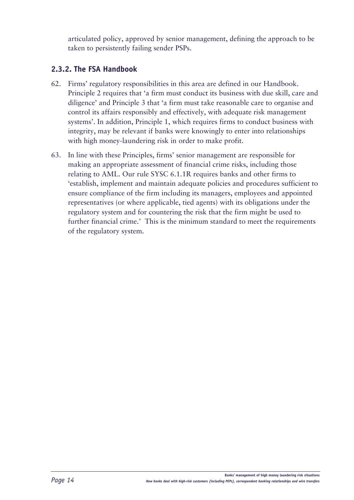<span id="page-15-0"></span>articulated policy, approved by senior management, defining the approach to be taken to persistently failing sender PSPs.

## **2.3.2. The FSA Handbook**

- 62. Firms' regulatory responsibilities in this area are defined in our Handbook. Principle 2 requires that 'a firm must conduct its business with due skill, care and diligence' and Principle 3 that 'a firm must take reasonable care to organise and control its affairs responsibly and effectively, with adequate risk management systems'. In addition, Principle 1, which requires firms to conduct business with integrity, may be relevant if banks were knowingly to enter into relationships with high money-laundering risk in order to make profit.
- 63. In line with these Principles, firms' senior management are responsible for making an appropriate assessment of financial crime risks, including those relating to AML. Our rule SYSC 6.1.1R requires banks and other firms to 'establish, implement and maintain adequate policies and procedures sufficient to ensure compliance of the firm including its managers, employees and appointed representatives (or where applicable, tied agents) with its obligations under the regulatory system and for countering the risk that the firm might be used to further financial crime.' This is the minimum standard to meet the requirements of the regulatory system.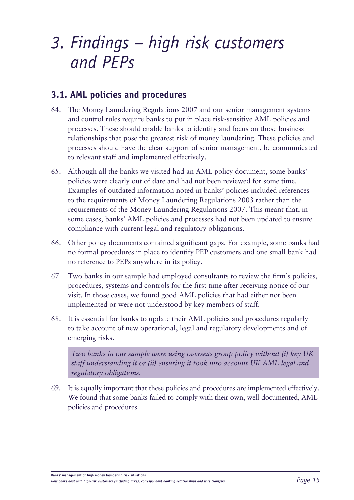## <span id="page-16-0"></span>*3. Findings – high risk customers and PEPs*

## **3.1. AML policies and procedures**

- 64. The Money Laundering Regulations 2007 and our senior management systems and control rules require banks to put in place risk-sensitive AML policies and processes. These should enable banks to identify and focus on those business relationships that pose the greatest risk of money laundering. These policies and processes should have the clear support of senior management, be communicated to relevant staff and implemented effectively.
- 65. Although all the banks we visited had an AML policy document, some banks' policies were clearly out of date and had not been reviewed for some time. Examples of outdated information noted in banks' policies included references to the requirements of Money Laundering Regulations 2003 rather than the requirements of the Money Laundering Regulations 2007. This meant that, in some cases, banks' AML policies and processes had not been updated to ensure compliance with current legal and regulatory obligations.
- 66. Other policy documents contained significant gaps. For example, some banks had no formal procedures in place to identify PEP customers and one small bank had no reference to PEPs anywhere in its policy.
- 67. Two banks in our sample had employed consultants to review the firm's policies, procedures, systems and controls for the first time after receiving notice of our visit. In those cases, we found good AML policies that had either not been implemented or were not understood by key members of staff.
- 68. It is essential for banks to update their AML policies and procedures regularly to take account of new operational, legal and regulatory developments and of emerging risks.

*Two banks in our sample were using overseas group policy without (i) key UK staff understanding it or (ii) ensuring it took into account UK AML legal and regulatory obligations.*

69. It is equally important that these policies and procedures are implemented effectively. We found that some banks failed to comply with their own, well-documented, AML policies and procedures.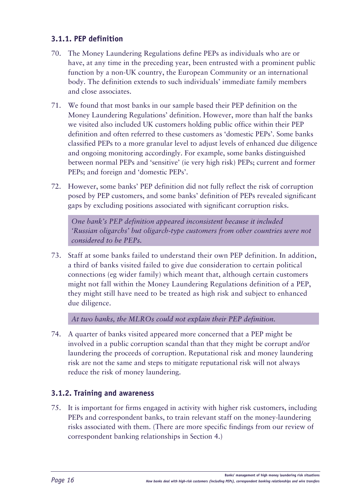## <span id="page-17-0"></span>**3.1.1. PEP definition**

- 70. The Money Laundering Regulations define PEPs as individuals who are or have, at any time in the preceding year, been entrusted with a prominent public function by a non-UK country, the European Community or an international body. The definition extends to such individuals' immediate family members and close associates.
- 71. We found that most banks in our sample based their PEP definition on the Money Laundering Regulations' definition. However, more than half the banks we visited also included UK customers holding public office within their PEP definition and often referred to these customers as 'domestic PEPs'. Some banks classified PEPs to a more granular level to adjust levels of enhanced due diligence and ongoing monitoring accordingly. For example, some banks distinguished between normal PEPs and 'sensitive' (ie very high risk) PEPs; current and former PEPs; and foreign and 'domestic PEPs'.
- 72. However, some banks' PEP definition did not fully reflect the risk of corruption posed by PEP customers, and some banks' definition of PEPs revealed significant gaps by excluding positions associated with significant corruption risks.

*One bank's PEP definition appeared inconsistent because it included 'Russian oligarchs' but oligarch-type customers from other countries were not considered to be PEPs.*

73. Staff at some banks failed to understand their own PEP definition. In addition, a third of banks visited failed to give due consideration to certain political connections (eg wider family) which meant that, although certain customers might not fall within the Money Laundering Regulations definition of a PEP, they might still have need to be treated as high risk and subject to enhanced due diligence.

*At two banks, the MLROs could not explain their PEP definition.*

74. A quarter of banks visited appeared more concerned that a PEP might be involved in a public corruption scandal than that they might be corrupt and/or laundering the proceeds of corruption. Reputational risk and money laundering risk are not the same and steps to mitigate reputational risk will not always reduce the risk of money laundering.

## **3.1.2. Training and awareness**

75. It is important for firms engaged in activity with higher risk customers, including PEPs and correspondent banks, to train relevant staff on the money-laundering risks associated with them. (There are more specific findings from our review of correspondent banking relationships in Section 4.)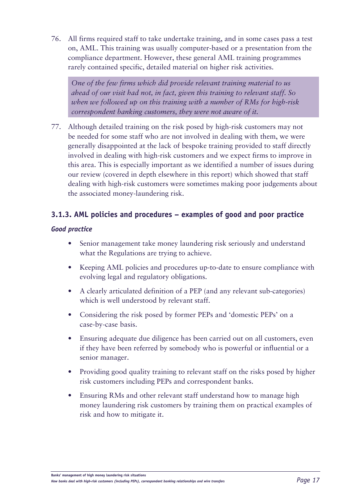<span id="page-18-0"></span>76. All firms required staff to take undertake training, and in some cases pass a test on, AML. This training was usually computer-based or a presentation from the compliance department. However, these general AML training programmes rarely contained specific, detailed material on higher risk activities.

*One of the few firms which did provide relevant training material to us ahead of our visit had not, in fact, given this training to relevant staff. So when we followed up on this training with a number of RMs for high-risk correspondent banking customers, they were not aware of it.*

77. Although detailed training on the risk posed by high-risk customers may not be needed for some staff who are not involved in dealing with them, we were generally disappointed at the lack of bespoke training provided to staff directly involved in dealing with high-risk customers and we expect firms to improve in this area. This is especially important as we identified a number of issues during our review (covered in depth elsewhere in this report) which showed that staff dealing with high-risk customers were sometimes making poor judgements about the associated money-laundering risk.

## **3.1.3. AML policies and procedures – examples of good and poor practice**

#### *Good practice*

- Senior management take money laundering risk seriously and understand what the Regulations are trying to achieve.
- Keeping AML policies and procedures up-to-date to ensure compliance with evolving legal and regulatory obligations.
- A clearly articulated definition of a PEP (and any relevant sub-categories) which is well understood by relevant staff.
- Considering the risk posed by former PEPs and 'domestic PEPs' on a case-by-case basis.
- Ensuring adequate due diligence has been carried out on all customers, even if they have been referred by somebody who is powerful or influential or a senior manager.
- Providing good quality training to relevant staff on the risks posed by higher risk customers including PEPs and correspondent banks.
- Ensuring RMs and other relevant staff understand how to manage high money laundering risk customers by training them on practical examples of risk and how to mitigate it.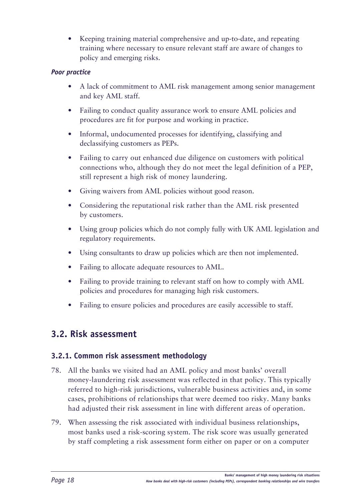<span id="page-19-0"></span>Keeping training material comprehensive and up-to-date, and repeating training where necessary to ensure relevant staff are aware of changes to policy and emerging risks.

## *Poor practice*

- A lack of commitment to AML risk management among senior management and key AML staff.
- Failing to conduct quality assurance work to ensure AML policies and procedures are fit for purpose and working in practice.
- Informal, undocumented processes for identifying, classifying and declassifying customers as PEPs.
- Failing to carry out enhanced due diligence on customers with political connections who, although they do not meet the legal definition of a PEP, still represent a high risk of money laundering.
- Giving waivers from AML policies without good reason.
- Considering the reputational risk rather than the AML risk presented by customers.
- Using group policies which do not comply fully with UK AML legislation and regulatory requirements.
- Using consultants to draw up policies which are then not implemented.
- Failing to allocate adequate resources to AML.
- Failing to provide training to relevant staff on how to comply with AML policies and procedures for managing high risk customers.
- Failing to ensure policies and procedures are easily accessible to staff.

## **3.2. Risk assessment**

## **3.2.1. Common risk assessment methodology**

- 78. All the banks we visited had an AML policy and most banks' overall money-laundering risk assessment was reflected in that policy. This typically referred to high-risk jurisdictions, vulnerable business activities and, in some cases, prohibitions of relationships that were deemed too risky. Many banks had adjusted their risk assessment in line with different areas of operation.
- 79. When assessing the risk associated with individual business relationships, most banks used a risk-scoring system. The risk score was usually generated by staff completing a risk assessment form either on paper or on a computer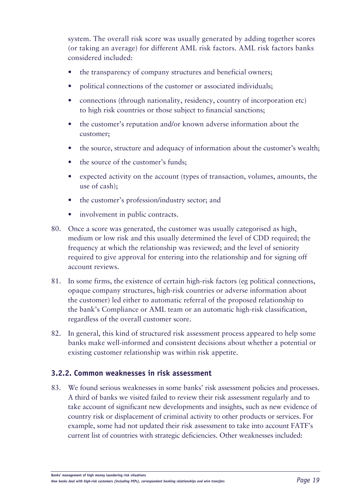<span id="page-20-0"></span>system. The overall risk score was usually generated by adding together scores (or taking an average) for different AML risk factors. AML risk factors banks considered included:

- the transparency of company structures and beneficial owners;
- political connections of the customer or associated individuals;
- connections (through nationality, residency, country of incorporation etc) to high risk countries or those subject to financial sanctions;
- the customer's reputation and/or known adverse information about the customer;
- the source, structure and adequacy of information about the customer's wealth;
- the source of the customer's funds;
- expected activity on the account (types of transaction, volumes, amounts, the use of cash);
- the customer's profession/industry sector; and
- involvement in public contracts.
- 80. Once a score was generated, the customer was usually categorised as high, medium or low risk and this usually determined the level of CDD required; the frequency at which the relationship was reviewed; and the level of seniority required to give approval for entering into the relationship and for signing off account reviews.
- 81. In some firms, the existence of certain high-risk factors (eg political connections, opaque company structures, high-risk countries or adverse information about the customer) led either to automatic referral of the proposed relationship to the bank's Compliance or AML team or an automatic high-risk classification, regardless of the overall customer score.
- 82. In general, this kind of structured risk assessment process appeared to help some banks make well-informed and consistent decisions about whether a potential or existing customer relationship was within risk appetite.

#### **3.2.2. Common weaknesses in risk assessment**

83. We found serious weaknesses in some banks' risk assessment policies and processes. A third of banks we visited failed to review their risk assessment regularly and to take account of significant new developments and insights, such as new evidence of country risk or displacement of criminal activity to other products or services. For example, some had not updated their risk assessment to take into account FATF's current list of countries with strategic deficiencies. Other weaknesses included: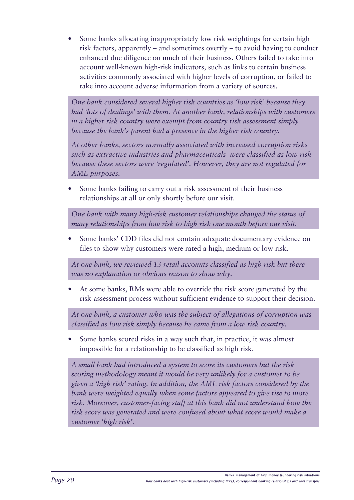Some banks allocating inappropriately low risk weightings for certain high risk factors, apparently – and sometimes overtly – to avoid having to conduct enhanced due diligence on much of their business. Others failed to take into account well-known high-risk indicators, such as links to certain business activities commonly associated with higher levels of corruption, or failed to take into account adverse information from a variety of sources.

*One bank considered several higher risk countries as 'low risk' because they had 'lots of dealings' with them. At another bank, relationships with customers in a higher risk country were exempt from country risk assessment simply because the bank's parent had a presence in the higher risk country.*

*At other banks, sectors normally associated with increased corruption risks such as extractive industries and pharmaceuticals were classified as low risk because these sectors were 'regulated'. However, they are not regulated for AML purposes.*

Some banks failing to carry out a risk assessment of their business relationships at all or only shortly before our visit.

*One bank with many high-risk customer relationships changed the status of many relationships from low risk to high risk one month before our visit.*

Some banks' CDD files did not contain adequate documentary evidence on files to show why customers were rated a high, medium or low risk.

*At one bank, we reviewed 13 retail accounts classified as high risk but there was no explanation or obvious reason to show why.*

At some banks, RMs were able to override the risk score generated by the risk-assessment process without sufficient evidence to support their decision.

*At one bank, a customer who was the subject of allegations of corruption was classified as low risk simply because he came from a low risk country.*

Some banks scored risks in a way such that, in practice, it was almost impossible for a relationship to be classified as high risk.

*A small bank had introduced a system to score its customers but the risk scoring methodology meant it would be very unlikely for a customer to be given a 'high risk' rating. In addition, the AML risk factors considered by the bank were weighted equally when some factors appeared to give rise to more risk. Moreover, customer-facing staff at this bank did not understand how the risk score was generated and were confused about what score would make a customer 'high risk'.*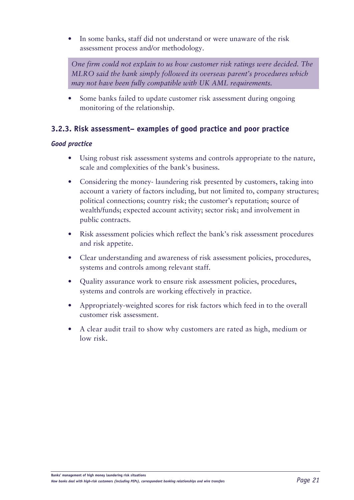<span id="page-22-0"></span>In some banks, staff did not understand or were unaware of the risk assessment process and/or methodology.

*One firm could not explain to us how customer risk ratings were decided. The MLRO said the bank simply followed its overseas parent's procedures which may not have been fully compatible with UK AML requirements.*

Some banks failed to update customer risk assessment during ongoing monitoring of the relationship.

## **3.2.3. Risk assessment– examples of good practice and poor practice**

#### *Good practice*

- Using robust risk assessment systems and controls appropriate to the nature, scale and complexities of the bank's business.
- Considering the money- laundering risk presented by customers, taking into account a variety of factors including, but not limited to, company structures; political connections; country risk; the customer's reputation; source of wealth/funds; expected account activity; sector risk; and involvement in public contracts.
- Risk assessment policies which reflect the bank's risk assessment procedures and risk appetite.
- • Clear understanding and awareness of risk assessment policies, procedures, systems and controls among relevant staff.
- Quality assurance work to ensure risk assessment policies, procedures, systems and controls are working effectively in practice.
- Appropriately-weighted scores for risk factors which feed in to the overall customer risk assessment.
- A clear audit trail to show why customers are rated as high, medium or low risk.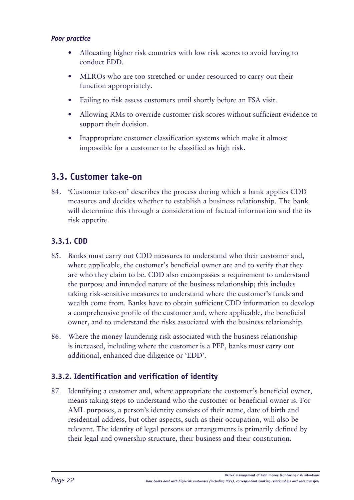#### <span id="page-23-0"></span>*Poor practice*

- Allocating higher risk countries with low risk scores to avoid having to conduct EDD.
- MLROs who are too stretched or under resourced to carry out their function appropriately.
- Failing to risk assess customers until shortly before an FSA visit.
- Allowing RMs to override customer risk scores without sufficient evidence to support their decision.
- Inappropriate customer classification systems which make it almost impossible for a customer to be classified as high risk.

## **3.3. Customer take-on**

84. 'Customer take-on' describes the process during which a bank applies CDD measures and decides whether to establish a business relationship. The bank will determine this through a consideration of factual information and the its risk appetite.

## **3.3.1. CDD**

- 85. Banks must carry out CDD measures to understand who their customer and, where applicable, the customer's beneficial owner are and to verify that they are who they claim to be. CDD also encompasses a requirement to understand the purpose and intended nature of the business relationship; this includes taking risk-sensitive measures to understand where the customer's funds and wealth come from. Banks have to obtain sufficient CDD information to develop a comprehensive profile of the customer and, where applicable, the beneficial owner, and to understand the risks associated with the business relationship.
- 86. Where the money-laundering risk associated with the business relationship is increased, including where the customer is a PEP, banks must carry out additional, enhanced due diligence or 'EDD'.

## **3.3.2. Identification and verification of identity**

87. Identifying a customer and, where appropriate the customer's beneficial owner, means taking steps to understand who the customer or beneficial owner is. For AML purposes, a person's identity consists of their name, date of birth and residential address, but other aspects, such as their occupation, will also be relevant. The identity of legal persons or arrangements is primarily defined by their legal and ownership structure, their business and their constitution.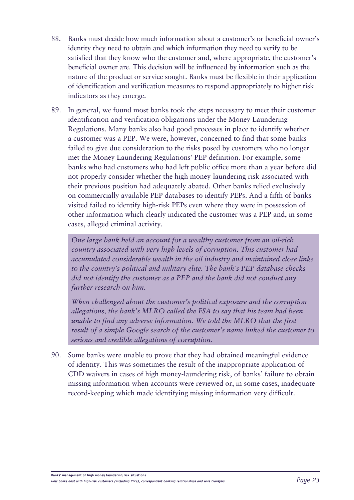- 88. Banks must decide how much information about a customer's or beneficial owner's identity they need to obtain and which information they need to verify to be satisfied that they know who the customer and, where appropriate, the customer's beneficial owner are. This decision will be influenced by information such as the nature of the product or service sought. Banks must be flexible in their application of identification and verification measures to respond appropriately to higher risk indicators as they emerge.
- 89. In general, we found most banks took the steps necessary to meet their customer identification and verification obligations under the Money Laundering Regulations. Many banks also had good processes in place to identify whether a customer was a PEP. We were, however, concerned to find that some banks failed to give due consideration to the risks posed by customers who no longer met the Money Laundering Regulations' PEP definition. For example, some banks who had customers who had left public office more than a year before did not properly consider whether the high money-laundering risk associated with their previous position had adequately abated. Other banks relied exclusively on commercially available PEP databases to identify PEPs. And a fifth of banks visited failed to identify high-risk PEPs even where they were in possession of other information which clearly indicated the customer was a PEP and, in some cases, alleged criminal activity.

*One large bank held an account for a wealthy customer from an oil-rich country associated with very high levels of corruption. This customer had accumulated considerable wealth in the oil industry and maintained close links to the country's political and military elite. The bank's PEP database checks did not identify the customer as a PEP and the bank did not conduct any further research on him.* 

*When challenged about the customer's political exposure and the corruption allegations, the bank's MLRO called the FSA to say that his team had been unable to find any adverse information. We told the MLRO that the first result of a simple Google search of the customer's name linked the customer to serious and credible allegations of corruption.*

90. Some banks were unable to prove that they had obtained meaningful evidence of identity. This was sometimes the result of the inappropriate application of CDD waivers in cases of high money-laundering risk, of banks' failure to obtain missing information when accounts were reviewed or, in some cases, inadequate record-keeping which made identifying missing information very difficult.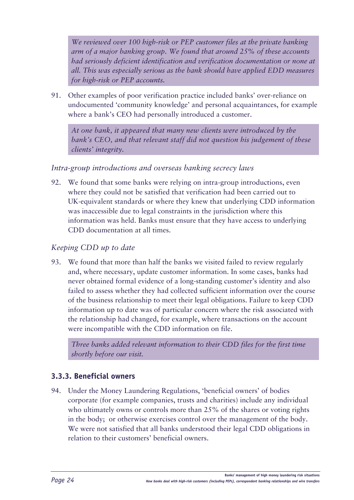<span id="page-25-0"></span>*We reviewed over 100 high-risk or PEP customer files at the private banking arm of a major banking group. We found that around 25% of these accounts had seriously deficient identification and verification documentation or none at all. This was especially serious as the bank should have applied EDD measures for high-risk or PEP accounts.*

91. Other examples of poor verification practice included banks' over-reliance on undocumented 'community knowledge' and personal acquaintances, for example where a bank's CEO had personally introduced a customer.

*At one bank, it appeared that many new clients were introduced by the bank's CEO, and that relevant staff did not question his judgement of these clients' integrity.*

## *Intra-group introductions and overseas banking secrecy laws*

92. We found that some banks were relying on intra-group introductions, even where they could not be satisfied that verification had been carried out to UK-equivalent standards or where they knew that underlying CDD information was inaccessible due to legal constraints in the jurisdiction where this information was held. Banks must ensure that they have access to underlying CDD documentation at all times.

## *Keeping CDD up to date*

93. We found that more than half the banks we visited failed to review regularly and, where necessary, update customer information. In some cases, banks had never obtained formal evidence of a long-standing customer's identity and also failed to assess whether they had collected sufficient information over the course of the business relationship to meet their legal obligations. Failure to keep CDD information up to date was of particular concern where the risk associated with the relationship had changed, for example, where transactions on the account were incompatible with the CDD information on file.

*Three banks added relevant information to their CDD files for the first time shortly before our visit.*

## **3.3.3. Beneficial owners**

94. Under the Money Laundering Regulations, 'beneficial owners' of bodies corporate (for example companies, trusts and charities) include any individual who ultimately owns or controls more than 25% of the shares or voting rights in the body; or otherwise exercises control over the management of the body. We were not satisfied that all banks understood their legal CDD obligations in relation to their customers' beneficial owners.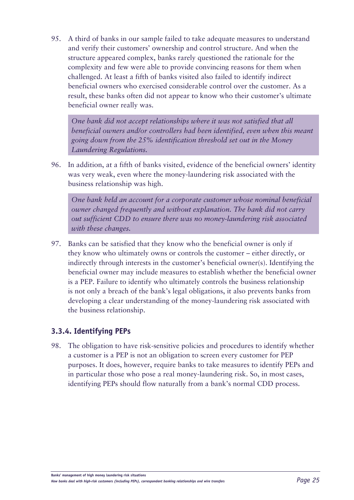<span id="page-26-0"></span>95. A third of banks in our sample failed to take adequate measures to understand and verify their customers' ownership and control structure. And when the structure appeared complex, banks rarely questioned the rationale for the complexity and few were able to provide convincing reasons for them when challenged. At least a fifth of banks visited also failed to identify indirect beneficial owners who exercised considerable control over the customer. As a result, these banks often did not appear to know who their customer's ultimate beneficial owner really was.

*One bank did not accept relationships where it was not satisfied that all beneficial owners and/or controllers had been identified, even when this meant going down from the 25% identification threshold set out in the Money Laundering Regulations.*

96. In addition, at a fifth of banks visited, evidence of the beneficial owners' identity was very weak, even where the money-laundering risk associated with the business relationship was high.

*One bank held an account for a corporate customer whose nominal beneficial owner changed frequently and without explanation. The bank did not carry out sufficient CDD to ensure there was no money-laundering risk associated with these changes.*

97. Banks can be satisfied that they know who the beneficial owner is only if they know who ultimately owns or controls the customer – either directly, or indirectly through interests in the customer's beneficial owner(s). Identifying the beneficial owner may include measures to establish whether the beneficial owner is a PEP. Failure to identify who ultimately controls the business relationship is not only a breach of the bank's legal obligations, it also prevents banks from developing a clear understanding of the money-laundering risk associated with the business relationship.

## **3.3.4. Identifying PEPs**

98. The obligation to have risk-sensitive policies and procedures to identify whether a customer is a PEP is not an obligation to screen every customer for PEP purposes. It does, however, require banks to take measures to identify PEPs and in particular those who pose a real money-laundering risk. So, in most cases, identifying PEPs should flow naturally from a bank's normal CDD process.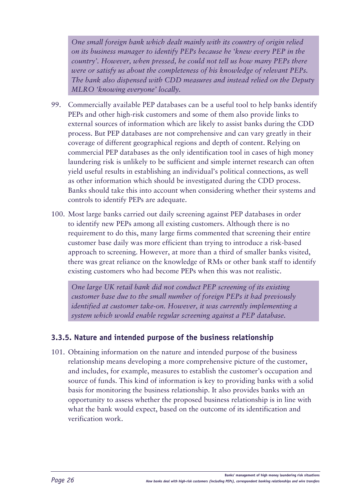<span id="page-27-0"></span>*One small foreign bank which dealt mainly with its country of origin relied on its business manager to identify PEPs because he 'knew every PEP in the country'. However, when pressed, he could not tell us how many PEPs there were or satisfy us about the completeness of his knowledge of relevant PEPs. The bank also dispensed with CDD measures and instead relied on the Deputy MLRO 'knowing everyone' locally.*

- 99. Commercially available PEP databases can be a useful tool to help banks identify PEPs and other high-risk customers and some of them also provide links to external sources of information which are likely to assist banks during the CDD process. But PEP databases are not comprehensive and can vary greatly in their coverage of different geographical regions and depth of content. Relying on commercial PEP databases as the only identification tool in cases of high money laundering risk is unlikely to be sufficient and simple internet research can often yield useful results in establishing an individual's political connections, as well as other information which should be investigated during the CDD process. Banks should take this into account when considering whether their systems and controls to identify PEPs are adequate.
- 100. Most large banks carried out daily screening against PEP databases in order to identify new PEPs among all existing customers. Although there is no requirement to do this, many large firms commented that screening their entire customer base daily was more efficient than trying to introduce a risk-based approach to screening. However, at more than a third of smaller banks visited, there was great reliance on the knowledge of RMs or other bank staff to identify existing customers who had become PEPs when this was not realistic.

*One large UK retail bank did not conduct PEP screening of its existing customer base due to the small number of foreign PEPs it had previously identified at customer take-on. However, it was currently implementing a system which would enable regular screening against a PEP database.*

## **3.3.5. Nature and intended purpose of the business relationship**

101. Obtaining information on the nature and intended purpose of the business relationship means developing a more comprehensive picture of the customer, and includes, for example, measures to establish the customer's occupation and source of funds. This kind of information is key to providing banks with a solid basis for monitoring the business relationship. It also provides banks with an opportunity to assess whether the proposed business relationship is in line with what the bank would expect, based on the outcome of its identification and verification work.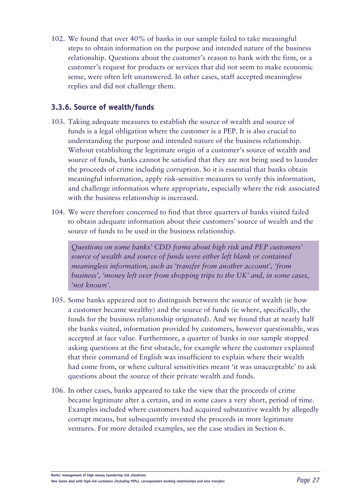<span id="page-28-0"></span>102. We found that over 40% of banks in our sample failed to take meaningful steps to obtain information on the purpose and intended nature of the business relationship. Questions about the customer's reason to bank with the firm, or a customer's request for products or services that did not seem to make economic sense, were often left unanswered. In other cases, staff accepted meaningless replies and did not challenge them.

## **3.3.6. Source of wealth/funds**

- 103. Taking adequate measures to establish the source of wealth and source of funds is a legal obligation where the customer is a PEP. It is also crucial to understanding the purpose and intended nature of the business relationship. Without establishing the legitimate origin of a customer's source of wealth and source of funds, banks cannot be satisfied that they are not being used to launder the proceeds of crime including corruption. So it is essential that banks obtain meaningful information, apply risk-sensitive measures to verify this information, and challenge information where appropriate, especially where the risk associated with the business relationship is increased.
- 104. We were therefore concerned to find that three quarters of banks visited failed to obtain adequate information about their customers' source of wealth and the source of funds to be used in the business relationship.

*Questions on some banks' CDD forms about high risk and PEP customers' source of wealth and source of funds were either left blank or contained meaningless information, such as 'transfer from another account', 'from business', 'money left over from shopping trips to the UK' and, in some cases, 'not known'.*

- 105. Some banks appeared not to distinguish between the source of wealth (ie how a customer became wealthy) and the source of funds (ie where, specifically, the funds for the business relationship originated). And we found that at nearly half the banks visited, information provided by customers, however questionable, was accepted at face value. Furthermore, a quarter of banks in our sample stopped asking questions at the first obstacle, for example where the customer explained that their command of English was insufficient to explain where their wealth had come from, or where cultural sensitivities meant 'it was unacceptable' to ask questions about the source of their private wealth and funds.
- 106. In other cases, banks appeared to take the view that the proceeds of crime became legitimate after a certain, and in some cases a very short, period of time. Examples included where customers had acquired substantive wealth by allegedly corrupt means, but subsequently invested the proceeds in more legitimate ventures. For more detailed examples, see the case studies in Section 6.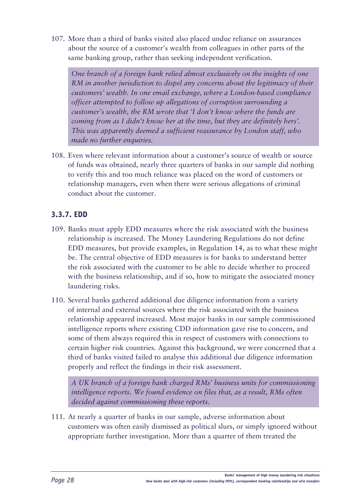<span id="page-29-0"></span>107. More than a third of banks visited also placed undue reliance on assurances about the source of a customer's wealth from colleagues in other parts of the same banking group, rather than seeking independent verification.

*One branch of a foreign bank relied almost exclusively on the insights of one RM in another jurisdiction to dispel any concerns about the legitimacy of their customers' wealth. In one email exchange, where a London-based compliance officer attempted to follow up allegations of corruption surrounding a customer's wealth, the RM wrote that 'I don't know where the funds are coming from as I didn't know her at the time, but they are definitely hers'. This was apparently deemed a sufficient reassurance by London staff, who made no further enquiries.*

108. Even where relevant information about a customer's source of wealth or source of funds was obtained, nearly three quarters of banks in our sample did nothing to verify this and too much reliance was placed on the word of customers or relationship managers, even when there were serious allegations of criminal conduct about the customer.

## **3.3.7. EDD**

- 109. Banks must apply EDD measures where the risk associated with the business relationship is increased. The Money Laundering Regulations do not define EDD measures, but provide examples, in Regulation 14, as to what these might be. The central objective of EDD measures is for banks to understand better the risk associated with the customer to be able to decide whether to proceed with the business relationship, and if so, how to mitigate the associated money laundering risks.
- 110. Several banks gathered additional due diligence information from a variety of internal and external sources where the risk associated with the business relationship appeared increased. Most major banks in our sample commissioned intelligence reports where existing CDD information gave rise to concern, and some of them always required this in respect of customers with connections to certain higher risk countries. Against this background, we were concerned that a third of banks visited failed to analyse this additional due diligence information properly and reflect the findings in their risk assessment.

*A UK branch of a foreign bank charged RMs' business units for commissioning intelligence reports. We found evidence on files that, as a result, RMs often decided against commissioning these reports.* 

111. At nearly a quarter of banks in our sample, adverse information about customers was often easily dismissed as political slurs, or simply ignored without appropriate further investigation. More than a quarter of them treated the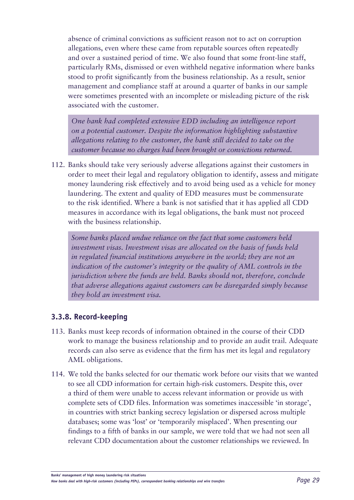<span id="page-30-0"></span>absence of criminal convictions as sufficient reason not to act on corruption allegations, even where these came from reputable sources often repeatedly and over a sustained period of time. We also found that some front-line staff, particularly RMs, dismissed or even withheld negative information where banks stood to profit significantly from the business relationship. As a result, senior management and compliance staff at around a quarter of banks in our sample were sometimes presented with an incomplete or misleading picture of the risk associated with the customer.

*One bank had completed extensive EDD including an intelligence report on a potential customer. Despite the information highlighting substantive allegations relating to the customer, the bank still decided to take on the customer because no charges had been brought or convictions returned.*

112. Banks should take very seriously adverse allegations against their customers in order to meet their legal and regulatory obligation to identify, assess and mitigate money laundering risk effectively and to avoid being used as a vehicle for money laundering. The extent and quality of EDD measures must be commensurate to the risk identified. Where a bank is not satisfied that it has applied all CDD measures in accordance with its legal obligations, the bank must not proceed with the business relationship.

*Some banks placed undue reliance on the fact that some customers held investment visas. Investment visas are allocated on the basis of funds held in regulated financial institutions anywhere in the world; they are not an indication of the customer's integrity or the quality of AML controls in the jurisdiction where the funds are held. Banks should not, therefore, conclude that adverse allegations against customers can be disregarded simply because they hold an investment visa.*

## **3.3.8. Record-keeping**

- 113. Banks must keep records of information obtained in the course of their CDD work to manage the business relationship and to provide an audit trail. Adequate records can also serve as evidence that the firm has met its legal and regulatory AML obligations.
- 114. We told the banks selected for our thematic work before our visits that we wanted to see all CDD information for certain high-risk customers. Despite this, over a third of them were unable to access relevant information or provide us with complete sets of CDD files. Information was sometimes inaccessible 'in storage', in countries with strict banking secrecy legislation or dispersed across multiple databases; some was 'lost' or 'temporarily misplaced'. When presenting our findings to a fifth of banks in our sample, we were told that we had not seen all relevant CDD documentation about the customer relationships we reviewed. In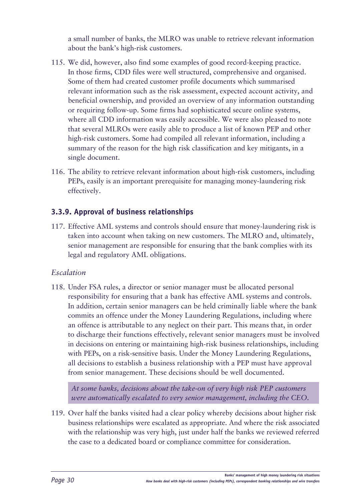<span id="page-31-0"></span>a small number of banks, the MLRO was unable to retrieve relevant information about the bank's high-risk customers.

- 115. We did, however, also find some examples of good record-keeping practice. In those firms, CDD files were well structured, comprehensive and organised. Some of them had created customer profile documents which summarised relevant information such as the risk assessment, expected account activity, and beneficial ownership, and provided an overview of any information outstanding or requiring follow-up. Some firms had sophisticated secure online systems, where all CDD information was easily accessible. We were also pleased to note that several MLROs were easily able to produce a list of known PEP and other high-risk customers. Some had compiled all relevant information, including a summary of the reason for the high risk classification and key mitigants, in a single document.
- 116. The ability to retrieve relevant information about high-risk customers, including PEPs, easily is an important prerequisite for managing money-laundering risk effectively.

## **3.3.9. Approval of business relationships**

117. Effective AML systems and controls should ensure that money-laundering risk is taken into account when taking on new customers. The MLRO and, ultimately, senior management are responsible for ensuring that the bank complies with its legal and regulatory AML obligations.

## *Escalation*

118. Under FSA rules, a director or senior manager must be allocated personal responsibility for ensuring that a bank has effective AML systems and controls. In addition, certain senior managers can be held criminally liable where the bank commits an offence under the Money Laundering Regulations, including where an offence is attributable to any neglect on their part. This means that, in order to discharge their functions effectively, relevant senior managers must be involved in decisions on entering or maintaining high-risk business relationships, including with PEPs, on a risk-sensitive basis. Under the Money Laundering Regulations, all decisions to establish a business relationship with a PEP must have approval from senior management. These decisions should be well documented.

*At some banks, decisions about the take-on of very high risk PEP customers were automatically escalated to very senior management, including the CEO.*

119. Over half the banks visited had a clear policy whereby decisions about higher risk business relationships were escalated as appropriate. And where the risk associated with the relationship was very high, just under half the banks we reviewed referred the case to a dedicated board or compliance committee for consideration.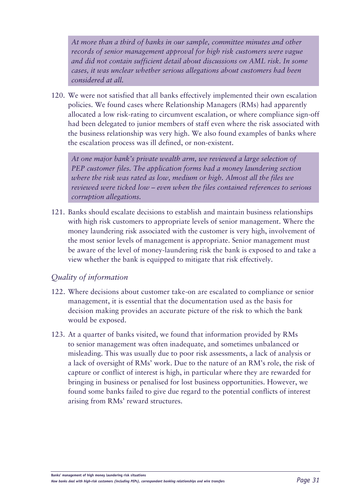*At more than a third of banks in our sample, committee minutes and other records of senior management approval for high risk customers were vague and did not contain sufficient detail about discussions on AML risk. In some cases, it was unclear whether serious allegations about customers had been considered at all.*

120. We were not satisfied that all banks effectively implemented their own escalation policies. We found cases where Relationship Managers (RMs) had apparently allocated a low risk-rating to circumvent escalation, or where compliance sign-off had been delegated to junior members of staff even where the risk associated with the business relationship was very high. We also found examples of banks where the escalation process was ill defined, or non-existent.

*At one major bank's private wealth arm, we reviewed a large selection of PEP customer files. The application forms had a money laundering section where the risk was rated as low, medium or high. Almost all the files we reviewed were ticked low – even when the files contained references to serious corruption allegations.*

121. Banks should escalate decisions to establish and maintain business relationships with high risk customers to appropriate levels of senior management. Where the money laundering risk associated with the customer is very high, involvement of the most senior levels of management is appropriate. Senior management must be aware of the level of money-laundering risk the bank is exposed to and take a view whether the bank is equipped to mitigate that risk effectively.

## *Quality of information*

- 122. Where decisions about customer take-on are escalated to compliance or senior management, it is essential that the documentation used as the basis for decision making provides an accurate picture of the risk to which the bank would be exposed.
- 123. At a quarter of banks visited, we found that information provided by RMs to senior management was often inadequate, and sometimes unbalanced or misleading. This was usually due to poor risk assessments, a lack of analysis or a lack of oversight of RMs' work. Due to the nature of an RM's role, the risk of capture or conflict of interest is high, in particular where they are rewarded for bringing in business or penalised for lost business opportunities. However, we found some banks failed to give due regard to the potential conflicts of interest arising from RMs' reward structures.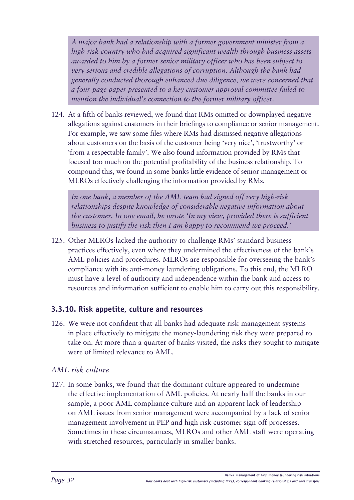<span id="page-33-0"></span>*A major bank had a relationship with a former government minister from a high-risk country who had acquired significant wealth through business assets awarded to him by a former senior military officer who has been subject to very serious and credible allegations of corruption. Although the bank had generally conducted thorough enhanced due diligence, we were concerned that a four-page paper presented to a key customer approval committee failed to mention the individual's connection to the former military officer.*

124. At a fifth of banks reviewed, we found that RMs omitted or downplayed negative allegations against customers in their briefings to compliance or senior management. For example, we saw some files where RMs had dismissed negative allegations about customers on the basis of the customer being 'very nice', 'trustworthy' or 'from a respectable family'. We also found information provided by RMs that focused too much on the potential profitability of the business relationship. To compound this, we found in some banks little evidence of senior management or MLROs effectively challenging the information provided by RMs.

*In one bank, a member of the AML team had signed off very high-risk relationships despite knowledge of considerable negative information about the customer. In one email, he wrote 'In my view, provided there is sufficient business to justify the risk then I am happy to recommend we proceed.'*

125. Other MLROs lacked the authority to challenge RMs' standard business practices effectively, even where they undermined the effectiveness of the bank's AML policies and procedures. MLROs are responsible for overseeing the bank's compliance with its anti-money laundering obligations. To this end, the MLRO must have a level of authority and independence within the bank and access to resources and information sufficient to enable him to carry out this responsibility.

## **3.3.10. Risk appetite, culture and resources**

126. We were not confident that all banks had adequate risk-management systems in place effectively to mitigate the money-laundering risk they were prepared to take on. At more than a quarter of banks visited, the risks they sought to mitigate were of limited relevance to AML.

## *AML risk culture*

127. In some banks, we found that the dominant culture appeared to undermine the effective implementation of AML policies. At nearly half the banks in our sample, a poor AML compliance culture and an apparent lack of leadership on AML issues from senior management were accompanied by a lack of senior management involvement in PEP and high risk customer sign-off processes. Sometimes in these circumstances, MLROs and other AML staff were operating with stretched resources, particularly in smaller banks.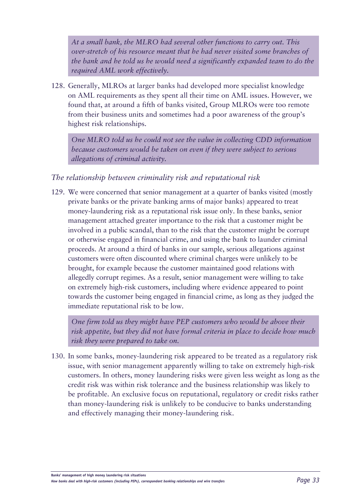*At a small bank, the MLRO had several other functions to carry out. This over-stretch of his resource meant that he had never visited some branches of the bank and he told us he would need a significantly expanded team to do the required AML work effectively.*

128. Generally, MLROs at larger banks had developed more specialist knowledge on AML requirements as they spent all their time on AML issues. However, we found that, at around a fifth of banks visited, Group MLROs were too remote from their business units and sometimes had a poor awareness of the group's highest risk relationships.

*One MLRO told us he could not see the value in collecting CDD information because customers would be taken on even if they were subject to serious allegations of criminal activity.*

## *The relationship between criminality risk and reputational risk*

129. We were concerned that senior management at a quarter of banks visited (mostly private banks or the private banking arms of major banks) appeared to treat money-laundering risk as a reputational risk issue only. In these banks, senior management attached greater importance to the risk that a customer might be involved in a public scandal, than to the risk that the customer might be corrupt or otherwise engaged in financial crime, and using the bank to launder criminal proceeds. At around a third of banks in our sample, serious allegations against customers were often discounted where criminal charges were unlikely to be brought, for example because the customer maintained good relations with allegedly corrupt regimes. As a result, senior management were willing to take on extremely high-risk customers, including where evidence appeared to point towards the customer being engaged in financial crime, as long as they judged the immediate reputational risk to be low.

*One firm told us they might have PEP customers who would be above their risk appetite, but they did not have formal criteria in place to decide how much risk they were prepared to take on.*

130. In some banks, money-laundering risk appeared to be treated as a regulatory risk issue, with senior management apparently willing to take on extremely high-risk customers. In others, money laundering risks were given less weight as long as the credit risk was within risk tolerance and the business relationship was likely to be profitable. An exclusive focus on reputational, regulatory or credit risks rather than money-laundering risk is unlikely to be conducive to banks understanding and effectively managing their money-laundering risk.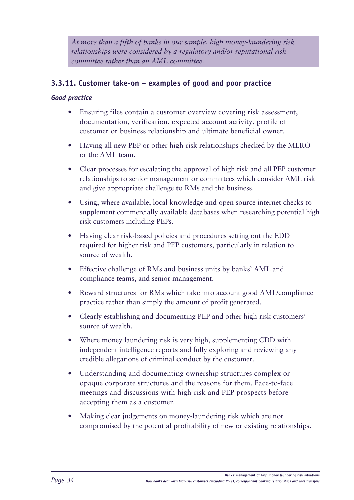<span id="page-35-0"></span>*At more than a fifth of banks in our sample, high money-laundering risk relationships were considered by a regulatory and/or reputational risk committee rather than an AML committee.*

## **3.3.11. Customer take-on – examples of good and poor practice**

#### *Good practice*

- Ensuring files contain a customer overview covering risk assessment, documentation, verification, expected account activity, profile of customer or business relationship and ultimate beneficial owner.
- Having all new PEP or other high-risk relationships checked by the MLRO or the AML team.
- Clear processes for escalating the approval of high risk and all PEP customer relationships to senior management or committees which consider AML risk and give appropriate challenge to RMs and the business.
- Using, where available, local knowledge and open source internet checks to supplement commercially available databases when researching potential high risk customers including PEPs.
- Having clear risk-based policies and procedures setting out the EDD required for higher risk and PEP customers, particularly in relation to source of wealth.
- Effective challenge of RMs and business units by banks' AML and compliance teams, and senior management.
- Reward structures for RMs which take into account good AML/compliance practice rather than simply the amount of profit generated.
- Clearly establishing and documenting PEP and other high-risk customers' source of wealth.
- Where money laundering risk is very high, supplementing CDD with independent intelligence reports and fully exploring and reviewing any credible allegations of criminal conduct by the customer.
- Understanding and documenting ownership structures complex or opaque corporate structures and the reasons for [them. Face](them.Face)-to-face meetings and discussions with high-risk and PEP prospects before accepting them as a customer.
- Making clear judgements on money-laundering risk which are not compromised by the potential profitability of new or existing relationships.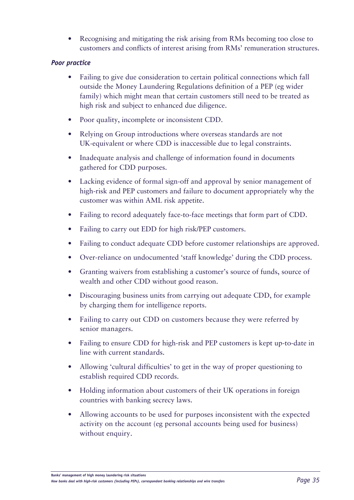• Recognising and mitigating the risk arising from RMs becoming too close to customers and conflicts of interest arising from RMs' remuneration structures.

### *Poor practice*

- Failing to give due consideration to certain political connections which fall outside the Money Laundering Regulations definition of a PEP (eg wider family) which might mean that certain customers still need to be treated as high risk and subject to enhanced due diligence.
- Poor quality, incomplete or inconsistent CDD.
- Relying on Group introductions where overseas standards are not UK-equivalent or where CDD is inaccessible due to legal constraints.
- Inadequate analysis and challenge of information found in documents gathered for CDD purposes.
- Lacking evidence of formal sign-off and approval by senior management of high-risk and PEP customers and failure to document appropriately why the customer was within AML risk appetite.
- Failing to record adequately face-to-face meetings that form part of CDD.
- Failing to carry out EDD for high risk/PEP customers.
- Failing to conduct adequate CDD before customer relationships are approved.
- Over-reliance on undocumented 'staff knowledge' during the CDD process.
- Granting waivers from establishing a customer's source of funds, source of wealth and other CDD without good reason.
- Discouraging business units from carrying out adequate CDD, for example by charging them for intelligence reports.
- Failing to carry out CDD on customers because they were referred by senior managers.
- Failing to ensure CDD for high-risk and PEP customers is kept up-to-date in line with current standards.
- Allowing 'cultural difficulties' to get in the way of proper questioning to establish required CDD records.
- Holding information about customers of their UK operations in foreign countries with banking secrecy laws.
- Allowing accounts to be used for purposes inconsistent with the expected activity on the account (eg personal accounts being used for business) without enquiry.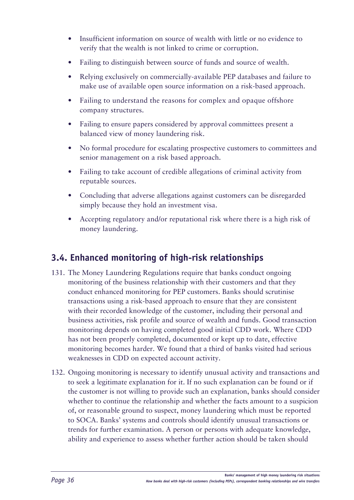- Insufficient information on source of wealth with little or no evidence to verify that the wealth is not linked to crime or corruption.
- Failing to distinguish between source of funds and source of wealth.
- Relying exclusively on commercially-available PEP databases and failure to make use of available open source information on a risk-based approach.
- Failing to understand the reasons for complex and opaque offshore company structures.
- Failing to ensure papers considered by approval committees present a balanced view of money laundering risk.
- No formal procedure for escalating prospective customers to committees and senior management on a risk based approach.
- Failing to take account of credible allegations of criminal activity from reputable sources.
- Concluding that adverse allegations against customers can be disregarded simply because they hold an investment visa.
- Accepting regulatory and/or reputational risk where there is a high risk of money laundering.

# **3.4. Enhanced monitoring of high-risk relationships**

- 131. The Money Laundering Regulations require that banks conduct ongoing monitoring of the business relationship with their customers and that they conduct enhanced monitoring for PEP customers. Banks should scrutinise transactions using a risk-based approach to ensure that they are consistent with their recorded knowledge of the customer, including their personal and business activities, risk profile and source of wealth and funds. Good transaction monitoring depends on having completed good initial CDD work. Where CDD has not been properly completed, documented or kept up to date, effective monitoring becomes harder. We found that a third of banks visited had serious weaknesses in CDD on expected account activity.
- 132. Ongoing monitoring is necessary to identify unusual activity and transactions and to seek a legitimate explanation for it. If no such explanation can be found or if the customer is not willing to provide such an explanation, banks should consider whether to continue the relationship and whether the facts amount to a suspicion of, or reasonable ground to suspect, money laundering which must be reported to SOCA. Banks' systems and controls should identify unusual transactions or trends for further examination. A person or persons with adequate knowledge, ability and experience to assess whether further action should be taken should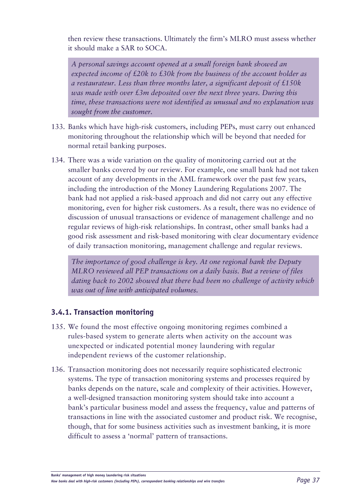then review these transactions. Ultimately the firm's MLRO must assess whether it should make a SAR to SOCA.

*A personal savings account opened at a small foreign bank showed an expected income of £20k to £30k from the business of the account holder as a restaurateur. Less than three months later, a significant deposit of £150k was made with over £3m deposited over the next three years. During this time, these transactions were not identified as unusual and no explanation was sought from the customer.*

- 133. Banks which have high-risk customers, including PEPs, must carry out enhanced monitoring throughout the relationship which will be beyond that needed for normal retail banking purposes.
- 134. There was a wide variation on the quality of monitoring carried out at the smaller banks covered by our review. For example, one small bank had not taken account of any developments in the AML framework over the past few years, including the introduction of the Money Laundering Regulations 2007. The bank had not applied a risk-based approach and did not carry out any effective monitoring, even for higher risk customers. As a result, there was no evidence of discussion of unusual transactions or evidence of management challenge and no regular reviews of high-risk relationships. In contrast, other small banks had a good risk assessment and risk-based monitoring with clear documentary evidence of daily transaction monitoring, management challenge and regular reviews.

*The importance of good challenge is key. At one regional bank the Deputy MLRO reviewed all PEP transactions on a daily basis. But a review of files dating back to 2002 showed that there had been no challenge of activity which was out of line with anticipated volumes.*

### **3.4.1. Transaction monitoring**

- 135. We found the most effective ongoing monitoring regimes combined a rules-based system to generate alerts when activity on the account was unexpected or indicated potential money laundering with regular independent reviews of the customer relationship.
- 136. Transaction monitoring does not necessarily require sophisticated electronic systems. The type of transaction monitoring systems and processes required by banks depends on the nature, scale and complexity of their activities. However, a well-designed transaction monitoring system should take into account a bank's particular business model and assess the frequency, value and patterns of transactions in line with the associated customer and product risk. We recognise, though, that for some business activities such as investment banking, it is more difficult to assess a 'normal' pattern of transactions.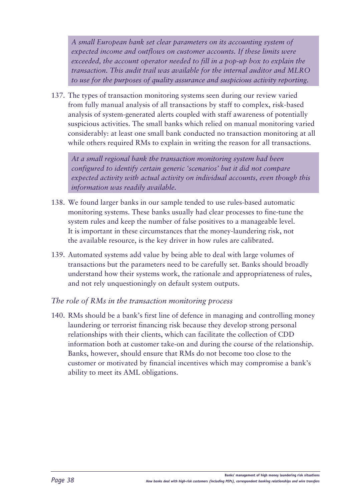*A small European bank set clear parameters on its accounting system of expected income and outflows on customer accounts. If these limits were exceeded, the account operator needed to fill in a pop-up box to explain the transaction. This audit trail was available for the internal auditor and MLRO to use for the purposes of quality assurance and suspicious activity reporting.*

137. The types of transaction monitoring systems seen during our review varied from fully manual analysis of all transactions by staff to complex, risk-based analysis of system-generated alerts coupled with staff awareness of potentially suspicious activities. The small banks which relied on manual monitoring varied considerably: at least one small bank conducted no transaction monitoring at all while others required RMs to explain in writing the reason for all transactions.

*At a small regional bank the transaction monitoring system had been configured to identify certain generic 'scenarios' but it did not compare expected activity with actual activity on individual accounts, even though this information was readily available.*

- 138. We found larger banks in our sample tended to use rules-based automatic monitoring systems. These banks usually had clear processes to fine-tune the system rules and keep the number of false positives to a manageable level. It is important in these circumstances that the money-laundering risk, not the available resource, is the key driver in how rules are calibrated.
- 139. Automated systems add value by being able to deal with large volumes of transactions but the parameters need to be carefully set. Banks should broadly understand how their systems work, the rationale and appropriateness of rules, and not rely unquestioningly on default system outputs.

### *The role of RMs in the transaction monitoring process*

140. RMs should be a bank's first line of defence in managing and controlling money laundering or terrorist financing risk because they develop strong personal relationships with their clients, which can facilitate the collection of CDD information both at customer take-on and during the course of the relationship. Banks, however, should ensure that RMs do not become too close to the customer or motivated by financial incentives which may compromise a bank's ability to meet its AML obligations.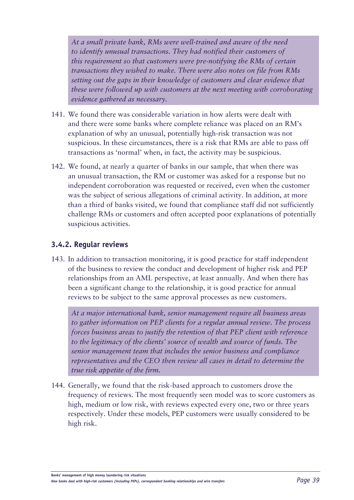*At a small private bank, RMs were well-trained and aware of the need to identify unusual transactions. They had notified their customers of this requirement so that customers were pre-notifying the RMs of certain transactions they wished to make. There were also notes on file from RMs setting out the gaps in their knowledge of customers and clear evidence that these were followed up with customers at the next meeting with corroborating evidence gathered as necessary.*

- 141. We found there was considerable variation in how alerts were dealt with and there were some banks where complete reliance was placed on an RM's explanation of why an unusual, potentially high-risk transaction was not suspicious. In these circumstances, there is a risk that RMs are able to pass off transactions as 'normal' when, in fact, the activity may be suspicious.
- 142. We found, at nearly a quarter of banks in our sample, that when there was an unusual transaction, the RM or customer was asked for a response but no independent corroboration was requested or received, even when the customer was the subject of serious allegations of criminal activity. In addition, at more than a third of banks visited, we found that compliance staff did not sufficiently challenge RMs or customers and often accepted poor explanations of potentially suspicious activities.

### **3.4.2. Regular reviews**

143. In addition to transaction monitoring, it is good practice for staff independent of the business to review the conduct and development of higher risk and PEP relationships from an AML perspective, at least annually. And when there has been a significant change to the relationship, it is good practice for annual reviews to be subject to the same approval processes as new customers.

*At a major international bank, senior management require all business areas to gather information on PEP clients for a regular annual review. The process forces business areas to justify the retention of that PEP client with reference to the legitimacy of the clients' source of wealth and source of funds. The senior management team that includes the senior business and compliance representatives and the CEO then review all cases in detail to determine the true risk appetite of the firm.*

144. Generally, we found that the risk-based approach to customers drove the frequency of reviews. The most frequently seen model was to score customers as high, medium or low risk, with reviews expected every one, two or three years respectively. Under these models, PEP customers were usually considered to be high risk.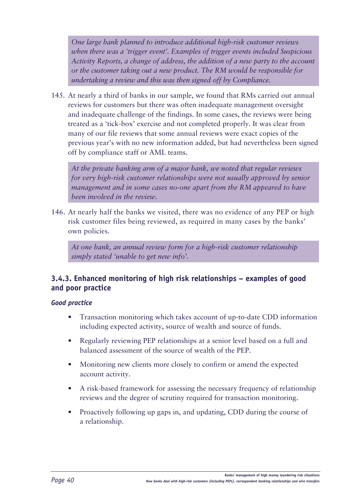*One large bank planned to introduce additional high-risk customer reviews when there was a 'trigger event'. Examples of trigger events included Suspicious Activity Reports, a change of address, the addition of a new party to the account or the customer taking out a new product. The RM would be responsible for undertaking a review and this was then signed off by Compliance.*

145. At nearly a third of banks in our sample, we found that RMs carried out annual reviews for customers but there was often inadequate management oversight and inadequate challenge of the findings. In some cases, the reviews were being treated as a 'tick-box' exercise and not completed properly. It was clear from many of our file reviews that some annual reviews were exact copies of the previous year's with no new information added, but had nevertheless been signed off by compliance staff or AML teams.

*At the private banking arm of a major bank, we noted that regular reviews for very high-risk customer relationships were not usually approved by senior management and in some cases no-one apart from the RM appeared to have been involved in the review.* 

146. At nearly half the banks we visited, there was no evidence of any PEP or high risk customer files being reviewed, as required in many cases by the banks' own policies.

*At one bank, an annual review form for a high-risk customer relationship simply stated 'unable to get new info'.* 

### **3.4.3. Enhanced monitoring of high risk relationships – examples of good and poor practice**

### *Good practice*

- Transaction monitoring which takes account of up-to-date CDD information including expected activity, source of wealth and source of funds.
- Regularly reviewing PEP relationships at a senior level based on a full and balanced assessment of the source of wealth of the PEP.
- Monitoring new clients more closely to confirm or amend the expected account activity.
- A risk-based framework for assessing the necessary frequency of relationship reviews and the degree of scrutiny required for transaction monitoring.
- Proactively following up gaps in, and updating, CDD during the course of a relationship.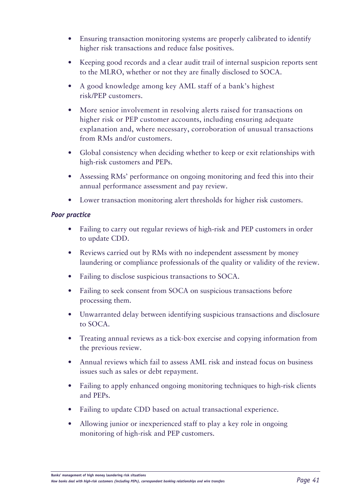- Ensuring transaction monitoring systems are properly calibrated to identify higher risk transactions and reduce false positives.
- Keeping good records and a clear audit trail of internal suspicion reports sent to the MLRO, whether or not they are finally disclosed to SOCA.
- A good knowledge among key AML staff of a bank's highest risk/PEP customers.
- More senior involvement in resolving alerts raised for transactions on higher risk or PEP customer accounts, including ensuring adequate explanation and, where necessary, corroboration of unusual transactions from RMs and/or customers.
- Global consistency when deciding whether to keep or exit relationships with high-risk customers and PEPs.
- Assessing RMs' performance on ongoing monitoring and feed this into their annual performance assessment and pay review.
- Lower transaction monitoring alert thresholds for higher risk customers.

### *Poor practice*

- Failing to carry out regular reviews of high-risk and PEP customers in order to update CDD.
- Reviews carried out by RMs with no independent assessment by money laundering or compliance professionals of the quality or validity of the review.
- Failing to disclose suspicious transactions to SOCA.
- Failing to seek consent from SOCA on suspicious transactions before processing them.
- Unwarranted delay between identifying suspicious transactions and disclosure to SOCA.
- Treating annual reviews as a tick-box exercise and copying information from the previous review.
- Annual reviews which fail to assess AML risk and instead focus on business issues such as sales or debt repayment.
- Failing to apply enhanced ongoing monitoring techniques to high-risk clients and PEPs.
- Failing to update CDD based on actual transactional experience.
- Allowing junior or inexperienced staff to play a key role in ongoing monitoring of high-risk and PEP customers.

*How banks deal with high-risk customers (including PEPs), correspondent banking relationships and wire transfers Page 41*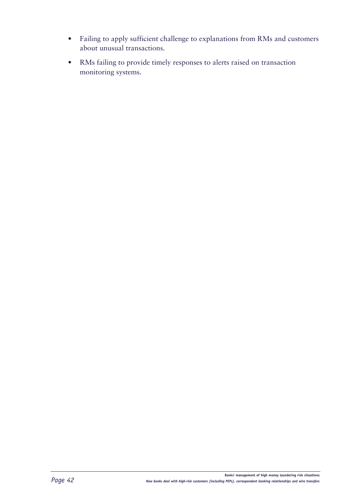- • Failing to apply sufficient challenge to explanations from RMs and customers about unusual transactions.
- • RMs failing to provide timely responses to alerts raised on transaction monitoring systems.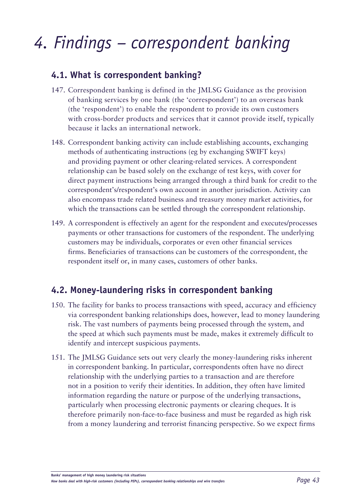# *4. Findings – correspondent banking*

## **4.1. What is correspondent banking?**

- 147. Correspondent banking is defined in the JMLSG Guidance as the provision of banking services by one bank (the 'correspondent') to an overseas bank (the 'respondent') to enable the respondent to provide its own customers with cross-border products and services that it cannot provide itself, typically because it lacks an international network.
- 148. Correspondent banking activity can include establishing accounts, exchanging methods of authenticating instructions (eg by exchanging SWIFT keys) and providing payment or other clearing-related services. A correspondent relationship can be based solely on the exchange of test keys, with cover for direct payment instructions being arranged through a third bank for credit to the correspondent's/respondent's own account in another jurisdiction. Activity can also encompass trade related business and treasury money market activities, for which the transactions can be settled through the correspondent relationship.
- 149. A correspondent is effectively an agent for the respondent and executes/processes payments or other transactions for customers of the respondent. The underlying customers may be individuals, corporates or even other financial services firms. Beneficiaries of transactions can be customers of the correspondent, the respondent itself or, in many cases, customers of other banks.

# **4.2. Money-laundering risks in correspondent banking**

- 150. The facility for banks to process transactions with speed, accuracy and efficiency via correspondent banking relationships does, however, lead to money laundering risk. The vast numbers of payments being processed through the system, and the speed at which such payments must be made, makes it extremely difficult to identify and intercept suspicious payments.
- 151. The JMLSG Guidance sets out very clearly the money-laundering risks inherent in correspondent banking. In particular, correspondents often have no direct relationship with the underlying parties to a transaction and are therefore not in a position to verify their identities. In addition, they often have limited information regarding the nature or purpose of the underlying transactions, particularly when processing electronic payments or clearing cheques. It is therefore primarily non-face-to-face business and must be regarded as high risk from a money laundering and terrorist financing perspective. So we expect firms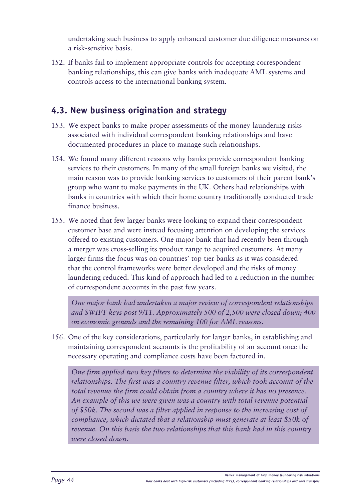undertaking such business to apply enhanced customer due diligence measures on a risk-sensitive basis.

152. If banks fail to implement appropriate controls for accepting correspondent banking relationships, this can give banks with inadequate AML systems and controls access to the international banking system.

# **4.3. New business origination and strategy**

- 153. We expect banks to make proper assessments of the money-laundering risks associated with individual correspondent banking relationships and have documented procedures in place to manage such relationships.
- 154. We found many different reasons why banks provide correspondent banking services to their customers. In many of the small foreign banks we visited, the main reason was to provide banking services to customers of their parent bank's group who want to make payments in the UK. Others had relationships with banks in countries with which their home country traditionally conducted trade finance business.
- 155. We noted that few larger banks were looking to expand their correspondent customer base and were instead focusing attention on developing the services offered to existing customers. One major bank that had recently been through a merger was cross-selling its product range to acquired customers. At many larger firms the focus was on countries' top-tier banks as it was considered that the control frameworks were better developed and the risks of money laundering reduced. This kind of approach had led to a reduction in the number of correspondent accounts in the past few years.

*One major bank had undertaken a major review of correspondent relationships and SWIFT keys post 9/11. Approximately 500 of 2,500 were closed down; 400 on economic grounds and the remaining 100 for AML reasons.* 

156. One of the key considerations, particularly for larger banks, in establishing and maintaining correspondent accounts is the profitability of an account once the necessary operating and compliance costs have been factored in.

*One firm applied two key filters to determine the viability of its correspondent relationships. The first was a country revenue filter, which took account of the total revenue the firm could obtain from a country where it has no presence. An example of this we were given was a country with total revenue potential of \$50k. The second was a filter applied in response to the increasing cost of compliance, which dictated that a relationship must generate at least \$50k of revenue. On this basis the two relationships that this bank had in this country were closed down.*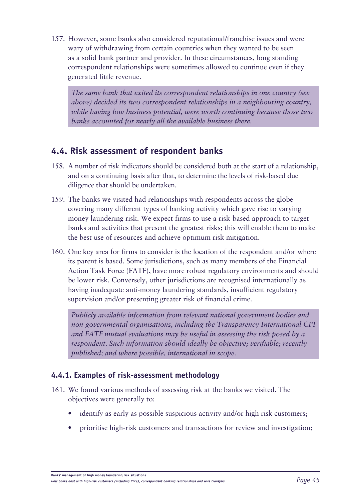157. However, some banks also considered reputational/franchise issues and were wary of withdrawing from certain countries when they wanted to be seen as a solid bank partner and provider. In these circumstances, long standing correspondent relationships were sometimes allowed to continue even if they generated little revenue.

*The same bank that exited its correspondent relationships in one country (see above) decided its two correspondent relationships in a neighbouring country, while having low business potential, were worth continuing because those two banks accounted for nearly all the available business there.*

# **4.4. Risk assessment of respondent banks**

- 158. A number of risk indicators should be considered both at the start of a relationship, and on a continuing basis after that, to determine the levels of risk-based due diligence that should be undertaken.
- 159. The banks we visited had relationships with respondents across the globe covering many different types of banking activity which gave rise to varying money laundering risk. We expect firms to use a risk-based approach to target banks and activities that present the greatest risks; this will enable them to make the best use of resources and achieve optimum risk mitigation.
- 160. One key area for firms to consider is the location of the respondent and/or where its parent is based. Some jurisdictions, such as many members of the Financial Action Task Force (FATF), have more robust regulatory environments and should be lower risk. Conversely, other jurisdictions are recognised internationally as having inadequate anti-money laundering standards, insufficient regulatory supervision and/or presenting greater risk of financial crime.

*Publicly available information from relevant national government bodies and non-governmental organisations, including the Transparency International CPI and FATF mutual evaluations may be useful in assessing the risk posed by a respondent. Such information should ideally be objective; verifiable; recently published; and where possible, international in scope.* 

### **4.4.1. Examples of risk-assessment methodology**

- 161. We found various methods of assessing risk at the banks we visited. The objectives were generally to:
	- identify as early as possible suspicious activity and/or high risk customers;
	- prioritise high-risk customers and transactions for review and investigation;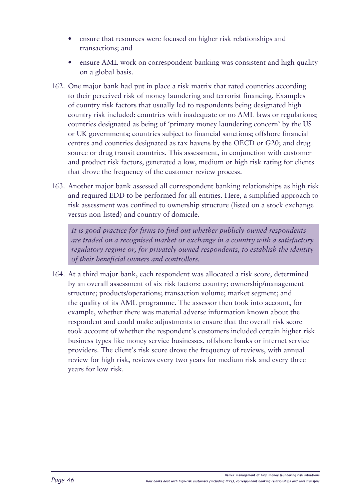- ensure that resources were focused on higher risk relationships and transactions; and
- ensure AML work on correspondent banking was consistent and high quality on a global basis.
- 162. One major bank had put in place a risk matrix that rated countries according to their perceived risk of money laundering and terrorist financing. Examples of country risk factors that usually led to respondents being designated high country risk included: countries with inadequate or no AML laws or regulations; countries designated as being of 'primary money laundering concern' by the US or UK governments; countries subject to financial sanctions; offshore financial centres and countries designated as tax havens by the OECD or G20; and drug source or drug transit countries. This assessment, in conjunction with customer and product risk factors, generated a low, medium or high risk rating for clients that drove the frequency of the customer review process.
- 163. Another major bank assessed all correspondent banking relationships as high risk and required EDD to be performed for all entities. Here, a simplified approach to risk assessment was confined to ownership structure (listed on a stock exchange versus non-listed) and country of domicile.

*It is good practice for firms to find out whether publicly-owned respondents are traded on a recognised market or exchange in a country with a satisfactory regulatory regime or, for privately owned respondents, to establish the identity of their beneficial owners and controllers.* 

164. At a third major bank, each respondent was allocated a risk score, determined by an overall assessment of six risk factors: country; ownership/management structure; products/operations; transaction volume; market segment; and the quality of its AML programme. The assessor then took into account, for example, whether there was material adverse information known about the respondent and could make adjustments to ensure that the overall risk score took account of whether the respondent's customers included certain higher risk business types like money service businesses, offshore banks or internet service providers. The client's risk score drove the frequency of reviews, with annual review for high risk, reviews every two years for medium risk and every three years for low risk.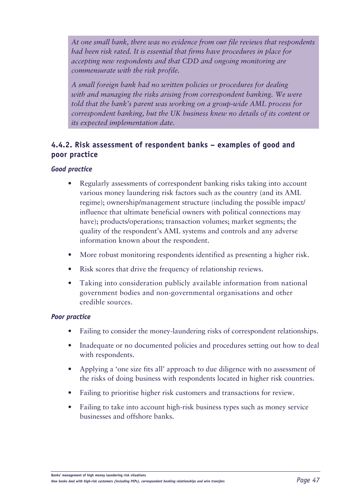*At one small bank, there was no evidence from our file reviews that respondents had been risk rated. It is essential that firms have procedures in place for accepting new respondents and that CDD and ongoing monitoring are commensurate with the risk profile.*

*A small foreign bank had no written policies or procedures for dealing with and managing the risks arising from correspondent banking. We were told that the bank's parent was working on a group-wide AML process for correspondent banking, but the UK business knew no details of its content or its expected implementation date.*

### **4.4.2. Risk assessment of respondent banks – examples of good and poor practice**

### *Good practice*

- Regularly assessments of correspondent banking risks taking into account various money laundering risk factors such as the country (and its AML regime); ownership/management structure (including the possible impact/ influence that ultimate beneficial owners with political connections may have); products/operations; transaction volumes; market segments; the quality of the respondent's AML systems and controls and any adverse information known about the respondent.
- More robust monitoring respondents identified as presenting a higher risk.
- Risk scores that drive the frequency of relationship reviews.
- Taking into consideration publicly available information from national government bodies and non-governmental organisations and other credible sources.

### *Poor practice*

- Failing to consider the money-laundering risks of correspondent relationships.
- Inadequate or no documented policies and procedures setting out how to deal with respondents.
- Applying a 'one size fits all' approach to due diligence with no assessment of the risks of doing business with respondents located in higher risk countries.
- Failing to prioritise higher risk customers and transactions for review.
- Failing to take into account high-risk business types such as money service businesses and offshore banks.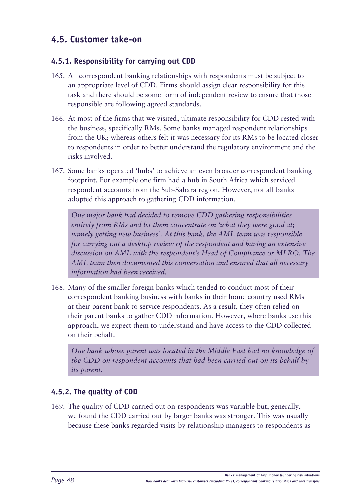# **4.5. Customer take-on**

### **4.5.1. Responsibility for carrying out CDD**

- 165. All correspondent banking relationships with respondents must be subject to an appropriate level of CDD. Firms should assign clear responsibility for this task and there should be some form of independent review to ensure that those responsible are following agreed standards.
- 166. At most of the firms that we visited, ultimate responsibility for CDD rested with the business, specifically RMs. Some banks managed respondent relationships from the UK; whereas others felt it was necessary for its RMs to be located closer to respondents in order to better understand the regulatory environment and the risks involved.
- 167. Some banks operated 'hubs' to achieve an even broader correspondent banking footprint. For example one firm had a hub in South Africa which serviced respondent accounts from the Sub-Sahara region. However, not all banks adopted this approach to gathering CDD information.

*One major bank had decided to remove CDD gathering responsibilities entirely from RMs and let them concentrate on 'what they were good at; namely getting new business'. At this bank, the AML team was responsible for carrying out a desktop review of the respondent and having an extensive discussion on AML with the respondent's Head of Compliance or MLRO. The AML team then documented this conversation and ensured that all necessary information had been received.* 

168. Many of the smaller foreign banks which tended to conduct most of their correspondent banking business with banks in their home country used RMs at their parent bank to service respondents. As a result, they often relied on their parent banks to gather CDD information. However, where banks use this approach, we expect them to understand and have access to the CDD collected on their behalf.

*One bank whose parent was located in the Middle East had no knowledge of the CDD on respondent accounts that had been carried out on its behalf by its parent.* 

### **4.5.2. The quality of CDD**

169. The quality of CDD carried out on respondents was variable but, generally, we found the CDD carried out by larger banks was stronger. This was usually because these banks regarded visits by relationship managers to respondents as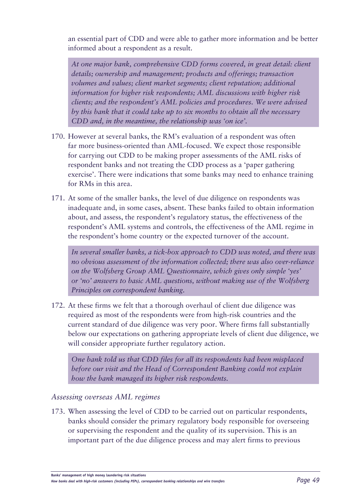an essential part of CDD and were able to gather more information and be better informed about a respondent as a result.

*At one major bank, comprehensive CDD forms covered, in great detail: client details; ownership and management; products and offerings; transaction volumes and values; client market segments; client reputation; additional information for higher risk respondents; AML discussions with higher risk clients; and the respondent's AML policies and procedures. We were advised by this bank that it could take up to six months to obtain all the necessary CDD and, in the meantime, the relationship was 'on ice'.* 

- 170. However at several banks, the RM's evaluation of a respondent was often far more business-oriented than AML-focused. We expect those responsible for carrying out CDD to be making proper assessments of the AML risks of respondent banks and not treating the CDD process as a 'paper gathering exercise'. There were indications that some banks may need to enhance training for RMs in this area.
- 171. At some of the smaller banks, the level of due diligence on respondents was inadequate and, in some cases, absent. These banks failed to obtain information about, and assess, the respondent's regulatory status, the effectiveness of the respondent's AML systems and controls, the effectiveness of the AML regime in the respondent's home country or the expected turnover of the account.

*In several smaller banks, a tick-box approach to CDD was noted, and there was no obvious assessment of the information collected; there was also over-reliance on the Wolfsberg Group AML Questionnaire, which gives only simple 'yes' or 'no' answers to basic AML questions, without making use of the Wolfsberg Principles on correspondent banking.* 

172. At these firms we felt that a thorough overhaul of client due diligence was required as most of the respondents were from high-risk countries and the current standard of due diligence was very poor. Where firms fall substantially below our expectations on gathering appropriate levels of client due diligence, we will consider appropriate further regulatory action.

*One bank told us that CDD files for all its respondents had been misplaced before our visit and the Head of Correspondent Banking could not explain how the bank managed its higher risk respondents.*

### *Assessing overseas AML regimes*

173. When assessing the level of CDD to be carried out on particular respondents, banks should consider the primary regulatory body responsible for overseeing or supervising the respondent and the quality of its supervision. This is an important part of the due diligence process and may alert firms to previous

**Banks' management of high money laundering risk situations**

*How banks deal with high-risk customers (including PEPs), correspondent banking relationships and wire transfers Page 49*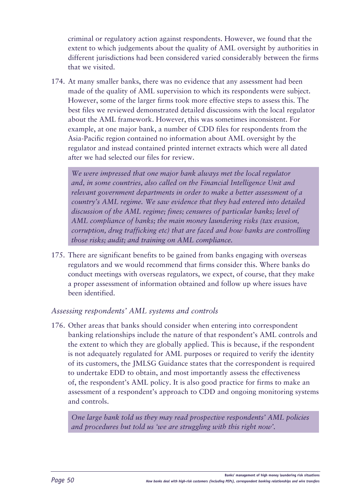criminal or regulatory action against respondents. However, we found that the extent to which judgements about the quality of AML oversight by authorities in different jurisdictions had been considered varied considerably between the firms that we visited.

174. At many smaller banks, there was no evidence that any assessment had been made of the quality of AML supervision to which its respondents were subject. However, some of the larger firms took more effective steps to assess this. The best files we reviewed demonstrated detailed discussions with the local regulator about the AML framework. However, this was sometimes inconsistent. For example, at one major bank, a number of CDD files for respondents from the Asia-Pacific region contained no information about AML oversight by the regulator and instead contained printed internet extracts which were all dated after we had selected our files for review.

*We were impressed that one major bank always met the local regulator and, in some countries, also called on the Financial Intelligence Unit and relevant government departments in order to make a better assessment of a country's AML regime. We saw evidence that they had entered into detailed discussion of the AML regime; fines; censures of particular banks; level of AML compliance of banks; the main money laundering risks (tax evasion, corruption, drug trafficking etc) that are faced and how banks are controlling those risks; audit; and training on AML compliance.* 

175. There are significant benefits to be gained from banks engaging with overseas regulators and we would recommend that firms consider this. Where banks do conduct meetings with overseas regulators, we expect, of course, that they make a proper assessment of information obtained and follow up where issues have been identified.

### *Assessing respondents' AML systems and controls*

176. Other areas that banks should consider when entering into correspondent banking relationships include the nature of that respondent's AML controls and the extent to which they are globally applied. This is because, if the respondent is not adequately regulated for AML purposes or required to verify the identity of its customers, the JMLSG Guidance states that the correspondent is required to undertake EDD to obtain, and most importantly assess the effectiveness of, the respondent's AML policy. It is also good practice for firms to make an assessment of a respondent's approach to CDD and ongoing monitoring systems and controls.

*One large bank told us they may read prospective respondents' AML policies and procedures but told us 'we are struggling with this right now'.*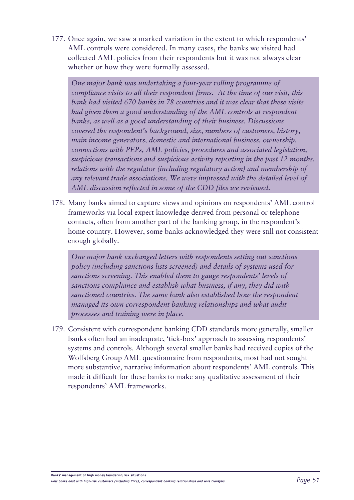177. Once again, we saw a marked variation in the extent to which respondents' AML controls were considered. In many cases, the banks we visited had collected AML policies from their respondents but it was not always clear whether or how they were formally assessed.

*One major bank was undertaking a four-year rolling programme of compliance visits to all their respondent firms. At the time of our visit, this bank had visited 670 banks in 78 countries and it was clear that these visits had given them a good understanding of the AML controls at respondent banks, as well as a good understanding of their business. Discussions covered the respondent's background, size, numbers of customers, history, main income generators, domestic and international business, ownership, connections with PEPs, AML policies, procedures and associated legislation, suspicious transactions and suspicious activity reporting in the past 12 months, relations with the regulator (including regulatory action) and membership of any relevant trade associations. We were impressed with the detailed level of AML discussion reflected in some of the CDD files we reviewed.*

178. Many banks aimed to capture views and opinions on respondents' AML control frameworks via local expert knowledge derived from personal or telephone contacts, often from another part of the banking group, in the respondent's home country. However, some banks acknowledged they were still not consistent enough globally.

*One major bank exchanged letters with respondents setting out sanctions policy (including sanctions lists screened) and details of systems used for sanctions screening. This enabled them to gauge respondents' levels of sanctions compliance and establish what business, if any, they did with sanctioned countries. The same bank also established how the respondent managed its own correspondent banking relationships and what audit processes and training were in place.*

179. Consistent with correspondent banking CDD standards more generally, smaller banks often had an inadequate, 'tick-box' approach to assessing respondents' systems and controls. Although several smaller banks had received copies of the Wolfsberg Group AML questionnaire from respondents, most had not sought more substantive, narrative information about respondents' AML controls. This made it difficult for these banks to make any qualitative assessment of their respondents' AML frameworks.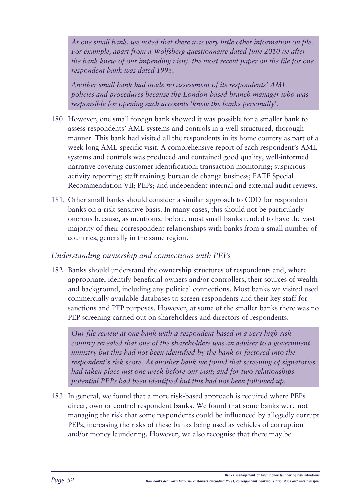*At one small bank, we noted that there was very little other information on file. For example, apart from a Wolfsberg questionnaire dated June 2010 (ie after the bank knew of our impending visit), the most recent paper on the file for one respondent bank was dated 1995.*

*Another small bank had made no assessment of its respondents' AML policies and procedures because the London-based branch manager who was responsible for opening such accounts 'knew the banks personally'.* 

- 180. However, one small foreign bank showed it was possible for a smaller bank to assess respondents' AML systems and controls in a well-structured, thorough manner. This bank had visited all the respondents in its home country as part of a week long AML-specific visit. A comprehensive report of each respondent's AML systems and controls was produced and contained good quality, well-informed narrative covering customer identification; transaction monitoring; suspicious activity reporting; staff training; bureau de change business; FATF Special Recommendation VII; PEPs; and independent internal and external audit reviews.
- 181. Other small banks should consider a similar approach to CDD for respondent banks on a risk-sensitive basis. In many cases, this should not be particularly onerous because, as mentioned before, most small banks tended to have the vast majority of their correspondent relationships with banks from a small number of countries, generally in the same region.

### *Understanding ownership and connections with PEPs*

182. Banks should understand the ownership structures of respondents and, where appropriate, identify beneficial owners and/or controllers, their sources of wealth and background, including any political connections. Most banks we visited used commercially available databases to screen respondents and their key staff for sanctions and PEP purposes. However, at some of the smaller banks there was no PEP screening carried out on shareholders and directors of respondents.

*Our file review at one bank with a respondent based in a very high-risk country revealed that one of the shareholders was an adviser to a government ministry but this had not been identified by the bank or factored into the respondent's risk score. At another bank we found that screening of signatories had taken place just one week before our visit; and for two relationships potential PEPs had been identified but this had not been followed up.*

183. In general, we found that a more risk-based approach is required where PEPs direct, own or control respondent banks. We found that some banks were not managing the risk that some respondents could be influenced by allegedly corrupt PEPs, increasing the risks of these banks being used as vehicles of corruption and/or money laundering. However, we also recognise that there may be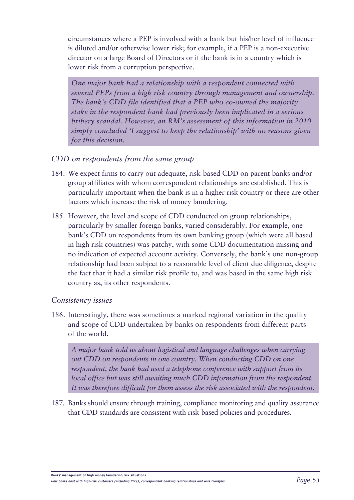circumstances where a PEP is involved with a bank but his/her level of influence is diluted and/or otherwise lower risk; for example, if a PEP is a non-executive director on a large Board of Directors or if the bank is in a country which is lower risk from a corruption perspective.

*One major bank had a relationship with a respondent connected with several PEPs from a high risk country through management and ownership. The bank's CDD file identified that a PEP who co-owned the majority stake in the respondent bank had previously been implicated in a serious bribery scandal. However, an RM's assessment of this information in 2010 simply concluded 'I suggest to keep the relationship' with no reasons given for this decision.*

### *CDD on respondents from the same group*

- 184. We expect firms to carry out adequate, risk-based CDD on parent banks and/or group affiliates with whom correspondent relationships are established. This is particularly important when the bank is in a higher risk country or there are other factors which increase the risk of money laundering.
- 185. However, the level and scope of CDD conducted on group relationships, particularly by smaller foreign banks, varied considerably. For example, one bank's CDD on respondents from its own banking group (which were all based in high risk countries) was patchy, with some CDD documentation missing and no indication of expected account activity. Conversely, the bank's one non-group relationship had been subject to a reasonable level of client due diligence, despite the fact that it had a similar risk profile to, and was based in the same high risk country as, its other respondents.

#### *Consistency issues*

186. Interestingly, there was sometimes a marked regional variation in the quality and scope of CDD undertaken by banks on respondents from different parts of the world.

*A major bank told us about logistical and language challenges when carrying out CDD on respondents in one country. When conducting CDD on one respondent, the bank had used a telephone conference with support from its local office but was still awaiting much CDD information from the respondent. It was therefore difficult for them assess the risk associated with the respondent.*

187. Banks should ensure through training, compliance monitoring and quality assurance that CDD standards are consistent with risk-based policies and procedures.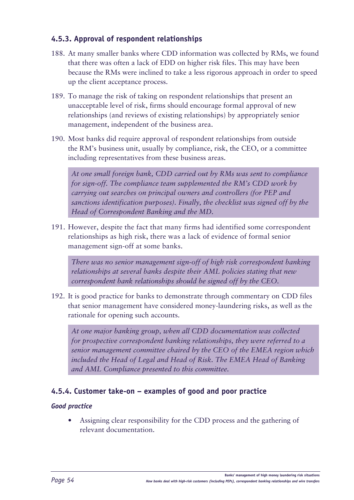### **4.5.3. Approval of respondent relationships**

- 188. At many smaller banks where CDD information was collected by RMs, we found that there was often a lack of EDD on higher risk files. This may have been because the RMs were inclined to take a less rigorous approach in order to speed up the client acceptance process.
- 189. To manage the risk of taking on respondent relationships that present an unacceptable level of risk, firms should encourage formal approval of new relationships (and reviews of existing relationships) by appropriately senior management, independent of the business area.
- 190. Most banks did require approval of respondent relationships from outside the RM's business unit, usually by compliance, risk, the CEO, or a committee including representatives from these business areas.

*At one small foreign bank, CDD carried out by RMs was sent to compliance for sign-off. The compliance team supplemented the RM's CDD work by carrying out searches on principal owners and controllers (for PEP and sanctions identification purposes). Finally, the checklist was signed off by the Head of Correspondent Banking and the MD.*

191. However, despite the fact that many firms had identified some correspondent relationships as high risk, there was a lack of evidence of formal senior management sign-off at some banks.

*There was no senior management sign-off of high risk correspondent banking relationships at several banks despite their AML policies stating that new correspondent bank relationships should be signed off by the CEO.* 

192. It is good practice for banks to demonstrate through commentary on CDD files that senior management have considered money-laundering risks, as well as the rationale for opening such accounts.

*At one major banking group, when all CDD documentation was collected for prospective correspondent banking relationships, they were referred to a senior management committee chaired by the CEO of the EMEA region which included the Head of Legal and Head of Risk. The EMEA Head of Banking and AML Compliance presented to this committee.* 

### **4.5.4. Customer take-on – examples of good and poor practice**

### *Good practice*

Assigning clear responsibility for the CDD process and the gathering of relevant documentation.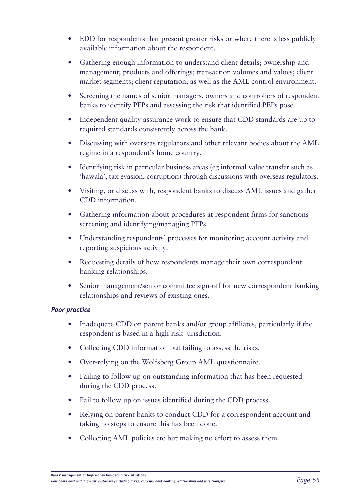- EDD for respondents that present greater risks or where there is less publicly available information about the respondent.
- Gathering enough information to understand client details; ownership and management; products and offerings; transaction volumes and values; client market segments; client reputation; as well as the AML control environment.
- Screening the names of senior managers, owners and controllers of respondent banks to identify PEPs and assessing the risk that identified PEPs pose.
- Independent quality assurance work to ensure that CDD standards are up to required standards consistently across the bank.
- Discussing with overseas regulators and other relevant bodies about the AML regime in a respondent's home country.
- Identifying risk in particular business areas (eg informal value transfer such as 'hawala', tax evasion, corruption) through discussions with overseas regulators.
- Visiting, or discuss with, respondent banks to discuss AML issues and gather CDD information.
- Gathering information about procedures at respondent firms for sanctions screening and identifying/managing PEPs.
- • Understanding respondents' processes for monitoring account activity and reporting suspicious activity.
- Requesting details of how respondents manage their own correspondent banking relationships.
- Senior management/senior committee sign-off for new correspondent banking relationships and reviews of existing ones.

### *Poor practice*

- Inadequate CDD on parent banks and/or group affiliates, particularly if the respondent is based in a high-risk jurisdiction.
- Collecting CDD information but failing to assess the risks.
- Over-relying on the Wolfsberg Group AML questionnaire.
- Failing to follow up on outstanding information that has been requested during the CDD process.
- Fail to follow up on issues identified during the CDD process.
- Relying on parent banks to conduct CDD for a correspondent account and taking no steps to ensure this has been done.
- Collecting AML policies etc but making no effort to assess them.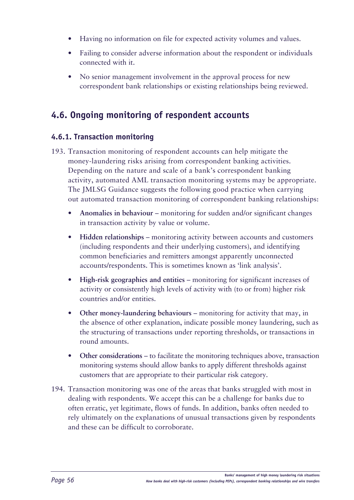- Having no information on file for expected activity volumes and values.
- Failing to consider adverse information about the respondent or individuals connected with it.
- No senior management involvement in the approval process for new correspondent bank relationships or existing relationships being reviewed.

# **4.6. Ongoing monitoring of respondent accounts**

### **4.6.1. Transaction monitoring**

- 193. Transaction monitoring of respondent accounts can help mitigate the money-laundering risks arising from correspondent banking activities. Depending on the nature and scale of a bank's correspondent banking activity, automated AML transaction monitoring systems may be appropriate. The JMLSG Guidance suggests the following good practice when carrying out automated transaction monitoring of correspondent banking relationships:
	- Anomalies in behaviour monitoring for sudden and/or significant changes in transaction activity by value or volume.
	- **• Hidden relationships** monitoring activity between accounts and customers (including respondents and their underlying customers), and identifying common beneficiaries and remitters amongst apparently unconnected accounts/respondents. This is sometimes known as 'link analysis'.
	- **• High-risk geographies and entities** monitoring for significant increases of activity or consistently high levels of activity with (to or from) higher risk countries and/or entities.
	- Other money-laundering behaviours monitoring for activity that may, in the absence of other explanation, indicate possible money laundering, such as the structuring of transactions under reporting thresholds, or transactions in round amounts.
	- Other considerations to facilitate the monitoring techniques above, transaction monitoring systems should allow banks to apply different thresholds against customers that are appropriate to their particular risk category.
- 194. Transaction monitoring was one of the areas that banks struggled with most in dealing with respondents. We accept this can be a challenge for banks due to often erratic, yet legitimate, flows of funds. In addition, banks often needed to rely ultimately on the explanations of unusual transactions given by respondents and these can be difficult to corroborate.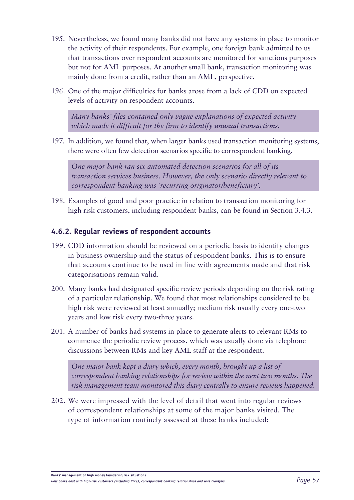- 195. Nevertheless, we found many banks did not have any systems in place to monitor the activity of their respondents. For example, one foreign bank admitted to us that transactions over respondent accounts are monitored for sanctions purposes but not for AML purposes. At another small bank, transaction monitoring was mainly done from a credit, rather than an AML, perspective.
- 196. One of the major difficulties for banks arose from a lack of CDD on expected levels of activity on respondent accounts.

*Many banks' files contained only vague explanations of expected activity which made it difficult for the firm to identify unusual transactions.*

197. In addition, we found that, when larger banks used transaction monitoring systems, there were often few detection scenarios specific to correspondent banking.

*One major bank ran six automated detection scenarios for all of its transaction services business. However, the only scenario directly relevant to correspondent banking was 'recurring originator/beneficiary'.*

198. Examples of good and poor practice in relation to transaction monitoring for high risk customers, including respondent banks, can be found in Section 3.4.3.

### **4.6.2. Regular reviews of respondent accounts**

- 199. CDD information should be reviewed on a periodic basis to identify changes in business ownership and the status of respondent banks. This is to ensure that accounts continue to be used in line with agreements made and that risk categorisations remain valid.
- 200. Many banks had designated specific review periods depending on the risk rating of a particular relationship. We found that most relationships considered to be high risk were reviewed at least annually; medium risk usually every one-two years and low risk every two-three years.
- 201. A number of banks had systems in place to generate alerts to relevant RMs to commence the periodic review process, which was usually done via telephone discussions between RMs and key AML staff at the respondent.

*One major bank kept a diary which, every month, brought up a list of correspondent banking relationships for review within the next two months. The risk management team monitored this diary centrally to ensure reviews happened.* 

202. We were impressed with the level of detail that went into regular reviews of correspondent relationships at some of the major banks visited. The type of information routinely assessed at these banks included: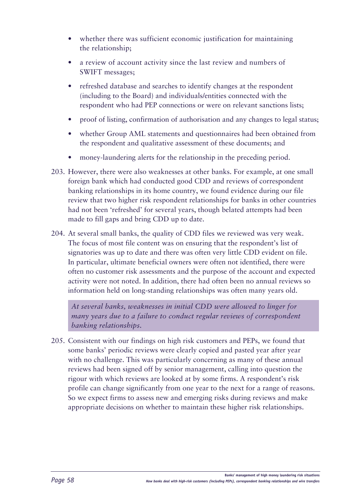- whether there was sufficient economic justification for maintaining the relationship;
- a review of account activity since the last review and numbers of SWIFT messages;
- refreshed database and searches to identify changes at the respondent (including to the Board) and individuals/entities connected with the respondent who had PEP connections or were on relevant sanctions lists;
- proof of listing, confirmation of authorisation and any changes to legal status;
- whether Group AML statements and questionnaires had been obtained from the respondent and qualitative assessment of these documents; and
- money-laundering alerts for the relationship in the preceding period.
- 203. However, there were also weaknesses at other banks. For example, at one small foreign bank which had conducted good CDD and reviews of correspondent banking relationships in its home country, we found evidence during our file review that two higher risk respondent relationships for banks in other countries had not been 'refreshed' for several years, though belated attempts had been made to fill gaps and bring CDD up to date.
- 204. At several small banks, the quality of CDD files we reviewed was very weak. The focus of most file content was on ensuring that the respondent's list of signatories was up to date and there was often very little CDD evident on file. In particular, ultimate beneficial owners were often not identified, there were often no customer risk assessments and the purpose of the account and expected activity were not noted. In addition, there had often been no annual reviews so information held on long-standing relationships was often many years old.

*At several banks, weaknesses in initial CDD were allowed to linger for many years due to a failure to conduct regular reviews of correspondent banking relationships.*

205. Consistent with our findings on high risk customers and PEPs, we found that some banks' periodic reviews were clearly copied and pasted year after year with no challenge. This was particularly concerning as many of these annual reviews had been signed off by senior management, calling into question the rigour with which reviews are looked at by some firms. A respondent's risk profile can change significantly from one year to the next for a range of reasons. So we expect firms to assess new and emerging risks during reviews and make appropriate decisions on whether to maintain these higher risk relationships.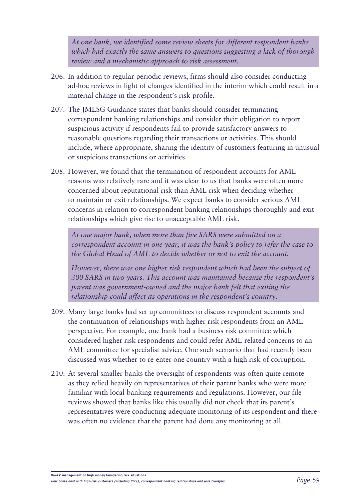*At one bank, we identified some review sheets for different respondent banks which had exactly the same answers to questions suggesting a lack of thorough review and a mechanistic approach to risk assessment.*

- 206. In addition to regular periodic reviews, firms should also consider conducting ad-hoc reviews in light of changes identified in the interim which could result in a material change in the respondent's risk profile.
- 207. The JMLSG Guidance states that banks should consider terminating correspondent banking relationships and consider their obligation to report suspicious activity if respondents fail to provide satisfactory answers to reasonable questions regarding their transactions or activities. This should include, where appropriate, sharing the identity of customers featuring in unusual or suspicious transactions or activities.
- 208. However, we found that the termination of respondent accounts for AML reasons was relatively rare and it was clear to us that banks were often more concerned about reputational risk than AML risk when deciding whether to maintain or exit relationships. We expect banks to consider serious AML concerns in relation to correspondent banking relationships thoroughly and exit relationships which give rise to unacceptable AML risk.

*At one major bank, when more than five SARS were submitted on a correspondent account in one year, it was the bank's policy to refer the case to the Global Head of AML to decide whether or not to exit the account.* 

*However, there was one higher risk respondent which had been the subject of 300 SARS in two years. This account was maintained because the respondent's parent was government-owned and the major bank felt that exiting the relationship could affect its operations in the respondent's country.*

- 209. Many large banks had set up committees to discuss respondent accounts and the continuation of relationships with higher risk respondents from an AML perspective. For example, one bank had a business risk committee which considered higher risk respondents and could refer AML-related concerns to an AML committee for specialist advice. One such scenario that had recently been discussed was whether to re-enter one country with a high risk of corruption.
- 210. At several smaller banks the oversight of respondents was often quite remote as they relied heavily on representatives of their parent banks who were more familiar with local banking requirements and regulations. However, our file reviews showed that banks like this usually did not check that its parent's representatives were conducting adequate monitoring of its respondent and there was often no evidence that the parent had done any monitoring at all.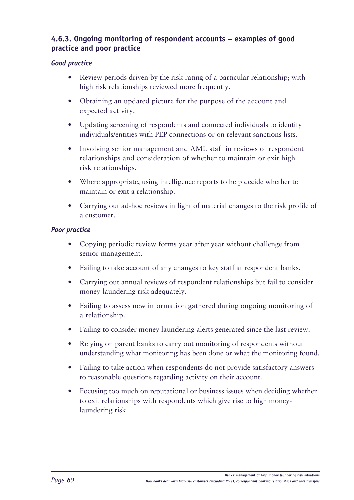### **4.6.3. Ongoing monitoring of respondent accounts – examples of good practice and poor practice**

### *Good practice*

- Review periods driven by the risk rating of a particular relationship; with high risk relationships reviewed more frequently.
- Obtaining an updated picture for the purpose of the account and expected activity.
- Updating screening of respondents and connected individuals to identify individuals/entities with PEP connections or on relevant sanctions lists.
- Involving senior management and AML staff in reviews of respondent relationships and consideration of whether to maintain or exit high risk relationships.
- Where appropriate, using intelligence reports to help decide whether to maintain or exit a relationship.
- Carrying out ad-hoc reviews in light of material changes to the risk profile of a customer.

### *Poor practice*

- Copying periodic review forms year after year without challenge from senior management.
- Failing to take account of any changes to key staff at respondent banks.
- Carrying out annual reviews of respondent relationships but fail to consider money-laundering risk adequately.
- Failing to assess new information gathered during ongoing monitoring of a relationship.
- Failing to consider money laundering alerts generated since the last review.
- Relying on parent banks to carry out monitoring of respondents without understanding what monitoring has been done or what the monitoring found.
- Failing to take action when respondents do not provide satisfactory answers to reasonable questions regarding activity on their account.
- Focusing too much on reputational or business issues when deciding whether to exit relationships with respondents which give rise to high moneylaundering risk.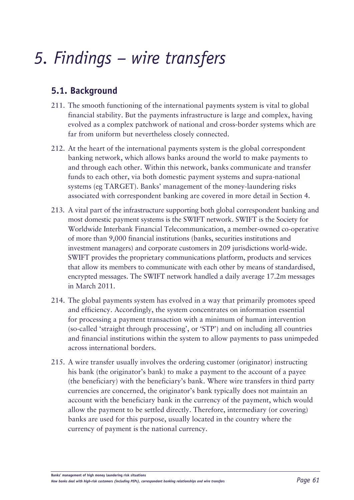# *5. Findings – wire transfers*

# **5.1. Background**

- 211. The smooth functioning of the international payments system is vital to global financial stability. But the payments infrastructure is large and complex, having evolved as a complex patchwork of national and cross-border systems which are far from uniform but nevertheless closely connected.
- 212. At the heart of the international payments system is the global correspondent banking network, which allows banks around the world to make payments to and through each other. Within this network, banks communicate and transfer funds to each other, via both domestic payment systems and supra-national systems (eg TARGET). Banks' management of the money-laundering risks associated with correspondent banking are covered in more detail in Section 4.
- 213. A vital part of the infrastructure supporting both global correspondent banking and most domestic payment systems is the SWIFT network. SWIFT is the Society for Worldwide Interbank Financial Telecommunication, a member-owned co-operative of more than 9,000 financial institutions (banks, securities institutions and investment managers) and corporate customers in 209 jurisdictions world-wide. SWIFT provides the proprietary communications platform, products and services that allow its members to communicate with each other by means of standardised, encrypted messages. The SWIFT network handled a daily average 17.2m messages in March 2011.
- 214. The global payments system has evolved in a way that primarily promotes speed and efficiency. Accordingly, the system concentrates on information essential for processing a payment transaction with a minimum of human intervention (so-called 'straight through processing', or 'STP') and on including all countries and financial institutions within the system to allow payments to pass unimpeded across international borders.
- 215. A wire transfer usually involves the ordering customer (originator) instructing his bank (the originator's bank) to make a payment to the account of a payee (the beneficiary) with the beneficiary's bank. Where wire transfers in third party currencies are concerned, the originator's bank typically does not maintain an account with the beneficiary bank in the currency of the payment, which would allow the payment to be settled directly. Therefore, intermediary (or covering) banks are used for this purpose, usually located in the country where the currency of payment is the national currency.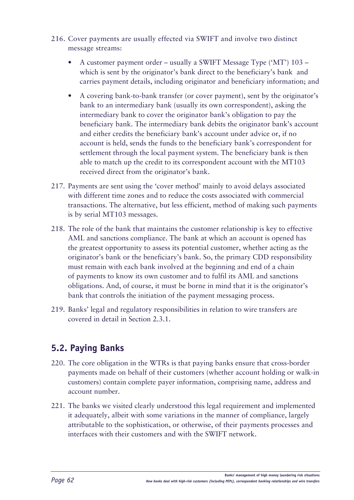- 216. Cover payments are usually effected via SWIFT and involve two distinct message streams:
	- A customer payment order usually a SWIFT Message Type ('MT')  $103$ which is sent by the originator's bank direct to the beneficiary's bank and carries payment details, including originator and beneficiary information; and
	- A covering bank-to-bank transfer (or cover payment), sent by the originator's bank to an intermediary bank (usually its own correspondent), asking the intermediary bank to cover the originator bank's obligation to pay the beneficiary bank. The intermediary bank debits the originator bank's account and either credits the beneficiary bank's account under advice or, if no account is held, sends the funds to the beneficiary bank's correspondent for settlement through the local payment system. The beneficiary bank is then able to match up the credit to its correspondent account with the MT103 received direct from the originator's bank.
- 217. Payments are sent using the 'cover method' mainly to avoid delays associated with different time zones and to reduce the costs associated with commercial transactions. The alternative, but less efficient, method of making such payments is by serial MT103 messages.
- 218. The role of the bank that maintains the customer relationship is key to effective AML and sanctions compliance. The bank at which an account is opened has the greatest opportunity to assess its potential customer, whether acting as the originator's bank or the beneficiary's bank. So, the primary CDD responsibility must remain with each bank involved at the beginning and end of a chain of payments to know its own customer and to fulfil its AML and sanctions obligations. And, of course, it must be borne in mind that it is the originator's bank that controls the initiation of the payment messaging process.
- 219. Banks' legal and regulatory responsibilities in relation to wire transfers are covered in detail in Section 2.3.1.

# **5.2. Paying Banks**

- 220. The core obligation in the WTRs is that paying banks ensure that cross-border payments made on behalf of their customers (whether account holding or walk-in customers) contain complete payer information, comprising name, address and account number.
- 221. The banks we visited clearly understood this legal requirement and implemented it adequately, albeit with some variations in the manner of compliance, largely attributable to the sophistication, or otherwise, of their payments processes and interfaces with their customers and with the SWIFT network.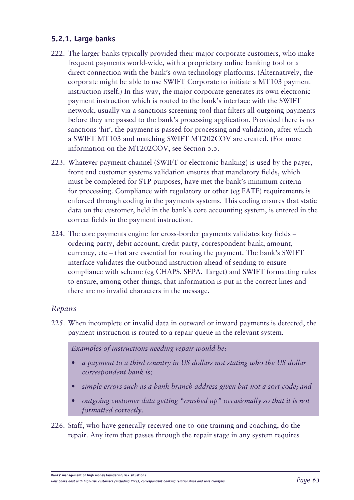### **5.2.1. Large banks**

- 222. The larger banks typically provided their major corporate customers, who make frequent payments world-wide, with a proprietary online banking tool or a direct connection with the bank's own technology platforms. (Alternatively, the corporate might be able to use SWIFT Corporate to initiate a MT103 payment instruction itself.) In this way, the major corporate generates its own electronic payment instruction which is routed to the bank's interface with the SWIFT network, usually via a sanctions screening tool that filters all outgoing payments before they are passed to the bank's processing application. Provided there is no sanctions 'hit', the payment is passed for processing and validation, after which a SWIFT MT103 and matching SWIFT MT202COV are created. (For more information on the MT202COV, see Section 5.5.
- 223. Whatever payment channel (SWIFT or electronic banking) is used by the payer, front end customer systems validation ensures that mandatory fields, which must be completed for STP purposes, have met the bank's minimum criteria for processing. Compliance with regulatory or other (eg FATF) requirements is enforced through coding in the payments systems. This coding ensures that static data on the customer, held in the bank's core accounting system, is entered in the correct fields in the payment instruction.
- 224. The core payments engine for cross-border payments validates key fields ordering party, debit account, credit party, correspondent bank, amount, currency, etc – that are essential for routing the payment. The bank's SWIFT interface validates the outbound instruction ahead of sending to ensure compliance with scheme (eg CHAPS, SEPA, Target) and SWIFT formatting rules to ensure, among other things, that information is put in the correct lines and there are no invalid characters in the message.

### *Repairs*

225. When incomplete or invalid data in outward or inward payments is detected, the payment instruction is routed to a repair queue in the relevant system.

*Examples of instructions needing repair would be:*

- *• a payment to a third country in US dollars not stating who the US dollar correspondent bank is;*
- *• simple errors such as a bank branch address given but not a sort code; and*
- *• outgoing customer data getting "crushed up" occasionally so that it is not formatted correctly.*
- 226. Staff, who have generally received one-to-one training and coaching, do the repair. Any item that passes through the repair stage in any system requires

**Banks' management of high money laundering risk situations**

*How banks deal with high-risk customers (including PEPs), correspondent banking relationships and wire transfers Page 63*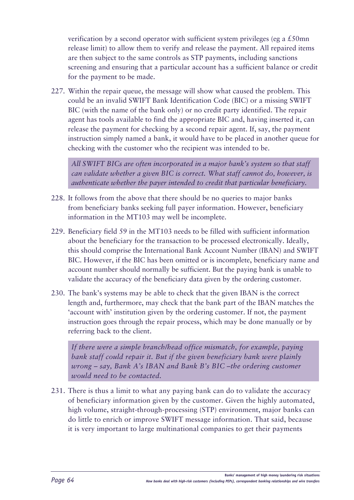verification by a second operator with sufficient system privileges (eg a £50mn release limit) to allow them to verify and release the payment. All repaired items are then subject to the same controls as STP payments, including sanctions screening and ensuring that a particular account has a sufficient balance or credit for the payment to be made.

227. Within the repair queue, the message will show what caused the problem. This could be an invalid SWIFT Bank Identification Code (BIC) or a missing SWIFT BIC (with the name of the bank only) or no credit party identified. The repair agent has tools available to find the appropriate BIC and, having inserted it, can release the payment for checking by a second repair agent. If, say, the payment instruction simply named a bank, it would have to be placed in another queue for checking with the customer who the recipient was intended to be.

*All SWIFT BICs are often incorporated in a major bank's system so that staff can validate whether a given BIC is correct. What staff cannot do, however, is authenticate whether the payer intended to credit that particular beneficiary.*

- 228. It follows from the above that there should be no queries to major banks from beneficiary banks seeking full payer information. However, beneficiary information in the MT103 may well be incomplete.
- 229. Beneficiary field 59 in the MT103 needs to be filled with sufficient information about the beneficiary for the transaction to be processed electronically. Ideally, this should comprise the International Bank Account Number (IBAN) and SWIFT BIC. However, if the BIC has been omitted or is incomplete, beneficiary name and account number should normally be sufficient. But the paying bank is unable to validate the accuracy of the beneficiary data given by the ordering customer.
- 230. The bank's systems may be able to check that the given IBAN is the correct length and, furthermore, may check that the bank part of the IBAN matches the 'account with' institution given by the ordering customer. If not, the payment instruction goes through the repair process, which may be done manually or by referring back to the client.

*If there were a simple branch/head office mismatch, for example, paying bank staff could repair it. But if the given beneficiary bank were plainly wrong – say, Bank A's IBAN and Bank B's BIC –the ordering customer would need to be contacted.*

231. There is thus a limit to what any paying bank can do to validate the accuracy of beneficiary information given by the customer. Given the highly automated, high volume, straight-through-processing (STP) environment, major banks can do little to enrich or improve SWIFT message information. That said, because it is very important to large multinational companies to get their payments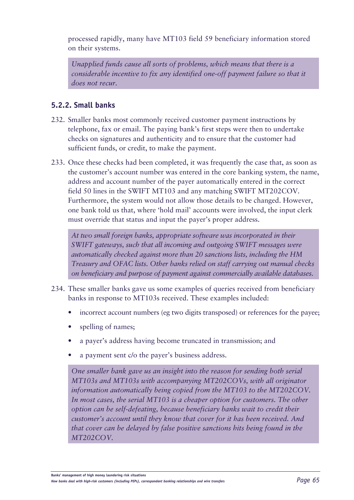processed rapidly, many have MT103 field 59 beneficiary information stored on their systems.

*Unapplied funds cause all sorts of problems, which means that there is a considerable incentive to fix any identified one-off payment failure so that it does not recur.*

### **5.2.2. Small banks**

- 232. Smaller banks most commonly received customer payment instructions by telephone, fax or email. The paying bank's first steps were then to undertake checks on signatures and authenticity and to ensure that the customer had sufficient funds, or credit, to make the payment.
- 233. Once these checks had been completed, it was frequently the case that, as soon as the customer's account number was entered in the core banking system, the name, address and account number of the payer automatically entered in the correct field 50 lines in the SWIFT MT103 and any matching SWIFT MT202COV. Furthermore, the system would not allow those details to be changed. However, one bank told us that, where 'hold mail' accounts were involved, the input clerk must override that status and input the payer's proper address.

*At two small foreign banks, appropriate software was incorporated in their SWIFT gateways, such that all incoming and outgoing SWIFT messages were automatically checked against more than 20 sanctions lists, including the HM Treasury and OFAC lists. Other banks relied on staff carrying out manual checks on beneficiary and purpose of payment against commercially available databases.*

- 234. These smaller banks gave us some examples of queries received from beneficiary banks in response to MT103s received. These examples included:
	- incorrect account numbers (eg two digits transposed) or references for the payee;
	- spelling of names;
	- a payer's address having become truncated in transmission; and
	- a payment sent c/o the payer's business address.

*One smaller bank gave us an insight into the reason for sending both serial MT103s and MT103s with accompanying MT202COVs, with all originator information automatically being copied from the MT103 to the MT202COV.*  In most cases, the serial MT103 is a cheaper option for customers. The other *option can be self-defeating, because beneficiary banks wait to credit their customer's account until they know that cover for it has been received. And that cover can be delayed by false positive sanctions hits being found in the MT202COV.*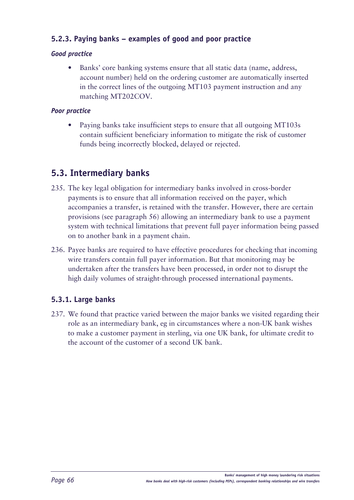### **5.2.3. Paying banks – examples of good and poor practice**

### *Good practice*

• Banks' core banking systems ensure that all static data (name, address, account number) held on the ordering customer are automatically inserted in the correct lines of the outgoing MT103 payment instruction and any matching MT202COV.

### *Poor practice*

Paying banks take insufficient steps to ensure that all outgoing MT103s contain sufficient beneficiary information to mitigate the risk of customer funds being incorrectly blocked, delayed or rejected.

# **5.3. Intermediary banks**

- 235. The key legal obligation for intermediary banks involved in cross-border payments is to ensure that all information received on the payer, which accompanies a transfer, is retained with the transfer. However, there are certain provisions (see paragraph 56) allowing an intermediary bank to use a payment system with technical limitations that prevent full payer information being passed on to another bank in a payment chain.
- 236. Payee banks are required to have effective procedures for checking that incoming wire transfers contain full payer information. But that monitoring may be undertaken after the transfers have been processed, in order not to disrupt the high daily volumes of straight-through processed international payments.

### **5.3.1. Large banks**

237. We found that practice varied between the major banks we visited regarding their role as an intermediary bank, eg in circumstances where a non-UK bank wishes to make a customer payment in sterling, via one UK bank, for ultimate credit to the account of the customer of a second UK bank.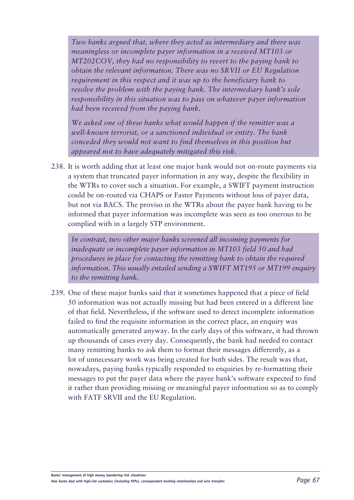*Two banks argued that, where they acted as intermediary and there was meaningless or incomplete payer information in a received MT103 or MT202COV, they had no responsibility to revert to the paying bank to obtain the relevant information. There was no SRVII or EU Regulation requirement in this respect and it was up to the beneficiary bank to resolve the problem with the paying bank. The intermediary bank's sole responsibility in this situation was to pass on whatever payer information had been received from the paying bank.*

*We asked one of these banks what would happen if the remitter was a well-known terrorist, or a sanctioned individual or entity. The bank conceded they would not want to find themselves in this position but appeared not to have adequately mitigated this risk.* 

238. It is worth adding that at least one major bank would not on-route payments via a system that truncated payer information in any way, despite the flexibility in the WTRs to cover such a situation. For example, a SWIFT payment instruction could be on-routed via CHAPS or Faster Payments without loss of payer data, but not via BACS. The proviso in the WTRs about the payee bank having to be informed that payer information was incomplete was seen as too onerous to be complied with in a largely STP environment.

*In contrast, two other major banks screened all incoming payments for inadequate or incomplete payer information in MT103 field 50 and had procedures in place for contacting the remitting bank to obtain the required information. This usually entailed sending a SWIFT MT195 or MT199 enquiry to the remitting bank.*

239. One of these major banks said that it sometimes happened that a piece of field 50 information was not actually missing but had been entered in a different line of that field. Nevertheless, if the software used to detect incomplete information failed to find the requisite information in the correct place, an enquiry was automatically generated anyway. In the early days of this software, it had thrown up thousands of cases every day. Consequently, the bank had needed to contact many remitting banks to ask them to format their messages differently, as a lot of unnecessary work was being created for both sides. The result was that, nowadays, paying banks typically responded to enquiries by re-formatting their messages to put the payer data where the payee bank's software expected to find it rather than providing missing or meaningful payer information so as to comply with FATF SRVII and the EU Regulation.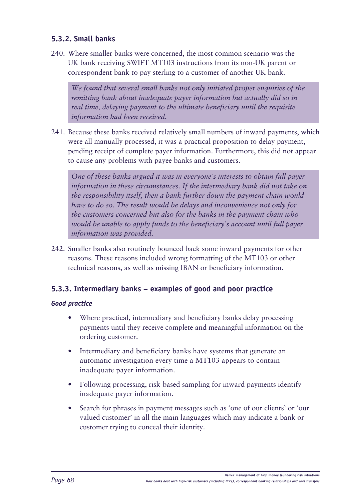### **5.3.2. Small banks**

240. Where smaller banks were concerned, the most common scenario was the UK bank receiving SWIFT MT103 instructions from its non-UK parent or correspondent bank to pay sterling to a customer of another UK bank.

*We found that several small banks not only initiated proper enquiries of the remitting bank about inadequate payer information but actually did so in real time, delaying payment to the ultimate beneficiary until the requisite information had been received.*

241. Because these banks received relatively small numbers of inward payments, which were all manually processed, it was a practical proposition to delay payment, pending receipt of complete payer information. Furthermore, this did not appear to cause any problems with payee banks and customers.

*One of these banks argued it was in everyone's interests to obtain full payer information in these circumstances. If the intermediary bank did not take on the responsibility itself, then a bank further down the payment chain would have to do so. The result would be delays and inconvenience not only for the customers concerned but also for the banks in the payment chain who would be unable to apply funds to the beneficiary's account until full payer information was provided.*

242. Smaller banks also routinely bounced back some inward payments for other reasons. These reasons included wrong formatting of the MT103 or other technical reasons, as well as missing IBAN or beneficiary information.

### **5.3.3. Intermediary banks – examples of good and poor practice**

### *Good practice*

- Where practical, intermediary and beneficiary banks delay processing payments until they receive complete and meaningful information on the ordering customer.
- Intermediary and beneficiary banks have systems that generate an automatic investigation every time a MT103 appears to contain inadequate payer information.
- Following processing, risk-based sampling for inward payments identify inadequate payer information.
- • Search for phrases in payment messages such as 'one of our clients' or 'our valued customer' in all the main languages which may indicate a bank or customer trying to conceal their identity.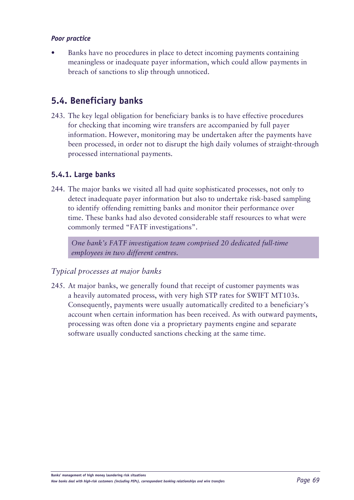### *Poor practice*

Banks have no procedures in place to detect incoming payments containing meaningless or inadequate payer information, which could allow payments in breach of sanctions to slip through unnoticed.

### **5.4. Beneficiary banks**

243. The key legal obligation for beneficiary banks is to have effective procedures for checking that incoming wire transfers are accompanied by full payer information. However, monitoring may be undertaken after the payments have been processed, in order not to disrupt the high daily volumes of straight-through processed international payments.

### **5.4.1. Large banks**

244. The major banks we visited all had quite sophisticated processes, not only to detect inadequate payer information but also to undertake risk-based sampling to identify offending remitting banks and monitor their performance over time. These banks had also devoted considerable staff resources to what were commonly termed "FATF investigations".

*One bank's FATF investigation team comprised 20 dedicated full-time employees in two different centres.*

### *Typical processes at major banks*

245. At major banks, we generally found that receipt of customer payments was a heavily automated process, with very high STP rates for SWIFT MT103s. Consequently, payments were usually automatically credited to a beneficiary's account when certain information has been received. As with outward payments, processing was often done via a proprietary payments engine and separate software usually conducted sanctions checking at the same time.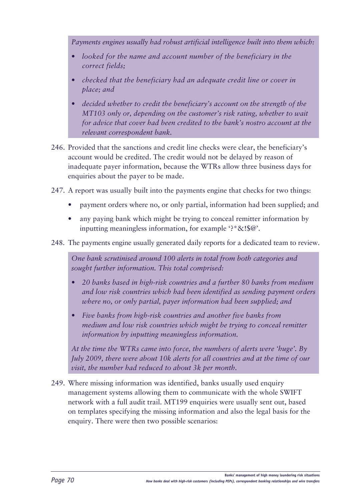*Payments engines usually had robust artificial intelligence built into them which:*

- *• looked for the name and account number of the beneficiary in the correct fields;*
- *•• checked that the beneficiary had an adequate credit line or cover in place; and*
- decided whether to credit the beneficiary's account on the strength of the *MT103 only or, depending on the customer's risk rating, whether to wait for advice that cover had been credited to the bank's nostro account at the relevant correspondent bank.*
- 246. Provided that the sanctions and credit line checks were clear, the beneficiary's account would be credited. The credit would not be delayed by reason of inadequate payer information, because the WTRs allow three business days for enquiries about the payer to be made.
- 247. A report was usually built into the payments engine that checks for two things:
	- payment orders where no, or only partial, information had been supplied; and
	- any paying bank which might be trying to conceal remitter information by inputting meaningless information, for example '?\*&!\$@'.
- 248. The payments engine usually generated daily reports for a dedicated team to review.

*One bank scrutinised around 100 alerts in total from both categories and sought further information. This total comprised:* 

- *• 20 banks based in high-risk countries and a further 80 banks from medium and low risk countries which had been identified as sending payment orders where no, or only partial, payer information had been supplied; and*
- *• Five banks from high-risk countries and another five banks from medium and low risk countries which might be trying to conceal remitter information by inputting meaningless information.*

*At the time the WTRs came into force, the numbers of alerts were 'huge'. By July 2009, there were about 10k alerts for all countries and at the time of our visit, the number had reduced to about 3k per month.*

249. Where missing information was identified, banks usually used enquiry management systems allowing them to communicate with the whole SWIFT network with a full audit trail. MT199 enquiries were usually sent out, based on templates specifying the missing information and also the legal basis for the enquiry. There were then two possible scenarios: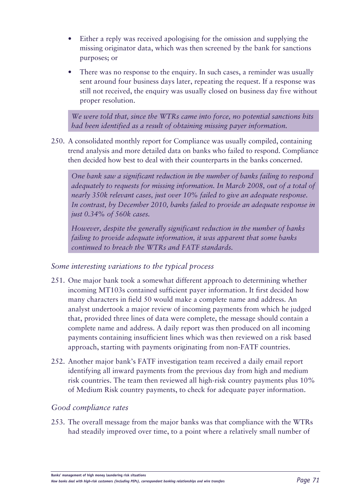- Either a reply was received apologising for the omission and supplying the missing originator data, which was then screened by the bank for sanctions purposes; or
- There was no response to the enquiry. In such cases, a reminder was usually sent around four business days later, repeating the request. If a response was still not received, the enquiry was usually closed on business day five without proper resolution.

*We were told that, since the WTRs came into force, no potential sanctions hits had been identified as a result of obtaining missing payer information.*

250. A consolidated monthly report for Compliance was usually compiled, containing trend analysis and more detailed data on banks who failed to respond. Compliance then decided how best to deal with their counterparts in the banks concerned.

*One bank saw a significant reduction in the number of banks failing to respond adequately to requests for missing information. In March 2008, out of a total of nearly 350k relevant cases, just over 10% failed to give an adequate response. In contrast, by December 2010, banks failed to provide an adequate response in just 0.34% of 560k cases.*

*However, despite the generally significant reduction in the number of banks failing to provide adequate information, it was apparent that some banks continued to breach the WTRs and FATF standards.*

#### *Some interesting variations to the typical process*

- 251. One major bank took a somewhat different approach to determining whether incoming MT103s contained sufficient payer information. It first decided how many characters in field 50 would make a complete name and address. An analyst undertook a major review of incoming payments from which he judged that, provided three lines of data were complete, the message should contain a complete name and address. A daily report was then produced on all incoming payments containing insufficient lines which was then reviewed on a risk based approach, starting with payments originating from non-FATF countries.
- 252. Another major bank's FATF investigation team received a daily email report identifying all inward payments from the previous day from high and medium risk countries. The team then reviewed all high-risk country payments plus 10% of Medium Risk country payments, to check for adequate payer information.

#### *Good compliance rates*

253. The overall message from the major banks was that compliance with the WTRs had steadily improved over time, to a point where a relatively small number of

**Banks' management of high money laundering risk situations**

*How banks deal with high-risk customers (including PEPs), correspondent banking relationships and wire transfers Page 71*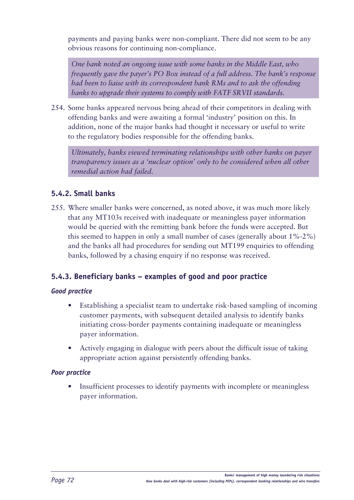payments and paying banks were non-compliant. There did not seem to be any obvious reasons for continuing non-compliance.

*One bank noted an ongoing issue with some banks in the Middle East, who frequently gave the payer's PO Box instead of a full address. The bank's response had been to liaise with its correspondent bank RMs and to ask the offending banks to upgrade their systems to comply with FATF SRVII standards.* 

254. Some banks appeared nervous being ahead of their competitors in dealing with offending banks and were awaiting a formal 'industry' position on this. In addition, none of the major banks had thought it necessary or useful to write to the regulatory bodies responsible for the offending banks.

*Ultimately, banks viewed terminating relationships with other banks on payer transparency issues as a 'nuclear option' only to be considered when all other remedial action had failed.*

#### **5.4.2. Small banks**

255. Where smaller banks were concerned, as noted above, it was much more likely that any MT103s received with inadequate or meaningless payer information would be queried with the remitting bank before the funds were accepted. But this seemed to happen in only a small number of cases (generally about 1%-2%) and the banks all had procedures for sending out MT199 enquiries to offending banks, followed by a chasing enquiry if no response was received.

#### **5.4.3. Beneficiary banks – examples of good and poor practice**

#### *Good practice*

- Establishing a specialist team to undertake risk-based sampling of incoming customer payments, with subsequent detailed analysis to identify banks initiating cross-border payments containing inadequate or meaningless payer information.
- Actively engaging in dialogue with peers about the difficult issue of taking appropriate action against persistently offending banks.

#### *Poor practice*

Insufficient processes to identify payments with incomplete or meaningless payer information.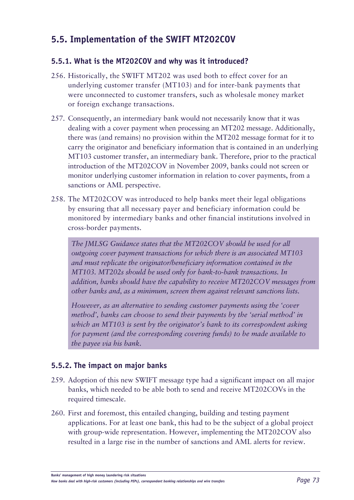### **5.5. Implementation of the SWIFT MT202COV**

#### **5.5.1. What is the MT202COV and why was it introduced?**

- 256. Historically, the SWIFT MT202 was used both to effect cover for an underlying customer transfer (MT103) and for inter-bank payments that were unconnected to customer transfers, such as wholesale money market or foreign exchange transactions.
- 257. Consequently, an intermediary bank would not necessarily know that it was dealing with a cover payment when processing an MT202 message. Additionally, there was (and remains) no provision within the MT202 message format for it to carry the originator and beneficiary information that is contained in an underlying MT103 customer transfer, an intermediary bank. Therefore, prior to the practical introduction of the MT202COV in November 2009, banks could not screen or monitor underlying customer information in relation to cover payments, from a sanctions or AML perspective.
- 258. The MT202COV was introduced to help banks meet their legal obligations by ensuring that all necessary payer and beneficiary information could be monitored by intermediary banks and other financial institutions involved in cross-border payments.

*The JMLSG Guidance states that the MT202COV should be used for all outgoing cover payment transactions for which there is an associated MT103 and must replicate the originator/beneficiary information contained in the MT103. MT202s should be used only for bank-to-bank transactions. In addition, banks should have the capability to receive MT202COV messages from other banks and, as a minimum, screen them against relevant sanctions lists.* 

*However, as an alternative to sending customer payments using the 'cover method', banks can choose to send their payments by the 'serial method' in which an MT103 is sent by the originator's bank to its correspondent asking for payment (and the corresponding covering funds) to be made available to the payee via his bank.*

#### **5.5.2. The impact on major banks**

- 259. Adoption of this new SWIFT message type had a significant impact on all major banks, which needed to be able both to send and receive MT202COVs in the required timescale.
- 260. First and foremost, this entailed changing, building and testing payment applications. For at least one bank, this had to be the subject of a global project with group-wide representation. However, implementing the MT202COV also resulted in a large rise in the number of sanctions and AML alerts for review.

**Banks' management of high money laundering risk situations**

*How banks deal with high-risk customers (including PEPs), correspondent banking relationships and wire transfers Page 73*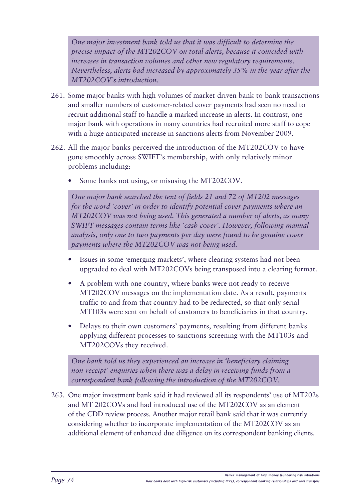*One major investment bank told us that it was difficult to determine the precise impact of the MT202COV on total alerts, because it coincided with increases in transaction volumes and other new regulatory requirements. Nevertheless, alerts had increased by approximately 35% in the year after the MT202COV's introduction.*

- 261. Some major banks with high volumes of market-driven bank-to-bank transactions and smaller numbers of customer-related cover payments had seen no need to recruit additional staff to handle a marked increase in alerts. In contrast, one major bank with operations in many countries had recruited more staff to cope with a huge anticipated increase in sanctions alerts from November 2009.
- 262. All the major banks perceived the introduction of the MT202COV to have gone smoothly across SWIFT's membership, with only relatively minor problems including:
	- Some banks not using, or misusing the MT202COV.

*One major bank searched the text of fields 21 and 72 of MT202 messages for the word 'cover' in order to identify potential cover payments where an MT202COV was not being used. This generated a number of alerts, as many SWIFT messages contain terms like 'cash cover'. However, following manual analysis, only one to two payments per day were found to be genuine cover payments where the MT202COV was not being used.* 

- Issues in some 'emerging markets', where clearing systems had not been upgraded to deal with MT202COVs being transposed into a clearing format.
- A problem with one country, where banks were not ready to receive MT202COV messages on the implementation date. As a result, payments traffic to and from that country had to be redirected, so that only serial MT103s were sent on behalf of customers to beneficiaries in that country.
- Delays to their own customers' payments, resulting from different banks applying different processes to sanctions screening with the MT103s and MT202COVs they received.

*One bank told us they experienced an increase in 'beneficiary claiming non-receipt' enquiries when there was a delay in receiving funds from a correspondent bank following the introduction of the MT202COV.*

263. One major investment bank said it had reviewed all its respondents' use of MT202s and MT 202COVs and had introduced use of the MT202COV as an element of the CDD review process. Another major retail bank said that it was currently considering whether to incorporate implementation of the MT202COV as an additional element of enhanced due diligence on its correspondent banking clients.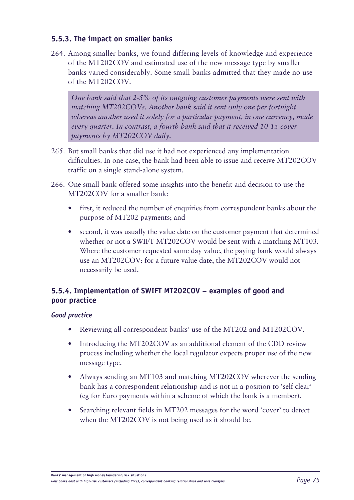#### **5.5.3. The impact on smaller banks**

264. Among smaller banks, we found differing levels of knowledge and experience of the MT202COV and estimated use of the new message type by smaller banks varied considerably. Some small banks admitted that they made no use of the MT202COV.

*One bank said that 2-5% of its outgoing customer payments were sent with matching MT202COVs. Another bank said it sent only one per fortnight whereas another used it solely for a particular payment, in one currency, made every quarter. In contrast, a fourth bank said that it received 10-15 cover payments by MT202COV daily.* 

- 265. But small banks that did use it had not experienced any implementation difficulties. In one case, the bank had been able to issue and receive MT202COV traffic on a single stand-alone system.
- 266. One small bank offered some insights into the benefit and decision to use the MT202COV for a smaller bank:
	- first, it reduced the number of enquiries from correspondent banks about the purpose of MT202 payments; and
	- second, it was usually the value date on the customer payment that determined whether or not a SWIFT MT202COV would be sent with a matching MT103. Where the customer requested same day value, the paying bank would always use an MT202COV: for a future value date, the MT202COV would not necessarily be used.

#### **5.5.4. Implementation of SWIFT MT202COV – examples of good and poor practice**

#### *Good practice*

- Reviewing all correspondent banks' use of the MT202 and MT202COV.
- Introducing the MT202COV as an additional element of the CDD review process including whether the local regulator expects proper use of the new message type.
- Always sending an MT103 and matching MT202COV wherever the sending bank has a correspondent relationship and is not in a position to 'self clear' (eg for Euro payments within a scheme of which the bank is a member).
- Searching relevant fields in MT202 messages for the word 'cover' to detect when the MT202COV is not being used as it should be.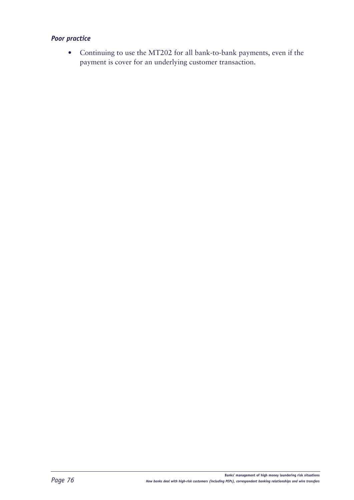#### *Poor practice*

• Continuing to use the MT202 for all bank-to-bank payments, even if the payment is cover for an underlying customer transaction.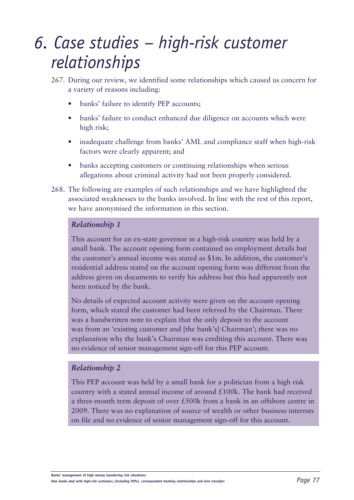## *6. Case studies – high-risk customer relationships*

- 267. During our review, we identified some relationships which caused us concern for a variety of reasons including:
	- banks' failure to identify PEP accounts;
	- banks' failure to conduct enhanced due diligence on accounts which were high risk;
	- inadequate challenge from banks' AML and compliance staff when high-risk factors were clearly apparent; and
	- banks accepting customers or continuing relationships when serious allegations about criminal activity had not been properly considered.
- 268. The following are examples of such relationships and we have highlighted the associated weaknesses to the banks involved. In line with the rest of this report, we have anonymised the information in this section.

#### *Relationship 1*

This account for an ex-state governor in a high-risk country was held by a small bank. The account opening form contained no employment details but the customer's annual income was stated as \$1m. In addition, the customer's residential address stated on the account opening form was different from the address given on documents to verify his address but this had apparently not been noticed by the bank.

No details of expected account activity were given on the account opening form, which stated the customer had been referred by the Chairman. There was a handwritten note to explain that the only deposit to the account was from an 'existing customer and [the bank's] Chairman'; there was no explanation why the bank's Chairman was crediting this account. There was no evidence of senior management sign-off for this PEP account.

#### *Relationship 2*

This PEP account was held by a small bank for a politician from a high risk country with a stated annual income of around  $£100k$ . The bank had received a three-month term deposit of over £500k from a bank in an offshore centre in 2009. There was no explanation of source of wealth or other business interests on file and no evidence of senior management sign-off for this account.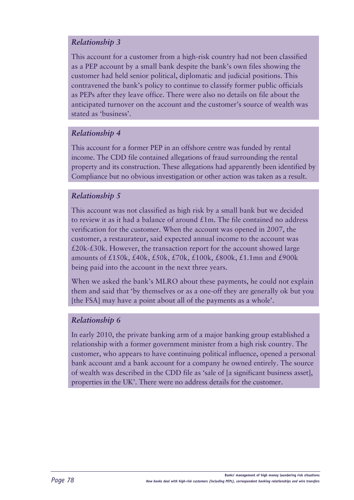#### *Relationship 3*

This account for a customer from a high-risk country had not been classified as a PEP account by a small bank despite the bank's own files showing the customer had held senior political, diplomatic and judicial positions. This contravened the bank's policy to continue to classify former public officials as PEPs after they leave office. There were also no details on file about the anticipated turnover on the account and the customer's source of wealth was stated as 'business'.

#### *Relationship 4*

This account for a former PEP in an offshore centre was funded by rental income. The CDD file contained allegations of fraud surrounding the rental property and its construction. These allegations had apparently been identified by Compliance but no obvious investigation or other action was taken as a result.

#### *Relationship 5*

This account was not classified as high risk by a small bank but we decided to review it as it had a balance of around  $£1m$ . The file contained no address verification for the customer. When the account was opened in 2007, the customer, a restaurateur, said expected annual income to the account was  $£20k-E30k$ . However, the transaction report for the account showed large amounts of £150k, £40k, £50k, £70k, £100k, £800k, £1.1mn and £900k being paid into the account in the next three years.

When we asked the bank's MLRO about these payments, he could not explain them and said that 'by themselves or as a one-off they are generally ok but you [the FSA] may have a point about all of the payments as a whole'.

#### *Relationship 6*

In early 2010, the private banking arm of a major banking group established a relationship with a former government minister from a high risk country. The customer, who appears to have continuing political influence, opened a personal bank account and a bank account for a company he owned entirely. The source of wealth was described in the CDD file as 'sale of [a significant business asset], properties in the UK'. There were no address details for the customer.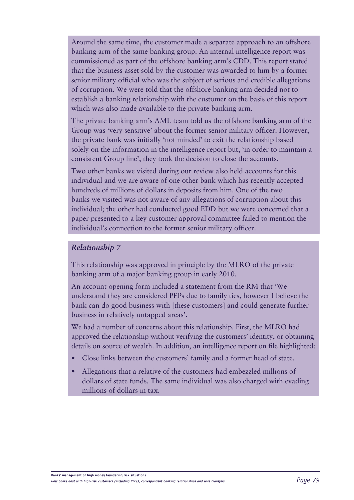Around the same time, the customer made a separate approach to an offshore banking arm of the same banking group. An internal intelligence report was commissioned as part of the offshore banking arm's CDD. This report stated that the business asset sold by the customer was awarded to him by a former senior military official who was the subject of serious and credible allegations of corruption. We were told that the offshore banking arm decided not to establish a banking relationship with the customer on the basis of this report which was also made available to the private banking arm.

The private banking arm's AML team told us the offshore banking arm of the Group was 'very sensitive' about the former senior military officer. However, the private bank was initially 'not minded' to exit the relationship based solely on the information in the intelligence report but, 'in order to maintain a consistent Group line', they took the decision to close the accounts.

Two other banks we visited during our review also held accounts for this individual and we are aware of one other bank which has recently accepted hundreds of millions of dollars in deposits from him. One of the two banks we visited was not aware of any allegations of corruption about this individual; the other had conducted good EDD but we were concerned that a paper presented to a key customer approval committee failed to mention the individual's connection to the former senior military officer.

#### *Relationship 7*

This relationship was approved in principle by the MLRO of the private banking arm of a major banking group in early 2010.

An account opening form included a statement from the RM that 'We understand they are considered PEPs due to family ties, however I believe the bank can do good business with [these customers] and could generate further business in relatively untapped areas'.

We had a number of concerns about this relationship. First, the MLRO had approved the relationship without verifying the customers' identity, or obtaining details on source of wealth. In addition, an intelligence report on file highlighted:

- Close links between the customers' family and a former head of state.
- Allegations that a relative of the customers had embezzled millions of dollars of state funds. The same individual was also charged with evading millions of dollars in tax.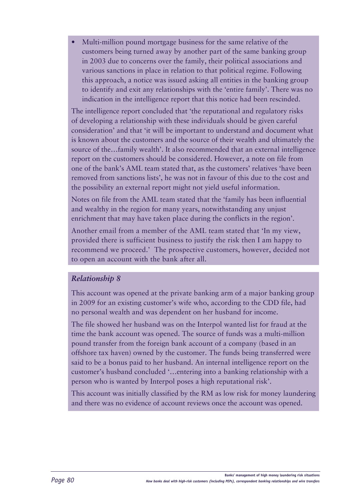Multi-million pound mortgage business for the same relative of the customers being turned away by another part of the same banking group in 2003 due to concerns over the family, their political associations and various sanctions in place in relation to that political regime. Following this approach, a notice was issued asking all entities in the banking group to identify and exit any relationships with the 'entire family'. There was no indication in the intelligence report that this notice had been rescinded.

The intelligence report concluded that 'the reputational and regulatory risks of developing a relationship with these individuals should be given careful consideration' and that 'it will be important to understand and document what is known about the customers and the source of their wealth and ultimately the source of the…family wealth'. It also recommended that an external intelligence report on the customers should be considered. However, a note on file from one of the bank's AML team stated that, as the customers' relatives 'have been removed from sanctions lists', he was not in favour of this due to the cost and the possibility an external report might not yield useful information.

Notes on file from the AML team stated that the 'family has been influential and wealthy in the region for many years, notwithstanding any unjust enrichment that may have taken place during the conflicts in the region'.

Another email from a member of the AML team stated that 'In my view, provided there is sufficient business to justify the risk then I am happy to recommend we proceed.' The prospective customers, however, decided not to open an account with the bank after all.

#### *Relationship 8*

This account was opened at the private banking arm of a major banking group in 2009 for an existing customer's wife who, according to the CDD file, had no personal wealth and was dependent on her husband for income.

The file showed her husband was on the Interpol wanted list for fraud at the time the bank account was opened. The source of funds was a multi-million pound transfer from the foreign bank account of a company (based in an offshore tax haven) owned by the customer. The funds being transferred were said to be a bonus paid to her husband. An internal intelligence report on the customer's husband concluded '…entering into a banking relationship with a person who is wanted by Interpol poses a high reputational risk'.

This account was initially classified by the RM as low risk for money laundering and there was no evidence of account reviews once the account was opened.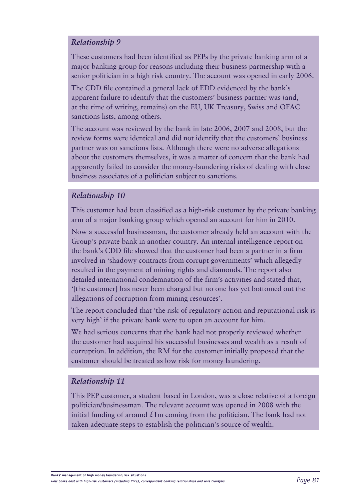#### *Relationship 9*

These customers had been identified as PEPs by the private banking arm of a major banking group for reasons including their business partnership with a senior politician in a high risk country. The account was opened in early 2006.

The CDD file contained a general lack of EDD evidenced by the bank's apparent failure to identify that the customers' business partner was (and, at the time of writing, remains) on the EU, UK Treasury, Swiss and OFAC sanctions lists, among others.

The account was reviewed by the bank in late 2006, 2007 and 2008, but the review forms were identical and did not identify that the customers' business partner was on sanctions lists. Although there were no adverse allegations about the customers themselves, it was a matter of concern that the bank had apparently failed to consider the money-laundering risks of dealing with close business associates of a politician subject to sanctions.

#### *Relationship 10*

This customer had been classified as a high-risk customer by the private banking arm of a major banking group which opened an account for him in 2010.

Now a successful businessman, the customer already held an account with the Group's private bank in another country. An internal intelligence report on the bank's CDD file showed that the customer had been a partner in a firm involved in 'shadowy contracts from corrupt governments' which allegedly resulted in the payment of mining rights and diamonds. The report also detailed international condemnation of the firm's activities and stated that, '[the customer] has never been charged but no one has yet bottomed out the allegations of corruption from mining resources'.

The report concluded that 'the risk of regulatory action and reputational risk is very high' if the private bank were to open an account for him.

We had serious concerns that the bank had not properly reviewed whether the customer had acquired his successful businesses and wealth as a result of corruption. In addition, the RM for the customer initially proposed that the customer should be treated as low risk for money laundering.

#### *Relationship 11*

This PEP customer, a student based in London, was a close relative of a foreign politician/businessman. The relevant account was opened in 2008 with the initial funding of around  $\pounds 1m$  coming from the politician. The bank had not taken adequate steps to establish the politician's source of wealth.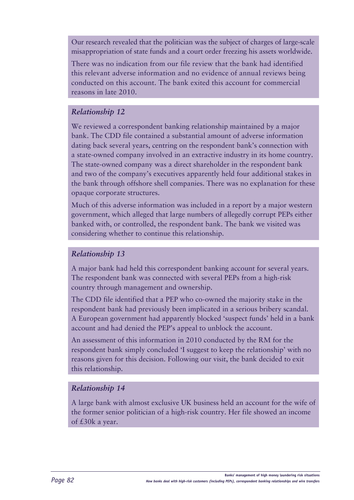Our research revealed that the politician was the subject of charges of large-scale misappropriation of state funds and a court order freezing his assets worldwide.

There was no indication from our file review that the bank had identified this relevant adverse information and no evidence of annual reviews being conducted on this account. The bank exited this account for commercial reasons in late 2010.

#### *Relationship 12*

We reviewed a correspondent banking relationship maintained by a major bank. The CDD file contained a substantial amount of adverse information dating back several years, centring on the respondent bank's connection with a state-owned company involved in an extractive industry in its home country. The state-owned company was a direct shareholder in the respondent bank and two of the company's executives apparently held four additional stakes in the bank through offshore shell companies. There was no explanation for these opaque corporate structures.

Much of this adverse information was included in a report by a major western government, which alleged that large numbers of allegedly corrupt PEPs either banked with, or controlled, the respondent bank. The bank we visited was considering whether to continue this relationship.

#### *Relationship 13*

A major bank had held this correspondent banking account for several years. The respondent bank was connected with several PEPs from a high-risk country through management and ownership.

The CDD file identified that a PEP who co-owned the majority stake in the respondent bank had previously been implicated in a serious bribery scandal. A European government had apparently blocked 'suspect funds' held in a bank account and had denied the PEP's appeal to unblock the account.

An assessment of this information in 2010 conducted by the RM for the respondent bank simply concluded 'I suggest to keep the relationship' with no reasons given for this decision. Following our visit, the bank decided to exit this relationship.

#### *Relationship 14*

A large bank with almost exclusive UK business held an account for the wife of the former senior politician of a high-risk country. Her file showed an income of £30k a year.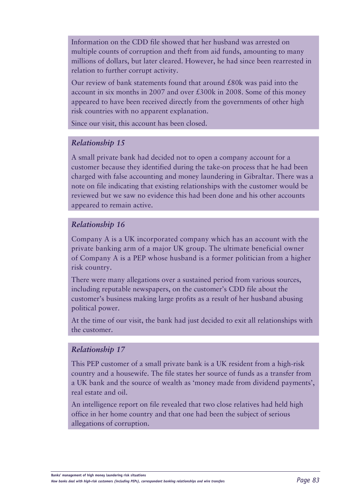Information on the CDD file showed that her husband was arrested on multiple counts of corruption and theft from aid funds, amounting to many millions of dollars, but later cleared. However, he had since been rearrested in relation to further corrupt activity.

Our review of bank statements found that around £80k was paid into the account in six months in 2007 and over £300k in 2008. Some of this money appeared to have been received directly from the governments of other high risk countries with no apparent explanation.

Since our visit, this account has been closed.

#### *Relationship 15*

A small private bank had decided not to open a company account for a customer because they identified during the take-on process that he had been charged with false accounting and money laundering in Gibraltar. There was a note on file indicating that existing relationships with the customer would be reviewed but we saw no evidence this had been done and his other accounts appeared to remain active.

#### *Relationship 16*

Company A is a UK incorporated company which has an account with the private banking arm of a major UK group. The ultimate beneficial owner of Company A is a PEP whose husband is a former politician from a higher risk country.

There were many allegations over a sustained period from various sources, including reputable newspapers, on the customer's CDD file about the customer's business making large profits as a result of her husband abusing political power.

At the time of our visit, the bank had just decided to exit all relationships with the customer.

#### *Relationship 17*

This PEP customer of a small private bank is a UK resident from a high-risk country and a housewife. The file states her source of funds as a transfer from a UK bank and the source of wealth as 'money made from dividend payments', real estate and oil.

An intelligence report on file revealed that two close relatives had held high office in her home country and that one had been the subject of serious allegations of corruption.

**Banks' management of high money laundering risk situations**

*How banks deal with high-risk customers (including PEPs), correspondent banking relationships and wire transfers Page 83*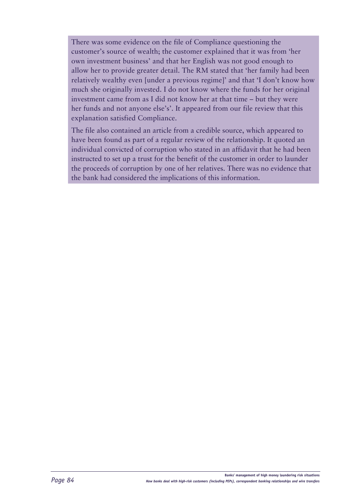There was some evidence on the file of Compliance questioning the customer's source of wealth; the customer explained that it was from 'her own investment business' and that her English was not good enough to allow her to provide greater detail. The RM stated that 'her family had been relatively wealthy even [under a previous regime]' and that 'I don't know how much she originally invested. I do not know where the funds for her original investment came from as I did not know her at that time – but they were her funds and not anyone else's'. It appeared from our file review that this explanation satisfied Compliance.

The file also contained an article from a credible source, which appeared to have been found as part of a regular review of the relationship. It quoted an individual convicted of corruption who stated in an affidavit that he had been instructed to set up a trust for the benefit of the customer in order to launder the proceeds of corruption by one of her relatives. There was no evidence that the bank had considered the implications of this information.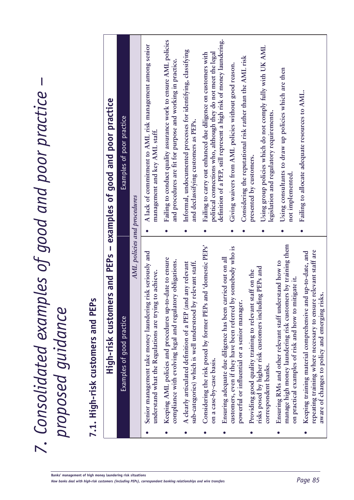*7. Consolidated examples of good and poor practice –*  7. Consolidated examples of good and poor practice –<br>proposed guidance *proposed guidance*

# 7.1. High-risk customers and PEPs **7.1. High-risk customers and PEPs**

| High-risk customers and PEPs - examples of good and poor practice                                                                                                                      |                                                                                                                                                                                                 |  |
|----------------------------------------------------------------------------------------------------------------------------------------------------------------------------------------|-------------------------------------------------------------------------------------------------------------------------------------------------------------------------------------------------|--|
| Examples of good practice                                                                                                                                                              | Examples of poor practice                                                                                                                                                                       |  |
| AML policies and procedures                                                                                                                                                            |                                                                                                                                                                                                 |  |
| Senior management take money laundering risk seriously and<br>understand what the Regulations are trying to achieve.                                                                   | A lack of commitment to AML risk management among senior<br>management and key AML staff.                                                                                                       |  |
| Keeping AML policies and procedures up-to-date to ensure<br>compliance with evolving legal and regulatory obligations.                                                                 | Failing to conduct quality assurance work to ensure AML policies<br>and procedures are fit for purpose and working in practice.                                                                 |  |
| A clearly articulated definition of a PEP (and any relevant<br>sub-categories) which is well understood by relevant staff.                                                             | Informal, undocumented processes for identifying, classifying<br>and declassifying customers as PEPs.                                                                                           |  |
| Considering the risk posed by former PEPs and 'domestic PEPs'<br>on a case-by-case basis.                                                                                              | Failing to carry out enhanced due diligence on customers with<br>political connections who, although they do not meet the legal                                                                 |  |
| somebody who is<br>Ensuring adequate due diligence has been carried out on all<br>customers, even if they have been referred by<br>powerful or influential or a senior manager.        | definition of a PEP, still represent a high risk of money laundering.<br>Giving waivers from AML policies without good reason.                                                                  |  |
| risks posed by higher risk customers including PEPs and<br>Providing good quality training to relevant staff on the<br>correspondent banks.                                            | Using group policies which do not comply fully with UK AML<br>Considering the reputational risk rather than the AML risk<br>legislation and regulatory requirements.<br>presented by customers. |  |
| manage high money laundering risk customers by training them<br>Ensuring RMs and other relevant staff understand how to<br>on practical examples of risk and how to mitigate it.       | Using consultants to draw up policies which are then<br>not implemented.                                                                                                                        |  |
| relevant staff are<br>l up-to-date, and<br>Keeping training material comprehensive and<br>aware of changes to policy and emerging risk<br>repeating training where necessary to ensure | Failing to allocate adequate resources to AML.                                                                                                                                                  |  |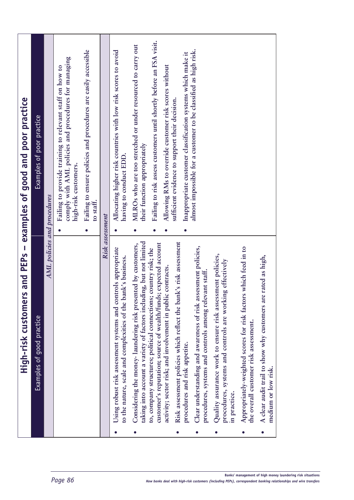|           | High-risk customers and PEPs - examples of good and poor practice                                                                      |           |                                                                                                                                         |
|-----------|----------------------------------------------------------------------------------------------------------------------------------------|-----------|-----------------------------------------------------------------------------------------------------------------------------------------|
|           | Examples of good practice                                                                                                              |           | Examples of poor practice                                                                                                               |
|           | AML policies and procedures                                                                                                            |           |                                                                                                                                         |
|           |                                                                                                                                        |           | comply with AML policies and procedures for managing<br>Failing to provide training to relevant staff on how to<br>high-risk customers. |
|           |                                                                                                                                        | $\bullet$ | Failing to ensure policies and procedures are easily accessible<br>to staff.                                                            |
|           | Risk assessment                                                                                                                        |           |                                                                                                                                         |
|           | Using robust risk assessment systems and controls appropriate<br>bank's business.<br>to the nature, scale and complexities of the      |           | Allocating higher risk countries with low risk scores to avoid<br>having to conduct EDD.                                                |
|           | taking into account a variety of factors including, but not limited<br>Considering the money-laundering risk presented by customers,   | $\bullet$ | MLROs who are too stretched or under resourced to carry out<br>their function appropriately                                             |
|           | customer's reputation; source of wealth/funds; expected account<br>to, company structures; political connections; country risk; the    |           | Failing to risk assess customers until shortly before an FSA visit.                                                                     |
|           | activity; sector risk; and involvement in public contracts.                                                                            |           | Allowing RMs to override customer risk scores without                                                                                   |
| $\bullet$ | Risk assessment policies which reflect the bank's risk assessment<br>procedures and risk appetite.                                     |           | Inappropriate customer classification systems which make it<br>sufficient evidence to support their decision.                           |
| $\bullet$ | Clear understanding and awareness of risk assessment policies,<br>procedures, systems and controls among relevant staff.               |           | almost impossible for a customer to be classified as high risk.                                                                         |
|           | Quality assurance work to ensure risk assessment policies,<br>procedures, systems and controls are working effectively<br>in practice. |           |                                                                                                                                         |
|           | Appropriately-weighted scores for risk factors which feed in to<br>the overall customer risk assessment.                               |           |                                                                                                                                         |
| $\bullet$ | re rated as high,<br>A clear audit trail to show why customers an<br>medium or low risk.                                               |           |                                                                                                                                         |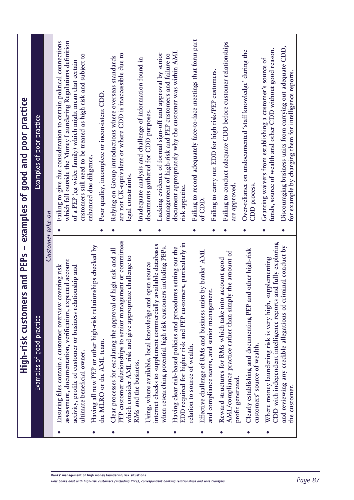| of $\rm CDD.$<br>Customer take-on<br>PEP customer relationships to senior management or committees<br>and fully exploring<br>EDD required for higher risk and PEP customers, particularly in<br>available databases<br>Having all new PEP or other high-risk relationships checked by<br>and reviewing any credible allegations of criminal conduct by<br>when researching potential high risk customers including PEPs.<br>Having clear risk-based policies and procedures setting out the<br>Clear processes for escalating the approval of high risk and all<br>Clearly establishing and documenting PEP and other high-risk<br>Effective challenge of RMs and business units by banks' AML<br>y the amount of<br>which consider AML risk and give appropriate challenge to<br>Where money laundering risk is very high, supplementing<br>Reward structures for RMs which take into account good<br>assessment, documentation, verification, expected account<br>Using, where available, local knowledge and open source<br>Ensuring files contain a customer overview covering risk<br>activity, profile of customer or business relationship and<br>and compliance teams, and senior management.<br>AML/compliance practice rather than simpl<br>internet checks to supplement commercially<br>CDD with independent intelligence reports<br>Examples of good practice<br>the MLRO or the AML team.<br>customers' source of wealth.<br>relation to source of wealth.<br>ultimate beneficial owner.<br>RMs and the business.<br>profit generated.<br>the customer.<br>$\bullet$ | $\overline{\phantom{a}}$<br>High-risk customers and PEPs | examples of good and poor practice                                                                                                                                                                                                                                 |
|------------------------------------------------------------------------------------------------------------------------------------------------------------------------------------------------------------------------------------------------------------------------------------------------------------------------------------------------------------------------------------------------------------------------------------------------------------------------------------------------------------------------------------------------------------------------------------------------------------------------------------------------------------------------------------------------------------------------------------------------------------------------------------------------------------------------------------------------------------------------------------------------------------------------------------------------------------------------------------------------------------------------------------------------------------------------------------------------------------------------------------------------------------------------------------------------------------------------------------------------------------------------------------------------------------------------------------------------------------------------------------------------------------------------------------------------------------------------------------------------------------------------------------------------------------------------------------|----------------------------------------------------------|--------------------------------------------------------------------------------------------------------------------------------------------------------------------------------------------------------------------------------------------------------------------|
|                                                                                                                                                                                                                                                                                                                                                                                                                                                                                                                                                                                                                                                                                                                                                                                                                                                                                                                                                                                                                                                                                                                                                                                                                                                                                                                                                                                                                                                                                                                                                                                    |                                                          | Examples of poor practice                                                                                                                                                                                                                                          |
|                                                                                                                                                                                                                                                                                                                                                                                                                                                                                                                                                                                                                                                                                                                                                                                                                                                                                                                                                                                                                                                                                                                                                                                                                                                                                                                                                                                                                                                                                                                                                                                    |                                                          |                                                                                                                                                                                                                                                                    |
|                                                                                                                                                                                                                                                                                                                                                                                                                                                                                                                                                                                                                                                                                                                                                                                                                                                                                                                                                                                                                                                                                                                                                                                                                                                                                                                                                                                                                                                                                                                                                                                    |                                                          | Failing to give due consideration to certain political connections<br>which fall outside the Money Laundering Regulations definition<br>customers still need to be treated as high risk and subject to<br>of a PEP (eg wider family) which might mean that certain |
|                                                                                                                                                                                                                                                                                                                                                                                                                                                                                                                                                                                                                                                                                                                                                                                                                                                                                                                                                                                                                                                                                                                                                                                                                                                                                                                                                                                                                                                                                                                                                                                    |                                                          | Poor quality, incomplete or inconsistent CDD.<br>enhanced due diligence.                                                                                                                                                                                           |
|                                                                                                                                                                                                                                                                                                                                                                                                                                                                                                                                                                                                                                                                                                                                                                                                                                                                                                                                                                                                                                                                                                                                                                                                                                                                                                                                                                                                                                                                                                                                                                                    |                                                          | are not UK-equivalent or where CDD is inaccessible due to<br>Relying on Group introductions where overseas standards<br>legal constraints.                                                                                                                         |
|                                                                                                                                                                                                                                                                                                                                                                                                                                                                                                                                                                                                                                                                                                                                                                                                                                                                                                                                                                                                                                                                                                                                                                                                                                                                                                                                                                                                                                                                                                                                                                                    |                                                          | Inadequate analysis and challenge of information found in                                                                                                                                                                                                          |
|                                                                                                                                                                                                                                                                                                                                                                                                                                                                                                                                                                                                                                                                                                                                                                                                                                                                                                                                                                                                                                                                                                                                                                                                                                                                                                                                                                                                                                                                                                                                                                                    |                                                          | Lacking evidence of formal sign-off and approval by senior<br>management of high-risk and PEP customers and failure to<br>documents gathered for CDD purposes.                                                                                                     |
|                                                                                                                                                                                                                                                                                                                                                                                                                                                                                                                                                                                                                                                                                                                                                                                                                                                                                                                                                                                                                                                                                                                                                                                                                                                                                                                                                                                                                                                                                                                                                                                    |                                                          | document appropriately why the customer was within AML<br>risk appetite.                                                                                                                                                                                           |
|                                                                                                                                                                                                                                                                                                                                                                                                                                                                                                                                                                                                                                                                                                                                                                                                                                                                                                                                                                                                                                                                                                                                                                                                                                                                                                                                                                                                                                                                                                                                                                                    |                                                          | Failing to record adequately face-to-face meetings that form part<br>Failing to carry out EDD for high risk/PEP customers.                                                                                                                                         |
|                                                                                                                                                                                                                                                                                                                                                                                                                                                                                                                                                                                                                                                                                                                                                                                                                                                                                                                                                                                                                                                                                                                                                                                                                                                                                                                                                                                                                                                                                                                                                                                    |                                                          | Failing to conduct adequate CDD before customer relationships<br>are approved.                                                                                                                                                                                     |
|                                                                                                                                                                                                                                                                                                                                                                                                                                                                                                                                                                                                                                                                                                                                                                                                                                                                                                                                                                                                                                                                                                                                                                                                                                                                                                                                                                                                                                                                                                                                                                                    |                                                          | Over-reliance on undocumented 'staff knowledge' during the<br><b>CDD</b> process                                                                                                                                                                                   |
|                                                                                                                                                                                                                                                                                                                                                                                                                                                                                                                                                                                                                                                                                                                                                                                                                                                                                                                                                                                                                                                                                                                                                                                                                                                                                                                                                                                                                                                                                                                                                                                    |                                                          | funds, source of wealth and other CDD without good reason.<br>Granting waivers from establishing a customer's source of                                                                                                                                            |
|                                                                                                                                                                                                                                                                                                                                                                                                                                                                                                                                                                                                                                                                                                                                                                                                                                                                                                                                                                                                                                                                                                                                                                                                                                                                                                                                                                                                                                                                                                                                                                                    |                                                          | Discouraging business units from carrying out adequate CDD,<br>for example by charging them for intelligence reports.                                                                                                                                              |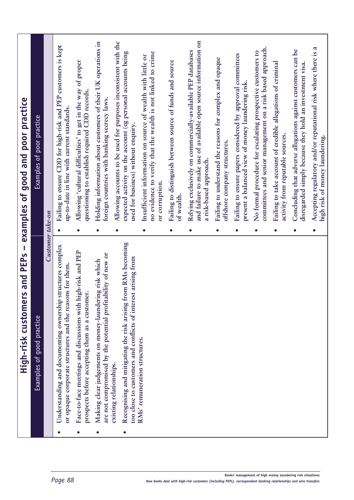|           | rs and PEPs<br>High-risk custome                                                                                                                               |                         | - examples of good and poor practice                                                                                                                                   |
|-----------|----------------------------------------------------------------------------------------------------------------------------------------------------------------|-------------------------|------------------------------------------------------------------------------------------------------------------------------------------------------------------------|
|           | Examples of good practice                                                                                                                                      |                         | Examples of poor practice                                                                                                                                              |
|           | Customer take-on                                                                                                                                               |                         |                                                                                                                                                                        |
|           | structures complex<br>or opaque corporate structures and the reasons for them.<br>Understanding and documenting ownership                                      | $\bullet$               | Failing to ensure CDD for high-risk and PEP customers is kept<br>up-to-date in line with current standards.                                                            |
| $\bullet$ | Face-to-face meetings and discussions with high-risk and PEP<br>prospects before accepting them as a customer.                                                 | $\bullet$               | Allowing 'cultural difficulties' to get in the way of proper<br>questioning to establish required CDD records.                                                         |
|           | are not compromised by the potential profitability of new or<br>Making clear judgements on money-laundering risk which                                         | $\bullet$               | Holding information about customers of their UK operations in<br>foreign countries with banking secrecy laws.                                                          |
|           | from RMs becoming<br>too close to customers and conflicts of interest arising from<br>Recognising and mitigating the risk arising 1<br>existing relationships. |                         | Allowing accounts to be used for purposes inconsistent with the<br>expected activity on the account (eg personal accounts being<br>used for business) without enquiry. |
|           | RMs' remuneration structures.                                                                                                                                  | $\bullet$               | no evidence to verify that the wealth is not linked to crime<br>Insufficient information on source of wealth with little or<br>or corruption.                          |
|           |                                                                                                                                                                | of wealth.<br>$\bullet$ | Failing to distinguish between source of funds and source                                                                                                              |
|           |                                                                                                                                                                | $\bullet$               | and failure to make use of available open source information on<br>Relying exclusively on commercially-available PEP databases<br>a risk-based approach.               |
|           |                                                                                                                                                                | $\bullet$               | Failing to understand the reasons for complex and opaque<br>offshore company structures.                                                                               |
|           |                                                                                                                                                                | $\bullet$               | Failing to ensure papers considered by approval committees<br>present a balanced view of money laundering risk.                                                        |
|           |                                                                                                                                                                | $\bullet$               | committees and senior management on a risk based approach.<br>No formal procedure for escalating prospective customers to                                              |
|           |                                                                                                                                                                | $\bullet$               | Failing to take account of credible allegations of criminal<br>activity from reputable sources.                                                                        |
|           |                                                                                                                                                                | $\bullet$               | Concluding that adverse allegations against customers can be<br>disregarded simply because they hold an investment visa.                                               |
|           |                                                                                                                                                                | $\bullet$               | Accepting regulatory and/or reputational risk where there is a<br>high risk of money laundering.                                                                       |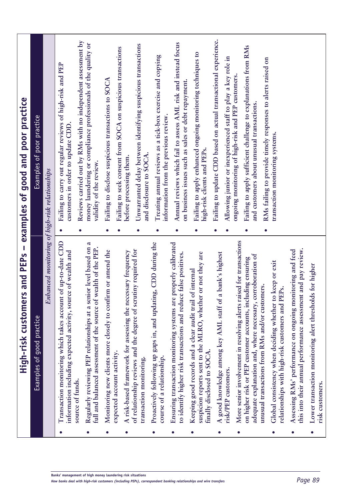| $\mathbf{I}$<br>rs and PEPs<br>High-risk custome                                                                                                                                                  |           | examples of good and poor practice                                                                                                                               |
|---------------------------------------------------------------------------------------------------------------------------------------------------------------------------------------------------|-----------|------------------------------------------------------------------------------------------------------------------------------------------------------------------|
| Examples of good practice                                                                                                                                                                         |           | Examples of poor practice                                                                                                                                        |
| Enhanced monitoring of high-risk relationships                                                                                                                                                    |           |                                                                                                                                                                  |
| Transaction monitoring which takes account of up-to-date CDD<br>information including expected activity, source of wealth and                                                                     | $\bullet$ | Failing to carry out regular reviews of high-risk and PEP<br>customers in order to update CDD                                                                    |
| Regularly reviewing PEP relationships at a senior level based on a<br>full and balanced assessment of the source of wealth of the PEP.<br>source of funds.                                        |           | Reviews carried out by RMs with no independent assessment by<br>money laundering or compliance professionals of the quality or<br>validity of the review.        |
| Monitoring new clients more closely to confirm or amend the<br>expected account activity.                                                                                                         | $\bullet$ | Failing to disclose suspicious transactions to SOCA                                                                                                              |
| A risk-based framework for assessing the necessary frequency                                                                                                                                      |           | Failing to seek consent from SOCA on suspicious transactions<br>before processing them.                                                                          |
| of relationship reviews and the degree of scrutiny required for<br>transaction monitoring.                                                                                                        | $\bullet$ | Unwarranted delay between identifying suspicious transactions<br>and disclosure to SOCA.                                                                         |
| Proactively following up gaps in, and updating, CDD during the<br>course of a relationship.                                                                                                       | $\bullet$ | Treating annual reviews as a tick-box exercise and copying<br>information from the previous review.                                                              |
| Ensuring transaction monitoring systems are properly calibrated<br>to identify higher risk transactions and reduce false positives.                                                               | $\bullet$ | Annual reviews which fail to assess AML risk and instead focus<br>on business issues such as sales or debt repayment.                                            |
| suspicion reports sent to the MLRO, whether or not they are<br>Keeping good records and a clear audit trail of internal<br>finally disclosed to SOCA.                                             | $\bullet$ | Failing to apply enhanced ongoing monitoring techniques to<br>high-risk clients and PEPs.                                                                        |
| a bank's highest<br>A good knowledge among key AML staff of<br>risk/PEP customers.                                                                                                                | $\bullet$ | Failing to update CDD based on actual transactional experience.<br>Allowing junior or inexperienced staff to play a key role in                                  |
| More senior involvement in resolving alerts raised for transactions<br>adequate explanation and, where necessary, corroboration of<br>on higher risk or PEP customer accounts, including ensuring | $\bullet$ | Failing to apply sufficient challenge to explanations from RMs<br>ongoing monitoring of high-risk and PEP customers<br>and customers about unusual transactions. |
| unusual transactions from RMs and/or customers.                                                                                                                                                   | $\bullet$ | RMs failing to provide timely responses to alerts raised on                                                                                                      |
| Global consistency when deciding whether to keep or exit<br>relationships with high-risk customers and PEPs.                                                                                      |           | transaction monitoring systems.                                                                                                                                  |
| this into their annual performance assessment and pay review.<br>Assessing RMs' performance on ongoing monitoring and feed                                                                        |           |                                                                                                                                                                  |
| ds for higher<br>Lower transaction monitoring alert threshol<br>risk customers.                                                                                                                   |           |                                                                                                                                                                  |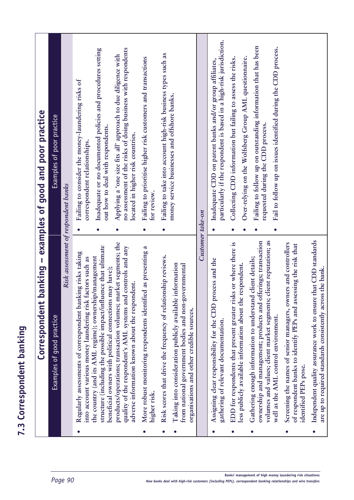|           | Correspondent                                                                                                                                                                                       |           | banking - examples of good and poor practice                                                                                                                        |
|-----------|-----------------------------------------------------------------------------------------------------------------------------------------------------------------------------------------------------|-----------|---------------------------------------------------------------------------------------------------------------------------------------------------------------------|
|           | Examples of good practice                                                                                                                                                                           |           | Examples of poor practice                                                                                                                                           |
|           | Risk assessment of respondent banks                                                                                                                                                                 |           |                                                                                                                                                                     |
|           | Regularly assessments of correspondent banking risks taking<br>into account various money laundering risk factors such as                                                                           |           | Failing to consider the money-laundering risks of<br>correspondent relationships.                                                                                   |
|           | structure (including the possible impact/influence that ultimate<br>the country (and its AML regime); ownership/management<br>beneficial owners with political connections may have);               | $\bullet$ | Inadequate or no documented policies and procedures setting<br>out how to deal with respondents.                                                                    |
|           | products/operations; transaction volumes; market segments; the<br>quality of the respondent's AML systems and controls and any<br>adverse information known about the respondent.                   |           | no assessment of the risks of doing business with respondents<br>Applying a 'one size fits all' approach to due diligence with<br>located in higher risk countries. |
| $\bullet$ | More robust monitoring respondents identified as presenting a<br>higher risk.                                                                                                                       | $\bullet$ | Failing to prioritise higher risk customers and transactions<br>for review                                                                                          |
|           | Risk scores that drive the frequency of relationship reviews.                                                                                                                                       |           | Failing to take into account high-risk business types such as                                                                                                       |
|           | Taking into consideration publicly available information<br>from national government bodies and non-governmental<br>organisations and other credible sources.                                       |           | money service businesses and offshore banks.                                                                                                                        |
|           | Customer take-on                                                                                                                                                                                    |           |                                                                                                                                                                     |
|           | Assigning clear responsibility for the CDD process and the<br>gathering of relevant documentation                                                                                                   |           | particularly if the respondent is based in a high-risk jurisdiction.<br>Inadequate CDD on parent banks and/or group affiliates,                                     |
|           | EDD for respondents that present greater risks or where there is                                                                                                                                    | $\bullet$ | Collecting CDD information but failing to assess the risks.                                                                                                         |
|           | less publicly available information about the respondent.                                                                                                                                           |           | Over-relying on the Wolfsberg Group AML questionnaire.                                                                                                              |
| $\bullet$ | volumes and values; client market segments; client reputation; as<br>offerings; transaction<br>Gathering enough information to understand client details;<br>ownership and management; products and |           | Failing to follow up on outstanding information that has been<br>requested during the CDD process.                                                                  |
|           | well as the AML control environment.                                                                                                                                                                |           | Fail to follow up on issues identified during the CDD process.                                                                                                      |
| $\bullet$ | Screening the names of senior managers, owners and controllers<br>of respondent banks to identify PEPs and assessing the risk that<br>identified PEPs pose.                                         |           |                                                                                                                                                                     |
| $\bullet$ | Independent quality assurance work to ensure that CDD standards<br>are up to required standards consistently across the bank.                                                                       |           |                                                                                                                                                                     |

**7.3 Correspondent banking**

7.3 Correspondent banking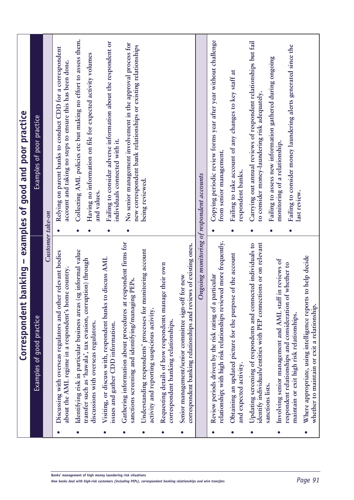|           | $\mathbf I$<br>banking<br>Correspondent                                                                                                                                  |                   | examples of good and poor practice                                                                                                                            |
|-----------|--------------------------------------------------------------------------------------------------------------------------------------------------------------------------|-------------------|---------------------------------------------------------------------------------------------------------------------------------------------------------------|
|           | Examples of good practice                                                                                                                                                |                   | Examples of poor practice                                                                                                                                     |
|           | Customer take-on                                                                                                                                                         |                   |                                                                                                                                                               |
|           | Discussing with overseas regulators and other relevant bodies<br>about the AML regime in a respondent's home country.                                                    |                   | Relying on parent banks to conduct CDD for a correspondent<br>account and taking no steps to ensure this has been done.                                       |
| $\bullet$ | Identifying risk in particular business areas (eg informal value<br>transfer such as 'hawala', tax evasion, corruption) through<br>discussions with overseas regulators. | and values.       | Collecting AML policies etc but making no effort to assess them.<br>Having no information on file for expected activity volumes                               |
| $\bullet$ | Visiting, or discuss with, respondent banks to discuss AML<br>issues and gather CDD information.                                                                         |                   | Failing to consider adverse information about the respondent or<br>individuals connected with it.                                                             |
| $\bullet$ | Gathering information about procedures at respondent firms for<br>sanctions screening and identifying/managing PEPs.                                                     |                   | No senior management involvement in the approval process for<br>new correspondent bank relationships or existing relationships                                |
| $\bullet$ | Understanding respondents' processes for monitoring account<br>activity and reporting suspicious activity.                                                               | being reviewed.   |                                                                                                                                                               |
| $\bullet$ | Requesting details of how respondents manage their own<br>correspondent banking relationships.                                                                           |                   |                                                                                                                                                               |
| $\bullet$ | correspondent banking relationships and reviews of existing ones.<br>for new<br>Senior management/senior committee sign-off                                              |                   |                                                                                                                                                               |
|           | Ongoing monitoring of respondent accounts                                                                                                                                |                   |                                                                                                                                                               |
|           | relationship; with high risk relationships reviewed more frequently.<br>Review periods driven by the risk rating of a particular                                         |                   | Copying periodic review forms year after year without challenge<br>from senior management.                                                                    |
| $\bullet$ | Obtaining an updated picture for the purpose of the account<br>and expected activity.                                                                                    | respondent banks. | Failing to take account of any changes to key staff at                                                                                                        |
| 0         | identify individuals/entities with PEP connections or on relevant<br>Updating screening of respondents and connected individuals to<br>sanctions lists.                  |                   | Carrying out annual reviews of respondent relationships but fail<br>to consider money-laundering risk adequately.                                             |
| $\bullet$ | Involving senior management and AML staff in reviews of<br>respondent relationships and consideration of whether to<br>maintain or exit high risk relationships.         | last review.      | Failing to consider money laundering alerts generated since the<br>Failing to assess new information gathered during ongoing<br>monitoring of a relationship. |
| $\bullet$ | Where appropriate, using intelligence reports to help decide<br>whether to maintain or exit a relationship.                                                              |                   |                                                                                                                                                               |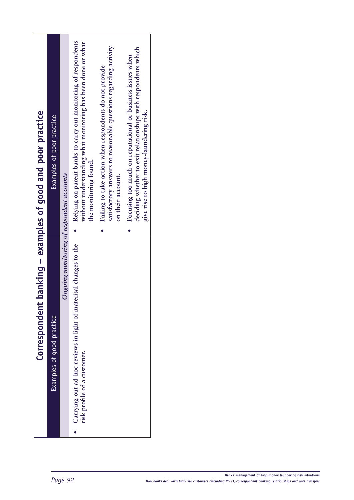| banking - examples of good and poor practice | Examples of poor practice |                                           | Relying on parent banks to carry out monitoring of respondents<br>without understanding what monitoring has been done or what<br>the monitoring found. | satisfactory answers to reasonable questions regarding activity<br>Failing to take action when respondents do not provide<br>on their account. | deciding whether to exit relationships with respondents which<br>Focusing too much on reputational or business issues when<br>give rise to high money-laundering risk. |
|----------------------------------------------|---------------------------|-------------------------------------------|--------------------------------------------------------------------------------------------------------------------------------------------------------|------------------------------------------------------------------------------------------------------------------------------------------------|------------------------------------------------------------------------------------------------------------------------------------------------------------------------|
| Correspondent                                | Examples of good practice | Ongoing monitoring of respondent accounts | Carrying out ad-hoc reviews in light of materisal changes to the<br>risk profile of a customer.                                                        |                                                                                                                                                |                                                                                                                                                                        |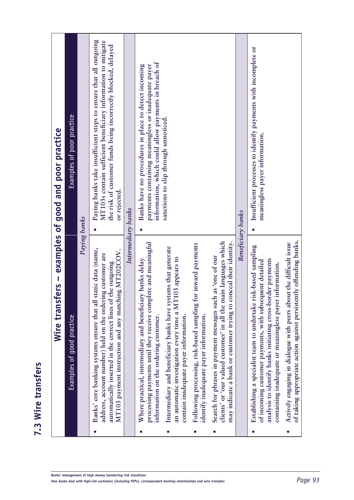|           | Paying banks<br>Wire trans<br>Examples of good practice                                                                                                                                                                                                 | Examples of poor practice<br>fers - examples of good and poor practice                                                                                                                                             |
|-----------|---------------------------------------------------------------------------------------------------------------------------------------------------------------------------------------------------------------------------------------------------------|--------------------------------------------------------------------------------------------------------------------------------------------------------------------------------------------------------------------|
|           | static data (name,<br>MT103 payment instruction and any matching MT202COV.<br>address, account number) held on the ordering customer are<br>automatically inserted in the correct lines of the outgoing<br>Banks' core banking systems ensure that all  | Paying banks take insufficient steps to ensure that all outgoing<br>MT103s contain sufficient beneficiary information to mitigate<br>the risk of customer funds being incorrectly blocked, delayed<br>or rejected. |
|           | Intermediary banks                                                                                                                                                                                                                                      |                                                                                                                                                                                                                    |
|           | processing payments until they receive complete and meaningful<br>Where practical, intermediary and beneficiary banks delay<br>information on the ordering customer.                                                                                    | information, which could allow payments in breach of<br>Banks have no procedures in place to detect incoming<br>payments containing meaningless or inadequate payer                                                |
|           | Intermediary and beneficiary banks have systems that generate<br>[103 appears to<br>an automatic investigation every time a M1<br>contain inadequate payer information.                                                                                 | sanctions to slip through unnoticed.                                                                                                                                                                               |
|           | Following processing, risk-based sampling for inward payments<br>identify inadequate payer information.                                                                                                                                                 |                                                                                                                                                                                                                    |
| $\bullet$ | clients' or 'our valued customer' in all the main languages which<br>conceal their identity.<br>Search for phrases in payment messages such as 'one of our<br>may indicate a bank or customer trying to                                                 |                                                                                                                                                                                                                    |
|           | Beneficiary banks                                                                                                                                                                                                                                       |                                                                                                                                                                                                                    |
|           | risk-based sampling<br>analysis to identify banks initiating cross-border payments<br>of incoming customer payments, with subsequent detailed<br>containing inadequate or meaningless payer information.<br>Establishing a specialist team to undertake | Insufficient processes to identify payments with incomplete or<br>meaningless payer information.                                                                                                                   |
|           | ot taking appropriate action against persistently offending banks.<br>Actively engaging in dialogue with peers about the difficult issue                                                                                                                |                                                                                                                                                                                                                    |